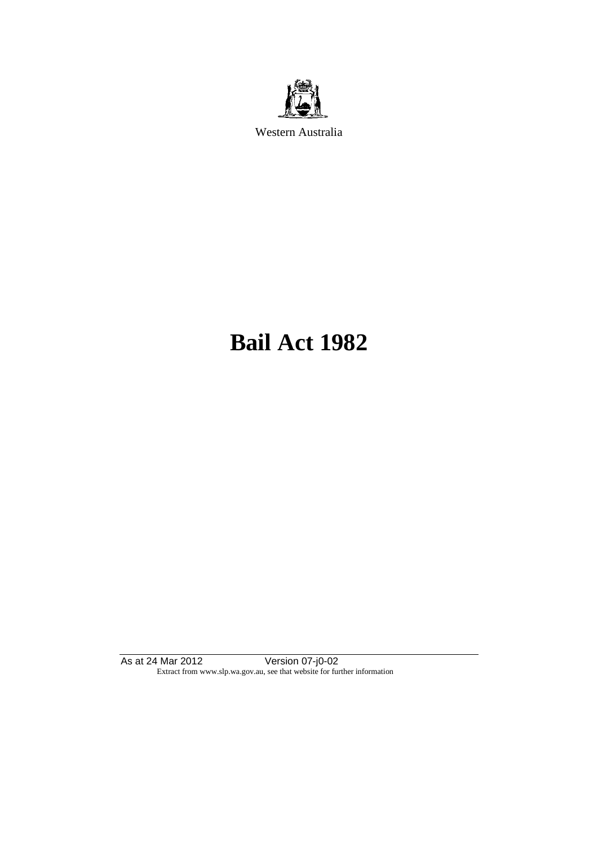

Western Australia

# **Bail Act 1982**

As at 24 Mar 2012 Version 07-j0-02 Extract from www.slp.wa.gov.au, see that website for further information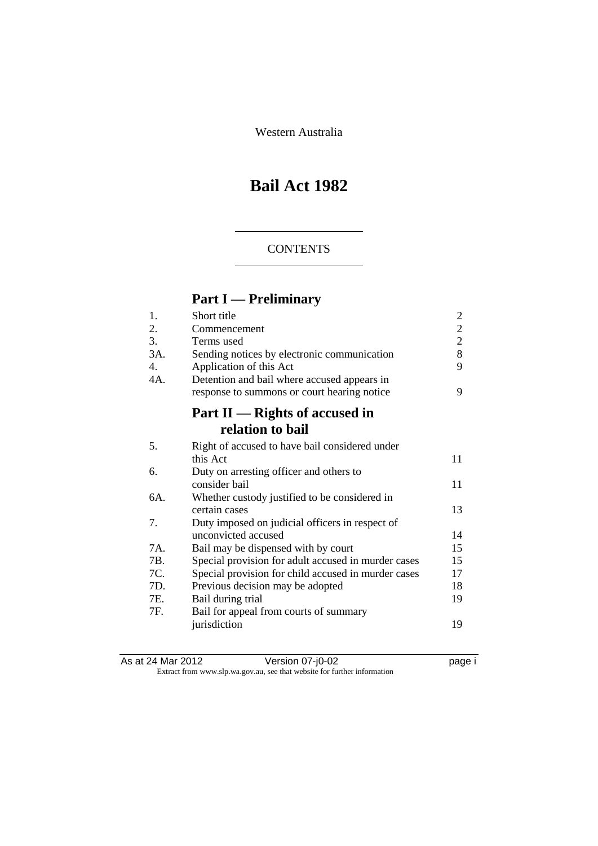Western Australia

## **Bail Act 1982**

#### **CONTENTS**

## **Part I — Preliminary**

| 1.  | Short title                                         | $\overline{c}$ |
|-----|-----------------------------------------------------|----------------|
| 2.  | Commencement                                        | $\overline{c}$ |
| 3.  | Terms used                                          | $\overline{2}$ |
| 3A. | Sending notices by electronic communication         | 8              |
| 4.  | Application of this Act                             | 9              |
| 4A. | Detention and bail where accused appears in         |                |
|     | response to summons or court hearing notice         | 9              |
|     | Part $II$ — Rights of accused in                    |                |
|     | relation to bail                                    |                |
| 5.  | Right of accused to have bail considered under      |                |
|     | this Act                                            | 11             |
| 6.  | Duty on arresting officer and others to             |                |
|     | consider bail                                       | 11             |
| 6A. | Whether custody justified to be considered in       |                |
|     | certain cases                                       | 13             |
| 7.  | Duty imposed on judicial officers in respect of     |                |
|     | unconvicted accused                                 | 14             |
| 7A. | Bail may be dispensed with by court                 | 15             |
| 7B. | Special provision for adult accused in murder cases | 15             |
| 7C. | Special provision for child accused in murder cases | 17             |
| 7D. | Previous decision may be adopted                    | 18             |
| 7E. | Bail during trial                                   | 19             |
| 7F. | Bail for appeal from courts of summary              |                |
|     | jurisdiction                                        | 19             |
|     |                                                     |                |

As at 24 Mar 2012 Version 07-j0-02 page i Extract from www.slp.wa.gov.au, see that website for further information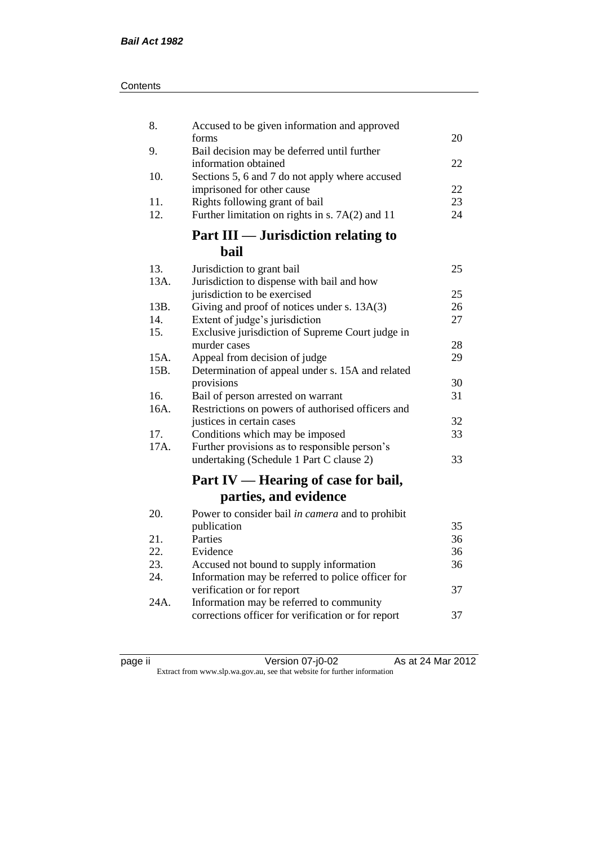| Contents |
|----------|
|----------|

| 8.           | Accused to be given information and approved                        |    |
|--------------|---------------------------------------------------------------------|----|
|              | forms                                                               | 20 |
| 9.           | Bail decision may be deferred until further<br>information obtained | 22 |
| 10.          | Sections 5, 6 and 7 do not apply where accused                      |    |
|              | imprisoned for other cause                                          | 22 |
| 11.          | Rights following grant of bail                                      | 23 |
| 12.          | Further limitation on rights in s. 7A(2) and 11                     | 24 |
|              | Part III — Jurisdiction relating to                                 |    |
|              | bail                                                                |    |
| 13.          | Jurisdiction to grant bail                                          | 25 |
| 13A.         | Jurisdiction to dispense with bail and how                          |    |
|              | jurisdiction to be exercised                                        | 25 |
| 13B.         | Giving and proof of notices under s. 13A(3)                         | 26 |
| 14.          | Extent of judge's jurisdiction                                      | 27 |
| 15.          | Exclusive jurisdiction of Supreme Court judge in                    |    |
|              | murder cases                                                        | 28 |
| 15A.<br>15B. | Appeal from decision of judge                                       | 29 |
|              | Determination of appeal under s. 15A and related<br>provisions      | 30 |
| 16.          | Bail of person arrested on warrant                                  | 31 |
| 16A.         | Restrictions on powers of authorised officers and                   |    |
|              | justices in certain cases                                           | 32 |
| 17.          | Conditions which may be imposed                                     | 33 |
| 17A.         | Further provisions as to responsible person's                       |    |
|              | undertaking (Schedule 1 Part C clause 2)                            | 33 |
|              |                                                                     |    |
|              | Part IV — Hearing of case for bail,                                 |    |
|              | parties, and evidence                                               |    |
| 20.          | Power to consider bail in camera and to prohibit                    |    |
|              | publication                                                         | 35 |
| 21.          | Parties                                                             | 36 |
| 22.          | Evidence                                                            | 36 |
| 23.          | Accused not bound to supply information                             | 36 |
| 24.          | Information may be referred to police officer for                   |    |
|              | verification or for report                                          | 37 |
| 24A.         | Information may be referred to community                            |    |
|              | corrections officer for verification or for report                  | 37 |
|              |                                                                     |    |

| ıC<br>ı<br>и |  |
|--------------|--|
|              |  |

page ii Version 07-j0-02 As at 24 Mar 2012 Extract from www.slp.wa.gov.au, see that website for further information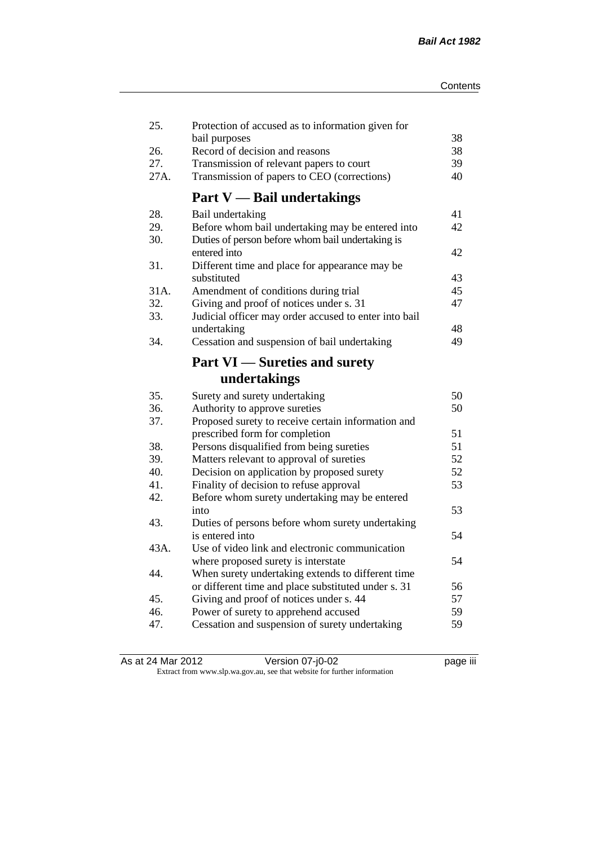| 25.  | Protection of accused as to information given for<br>bail purposes                                                   | 38 |
|------|----------------------------------------------------------------------------------------------------------------------|----|
| 26.  | Record of decision and reasons                                                                                       | 38 |
| 27.  | Transmission of relevant papers to court                                                                             | 39 |
| 27A. | Transmission of papers to CEO (corrections)                                                                          | 40 |
|      | <b>Part V</b> — Bail undertakings                                                                                    |    |
| 28.  |                                                                                                                      | 41 |
| 29.  | Bail undertaking                                                                                                     | 42 |
| 30.  | Before whom bail undertaking may be entered into<br>Duties of person before whom bail undertaking is<br>entered into | 42 |
| 31.  | Different time and place for appearance may be                                                                       |    |
|      | substituted                                                                                                          | 43 |
| 31A. | Amendment of conditions during trial                                                                                 | 45 |
| 32.  | Giving and proof of notices under s. 31                                                                              | 47 |
| 33.  | Judicial officer may order accused to enter into bail                                                                |    |
|      | undertaking                                                                                                          | 48 |
| 34.  | Cessation and suspension of bail undertaking                                                                         | 49 |
|      | <b>Part VI</b> — Sureties and surety                                                                                 |    |
|      | undertakings                                                                                                         |    |
| 35.  | Surety and surety undertaking                                                                                        | 50 |
| 36.  | Authority to approve sureties                                                                                        | 50 |
| 37.  | Proposed surety to receive certain information and                                                                   |    |
|      | prescribed form for completion                                                                                       | 51 |
| 38.  | Persons disqualified from being sureties                                                                             | 51 |
| 39.  | Matters relevant to approval of sureties                                                                             | 52 |
| 40.  | Decision on application by proposed surety                                                                           | 52 |
| 41.  | Finality of decision to refuse approval                                                                              | 53 |
| 42.  | Before whom surety undertaking may be entered                                                                        |    |
|      | into                                                                                                                 | 53 |
| 43.  | Duties of persons before whom surety undertaking                                                                     |    |
|      | is entered into                                                                                                      | 54 |
| 43A. | Use of video link and electronic communication                                                                       |    |
|      | where proposed surety is interstate                                                                                  | 54 |
| 44.  | When surety undertaking extends to different time                                                                    |    |
|      | or different time and place substituted under s. 31                                                                  | 56 |
| 45.  | Giving and proof of notices under s. 44                                                                              | 57 |
| 46.  | Power of surety to apprehend accused                                                                                 | 59 |
| 47.  | Cessation and suspension of surety undertaking                                                                       | 59 |
|      |                                                                                                                      |    |

As at 24 Mar 2012 Version 07-j0-02 page iii Extract from www.slp.wa.gov.au, see that website for further information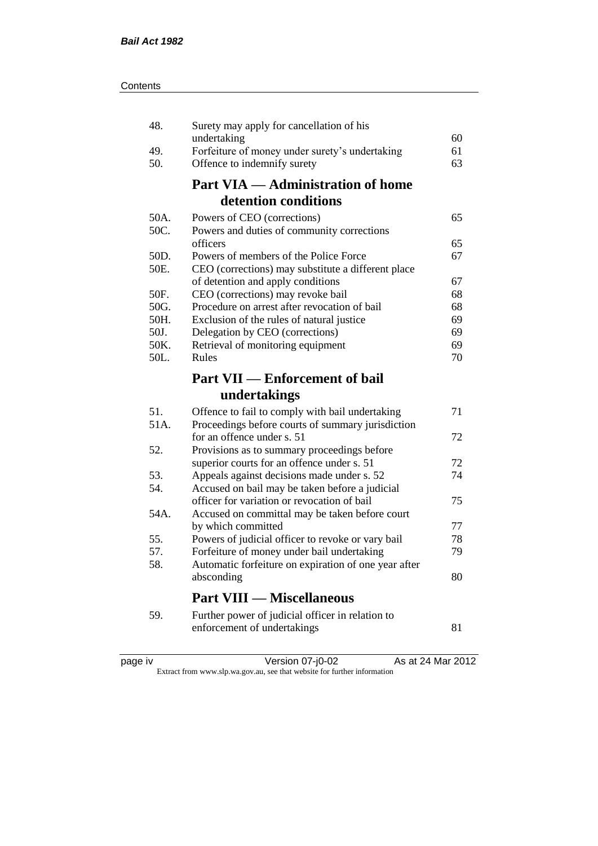| 48.  | Surety may apply for cancellation of his                                                     |    |
|------|----------------------------------------------------------------------------------------------|----|
|      | undertaking                                                                                  | 60 |
| 49.  | Forfeiture of money under surety's undertaking                                               | 61 |
| 50.  | Offence to indemnify surety                                                                  | 63 |
|      | <b>Part VIA — Administration of home</b>                                                     |    |
|      | detention conditions                                                                         |    |
| 50A. | Powers of CEO (corrections)                                                                  | 65 |
| 50C. | Powers and duties of community corrections                                                   |    |
|      | officers                                                                                     | 65 |
| 50D. | Powers of members of the Police Force                                                        | 67 |
| 50E. | CEO (corrections) may substitute a different place                                           |    |
|      | of detention and apply conditions                                                            | 67 |
| 50F. | CEO (corrections) may revoke bail                                                            | 68 |
| 50G. | Procedure on arrest after revocation of bail                                                 | 68 |
| 50H. | Exclusion of the rules of natural justice                                                    | 69 |
| 50J. | Delegation by CEO (corrections)                                                              | 69 |
| 50K. | Retrieval of monitoring equipment                                                            | 69 |
| 50L. | Rules                                                                                        | 70 |
|      | <b>Part VII — Enforcement of bail</b>                                                        |    |
|      |                                                                                              |    |
|      | undertakings                                                                                 |    |
|      |                                                                                              | 71 |
| 51.  | Offence to fail to comply with bail undertaking                                              |    |
| 51A. | Proceedings before courts of summary jurisdiction<br>for an offence under s. 51              | 72 |
| 52.  |                                                                                              |    |
|      | Provisions as to summary proceedings before                                                  | 72 |
| 53.  | superior courts for an offence under s. 51                                                   | 74 |
| 54.  | Appeals against decisions made under s. 52<br>Accused on bail may be taken before a judicial |    |
|      | officer for variation or revocation of bail                                                  | 75 |
| 54A. | Accused on committal may be taken before court                                               |    |
|      | by which committed                                                                           | 77 |
| 55.  | Powers of judicial officer to revoke or vary bail                                            | 78 |
| 57.  | Forfeiture of money under bail undertaking                                                   | 79 |
| 58.  | Automatic forfeiture on expiration of one year after                                         |    |
|      | absconding                                                                                   | 80 |
|      | <b>Part VIII — Miscellaneous</b>                                                             |    |
|      |                                                                                              |    |
| 59.  | Further power of judicial officer in relation to<br>enforcement of undertakings              | 81 |

| د،<br>חאנ |  |
|-----------|--|
|           |  |
|           |  |
|           |  |

page iv Version 07-j0-02 As at 24 Mar 2012

Extract from www.slp.wa.gov.au, see that website for further information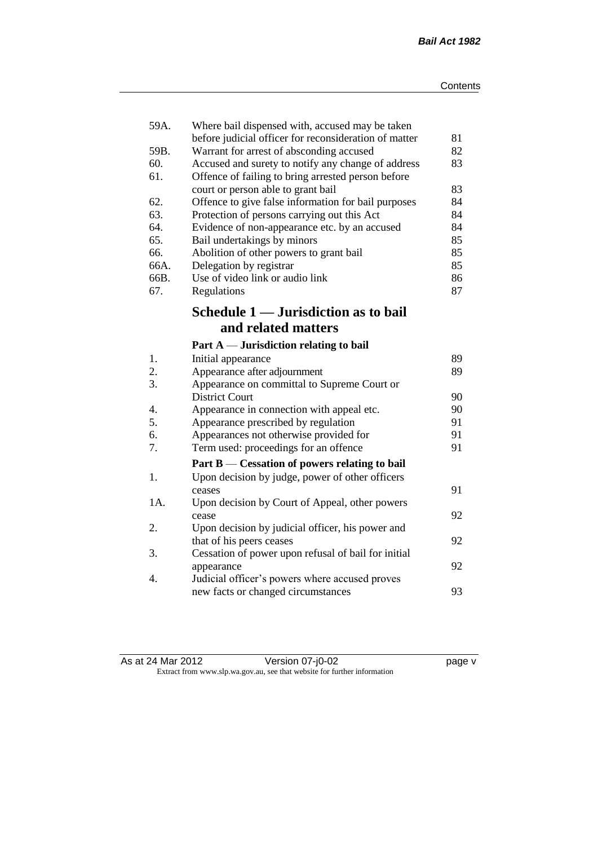| 59A. | Where bail dispensed with, accused may be taken       |    |
|------|-------------------------------------------------------|----|
|      | before judicial officer for reconsideration of matter | 81 |
| 59B. | Warrant for arrest of absconding accused              | 82 |
| 60.  | Accused and surety to notify any change of address    | 83 |
| 61.  | Offence of failing to bring arrested person before    |    |
|      | court or person able to grant bail                    | 83 |
| 62.  | Offence to give false information for bail purposes   | 84 |
| 63.  | Protection of persons carrying out this Act           | 84 |
| 64.  | Evidence of non-appearance etc. by an accused         | 84 |
| 65.  | Bail undertakings by minors                           | 85 |
| 66.  | Abolition of other powers to grant bail               | 85 |
| 66A. | Delegation by registrar                               | 85 |
| 66B. | Use of video link or audio link                       | 86 |
| 67.  | Regulations                                           | 87 |
|      | Schedule 1 — Jurisdiction as to bail                  |    |
|      | and related matters                                   |    |
|      | Part $A$ — Jurisdiction relating to bail              |    |
| 1.   | Initial appearance                                    | 89 |
| 2.   | Appearance after adjournment                          | 89 |
| 3.   | Appearance on committal to Supreme Court or           |    |
|      | <b>District Court</b>                                 | 90 |
| 4.   | Appearance in connection with appeal etc.             | 90 |
| 5.   | Appearance prescribed by regulation                   | 91 |
| 6.   | Appearances not otherwise provided for                | 91 |
| 7.   | Term used: proceedings for an offence                 | 91 |
|      | Part B — Cessation of powers relating to bail         |    |
| 1.   | Upon decision by judge, power of other officers       |    |
|      | ceases                                                | 91 |
| 1A.  | Upon decision by Court of Appeal, other powers        |    |
|      | cease                                                 | 92 |
| 2.   | Upon decision by judicial officer, his power and      |    |
|      | that of his peers ceases                              | 92 |
| 3.   | Cessation of power upon refusal of bail for initial   |    |
|      | appearance                                            | 92 |
| 4.   | Judicial officer's powers where accused proves        |    |
|      | new facts or changed circumstances                    | 93 |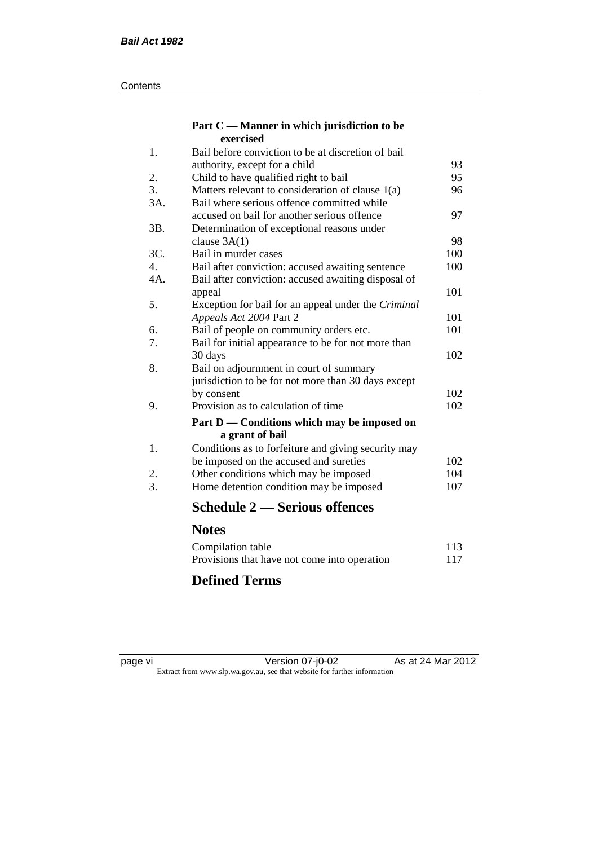#### **Contents**

#### **Part C — Manner in which jurisdiction to be exercised**

| 1.  | Bail before conviction to be at discretion of bail  |     |
|-----|-----------------------------------------------------|-----|
|     | authority, except for a child                       | 93  |
| 2.  | Child to have qualified right to bail               | 95  |
| 3.  | Matters relevant to consideration of clause $1(a)$  | 96  |
| 3A. | Bail where serious offence committed while          |     |
|     | accused on bail for another serious offence         | 97  |
| 3B. | Determination of exceptional reasons under          |     |
|     | clause $3A(1)$                                      | 98  |
| 3C. | Bail in murder cases                                | 100 |
| 4.  | Bail after conviction: accused awaiting sentence    | 100 |
| 4A. | Bail after conviction: accused awaiting disposal of |     |
|     | appeal                                              | 101 |
| 5.  | Exception for bail for an appeal under the Criminal |     |
|     | Appeals Act 2004 Part 2                             | 101 |
| 6.  | Bail of people on community orders etc.             | 101 |
| 7.  | Bail for initial appearance to be for not more than |     |
|     | 30 days                                             | 102 |
| 8.  | Bail on adjournment in court of summary             |     |
|     | jurisdiction to be for not more than 30 days except |     |
|     | by consent                                          | 102 |
| 9.  | Provision as to calculation of time                 | 102 |
|     | Part D — Conditions which may be imposed on         |     |
|     | a grant of bail                                     |     |
| 1.  | Conditions as to forfeiture and giving security may |     |
|     | be imposed on the accused and sureties              | 102 |
| 2.  | Other conditions which may be imposed               | 104 |
| 3.  | Home detention condition may be imposed             | 107 |
|     | <b>Schedule 2 — Serious offences</b>                |     |
|     | <b>Notes</b>                                        |     |
|     | Compilation table                                   | 113 |
|     |                                                     |     |

### Provisions that have not come into operation 117 **Defined Terms**

page vi Version 07-j0-02 As at 24 Mar 2012 Extract from www.slp.wa.gov.au, see that website for further information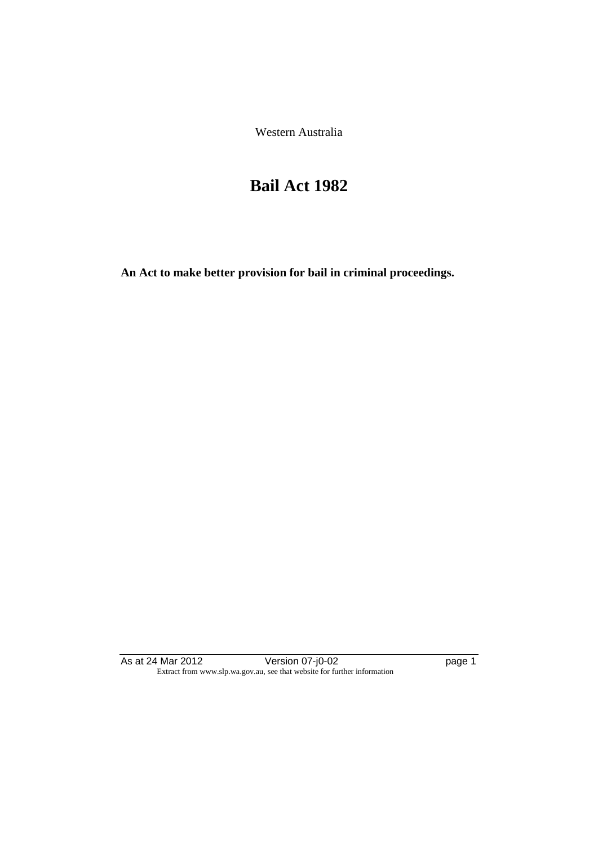Western Australia

## **Bail Act 1982**

**An Act to make better provision for bail in criminal proceedings.** 

As at 24 Mar 2012 Version 07-j0-02 page 1 Extract from www.slp.wa.gov.au, see that website for further information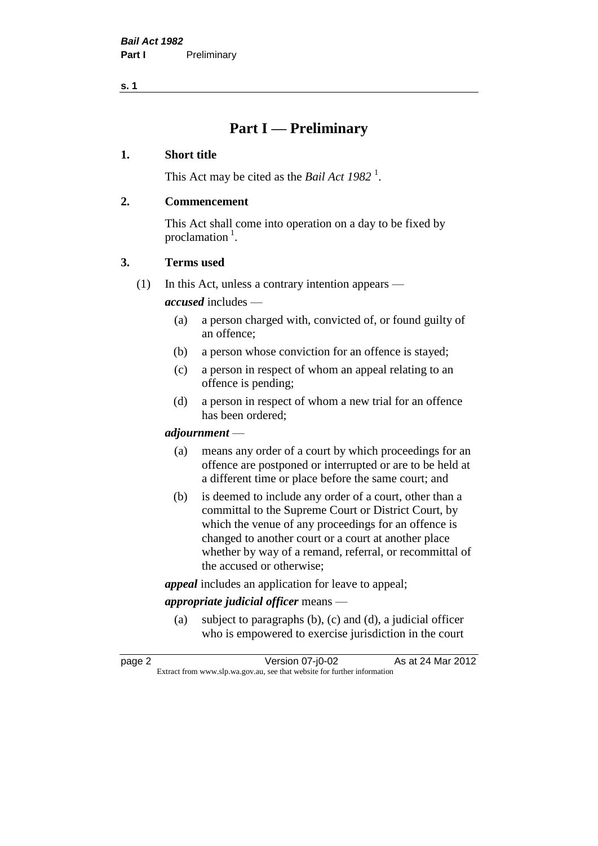**s. 1**

## **Part I — Preliminary**

#### **1. Short title**

This Act may be cited as the *Bail Act* 1982<sup>1</sup>.

#### **2. Commencement**

This Act shall come into operation on a day to be fixed by proclamation  $<sup>1</sup>$ .</sup>

#### **3. Terms used**

(1) In this Act, unless a contrary intention appears —

*accused* includes —

- (a) a person charged with, convicted of, or found guilty of an offence;
- (b) a person whose conviction for an offence is stayed;
- (c) a person in respect of whom an appeal relating to an offence is pending;
- (d) a person in respect of whom a new trial for an offence has been ordered;

#### *adjournment* —

- (a) means any order of a court by which proceedings for an offence are postponed or interrupted or are to be held at a different time or place before the same court; and
- (b) is deemed to include any order of a court, other than a committal to the Supreme Court or District Court, by which the venue of any proceedings for an offence is changed to another court or a court at another place whether by way of a remand, referral, or recommittal of the accused or otherwise;

*appeal* includes an application for leave to appeal;

#### *appropriate judicial officer* means —

(a) subject to paragraphs (b), (c) and (d), a judicial officer who is empowered to exercise jurisdiction in the court

| page 2 | Version 07-j0-02                                                         | As at 24 Mar 2012 |
|--------|--------------------------------------------------------------------------|-------------------|
|        | Extract from www.slp.wa.gov.au, see that website for further information |                   |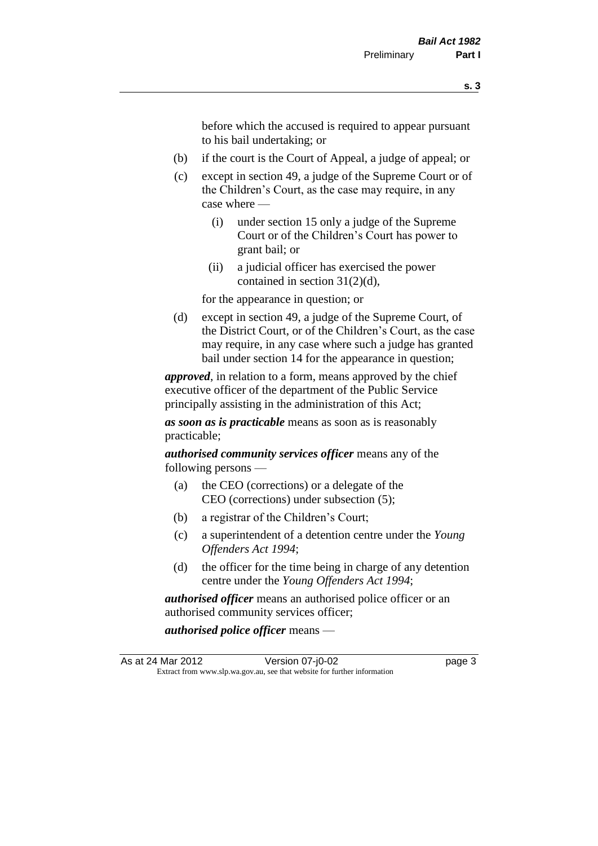before which the accused is required to appear pursuant to his bail undertaking; or

- (b) if the court is the Court of Appeal, a judge of appeal; or
- (c) except in section 49, a judge of the Supreme Court or of the Children's Court, as the case may require, in any case where —
	- (i) under section 15 only a judge of the Supreme Court or of the Children's Court has power to grant bail; or
	- (ii) a judicial officer has exercised the power contained in section 31(2)(d),

for the appearance in question; or

(d) except in section 49, a judge of the Supreme Court, of the District Court, or of the Children's Court, as the case may require, in any case where such a judge has granted bail under section 14 for the appearance in question;

*approved*, in relation to a form, means approved by the chief executive officer of the department of the Public Service principally assisting in the administration of this Act;

*as soon as is practicable* means as soon as is reasonably practicable;

*authorised community services officer* means any of the following persons —

- (a) the CEO (corrections) or a delegate of the CEO (corrections) under subsection (5);
- (b) a registrar of the Children's Court;
- (c) a superintendent of a detention centre under the *Young Offenders Act 1994*;
- (d) the officer for the time being in charge of any detention centre under the *Young Offenders Act 1994*;

*authorised officer* means an authorised police officer or an authorised community services officer;

*authorised police officer* means —

As at 24 Mar 2012 **Version 07-j0-02 page 3** Extract from www.slp.wa.gov.au, see that website for further information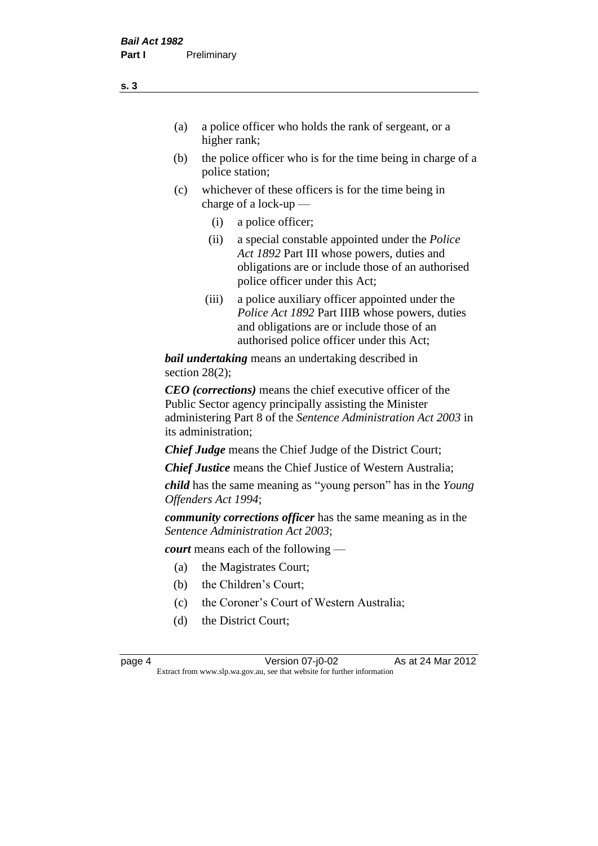- (a) a police officer who holds the rank of sergeant, or a higher rank;
- (b) the police officer who is for the time being in charge of a police station;
- (c) whichever of these officers is for the time being in charge of a lock-up —
	- (i) a police officer;
	- (ii) a special constable appointed under the *Police Act 1892* Part III whose powers, duties and obligations are or include those of an authorised police officer under this Act;
	- (iii) a police auxiliary officer appointed under the *Police Act 1892* Part IIIB whose powers, duties and obligations are or include those of an authorised police officer under this Act;

*bail undertaking* means an undertaking described in section 28(2);

*CEO (corrections)* means the chief executive officer of the Public Sector agency principally assisting the Minister administering Part 8 of the *Sentence Administration Act 2003* in its administration;

*Chief Judge* means the Chief Judge of the District Court;

*Chief Justice* means the Chief Justice of Western Australia;

*child* has the same meaning as "young person" has in the *Young Offenders Act 1994*;

*community corrections officer* has the same meaning as in the *Sentence Administration Act 2003*;

*court* means each of the following —

- (a) the Magistrates Court;
- (b) the Children's Court;
- (c) the Coroner's Court of Western Australia;
- (d) the District Court;

page 4 Version 07-j0-02 As at 24 Mar 2012 Extract from www.slp.wa.gov.au, see that website for further information

#### **s. 3**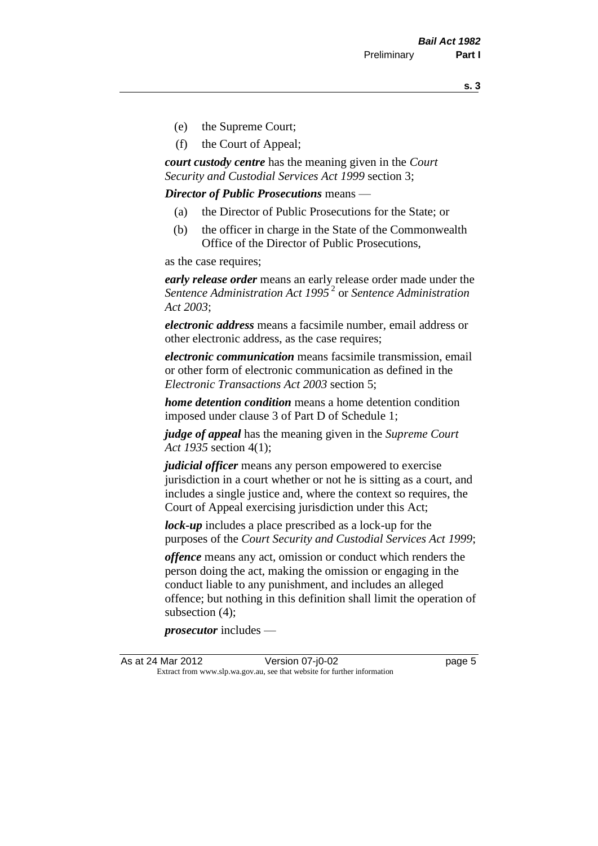**s. 3**

- (e) the Supreme Court;
- (f) the Court of Appeal;

*court custody centre* has the meaning given in the *Court Security and Custodial Services Act 1999* section 3;

*Director of Public Prosecutions* means —

- (a) the Director of Public Prosecutions for the State; or
- (b) the officer in charge in the State of the Commonwealth Office of the Director of Public Prosecutions,

as the case requires;

*early release order* means an early release order made under the *Sentence Administration Act 1995* <sup>2</sup> or *Sentence Administration Act 2003*;

*electronic address* means a facsimile number, email address or other electronic address, as the case requires;

*electronic communication* means facsimile transmission, email or other form of electronic communication as defined in the *Electronic Transactions Act 2003* section 5;

*home detention condition* means a home detention condition imposed under clause 3 of Part D of Schedule 1;

*judge of appeal* has the meaning given in the *Supreme Court Act 1935* section 4(1);

*judicial officer* means any person empowered to exercise jurisdiction in a court whether or not he is sitting as a court, and includes a single justice and, where the context so requires, the Court of Appeal exercising jurisdiction under this Act;

*lock-up* includes a place prescribed as a lock-up for the purposes of the *Court Security and Custodial Services Act 1999*;

*offence* means any act, omission or conduct which renders the person doing the act, making the omission or engaging in the conduct liable to any punishment, and includes an alleged offence; but nothing in this definition shall limit the operation of subsection (4);

*prosecutor* includes —

As at 24 Mar 2012 **Version 07-j0-02 Page 5** Extract from www.slp.wa.gov.au, see that website for further information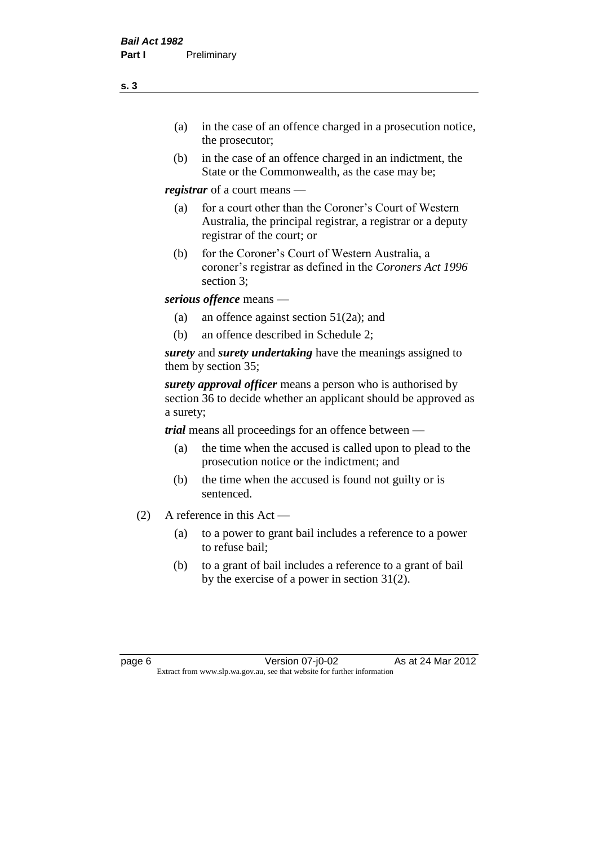- (a) in the case of an offence charged in a prosecution notice, the prosecutor;
- (b) in the case of an offence charged in an indictment, the State or the Commonwealth, as the case may be;

*registrar* of a court means —

- (a) for a court other than the Coroner's Court of Western Australia, the principal registrar, a registrar or a deputy registrar of the court; or
- (b) for the Coroner's Court of Western Australia, a coroner's registrar as defined in the *Coroners Act 1996* section 3;

*serious offence* means —

- (a) an offence against section 51(2a); and
- (b) an offence described in Schedule 2;

*surety* and *surety undertaking* have the meanings assigned to them by section 35;

*surety approval officer* means a person who is authorised by section 36 to decide whether an applicant should be approved as a surety;

*trial* means all proceedings for an offence between —

- (a) the time when the accused is called upon to plead to the prosecution notice or the indictment; and
- (b) the time when the accused is found not guilty or is sentenced.
- (2) A reference in this Act
	- (a) to a power to grant bail includes a reference to a power to refuse bail;
	- (b) to a grant of bail includes a reference to a grant of bail by the exercise of a power in section 31(2).

page 6 Version 07-j0-02 As at 24 Mar 2012 Extract from www.slp.wa.gov.au, see that website for further information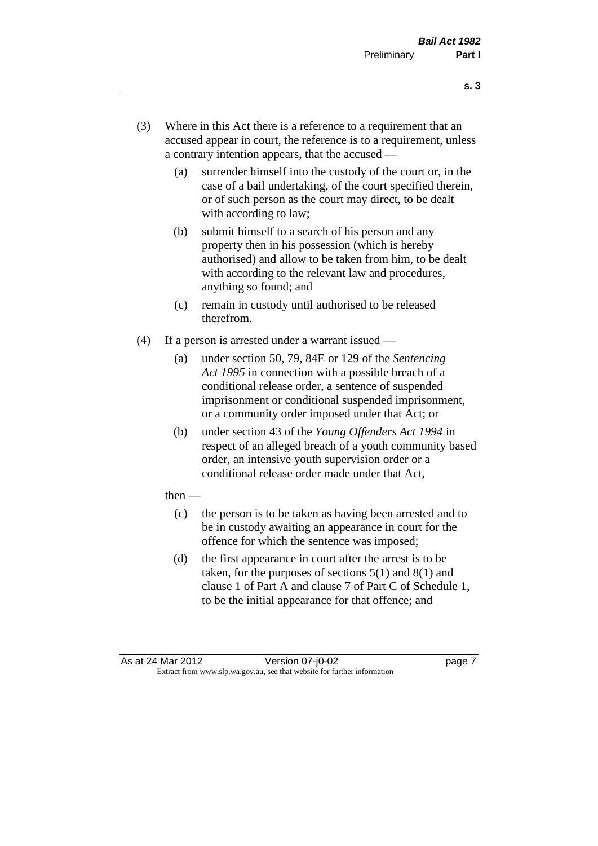- **s. 3**
- (3) Where in this Act there is a reference to a requirement that an accused appear in court, the reference is to a requirement, unless a contrary intention appears, that the accused —
	- (a) surrender himself into the custody of the court or, in the case of a bail undertaking, of the court specified therein, or of such person as the court may direct, to be dealt with according to law;
	- (b) submit himself to a search of his person and any property then in his possession (which is hereby authorised) and allow to be taken from him, to be dealt with according to the relevant law and procedures, anything so found; and
	- (c) remain in custody until authorised to be released therefrom.
- (4) If a person is arrested under a warrant issued
	- (a) under section 50, 79, 84E or 129 of the *Sentencing Act 1995* in connection with a possible breach of a conditional release order, a sentence of suspended imprisonment or conditional suspended imprisonment, or a community order imposed under that Act; or
	- (b) under section 43 of the *Young Offenders Act 1994* in respect of an alleged breach of a youth community based order, an intensive youth supervision order or a conditional release order made under that Act,
	- then
		- (c) the person is to be taken as having been arrested and to be in custody awaiting an appearance in court for the offence for which the sentence was imposed;
		- (d) the first appearance in court after the arrest is to be taken, for the purposes of sections  $5(1)$  and  $8(1)$  and clause 1 of Part A and clause 7 of Part C of Schedule 1, to be the initial appearance for that offence; and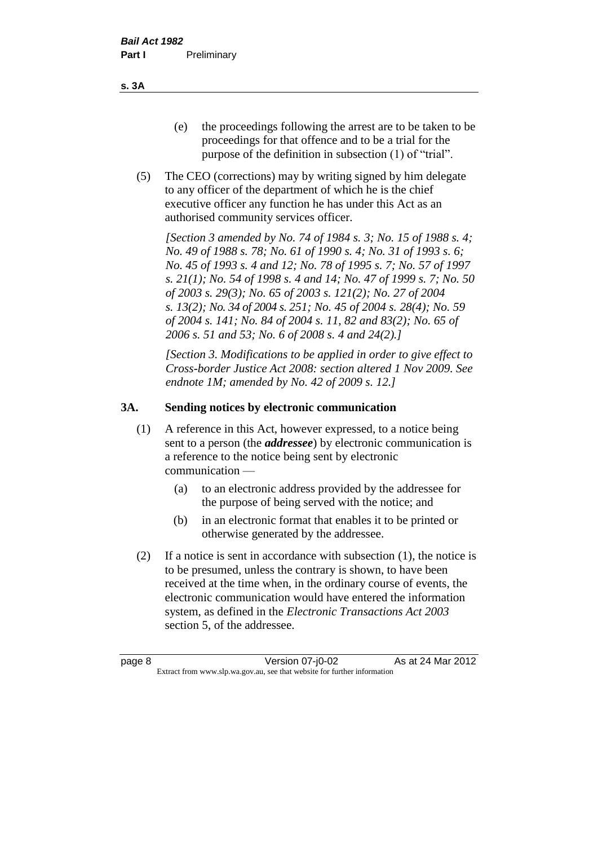**s. 3A**

- (e) the proceedings following the arrest are to be taken to be proceedings for that offence and to be a trial for the purpose of the definition in subsection (1) of "trial".
- (5) The CEO (corrections) may by writing signed by him delegate to any officer of the department of which he is the chief executive officer any function he has under this Act as an authorised community services officer.

*[Section 3 amended by No. 74 of 1984 s. 3; No. 15 of 1988 s. 4; No. 49 of 1988 s. 78; No. 61 of 1990 s. 4; No. 31 of 1993 s. 6; No. 45 of 1993 s. 4 and 12; No. 78 of 1995 s. 7; No. 57 of 1997 s. 21(1); No. 54 of 1998 s. 4 and 14; No. 47 of 1999 s. 7; No. 50 of 2003 s. 29(3); No. 65 of 2003 s. 121(2); No. 27 of 2004 s. 13(2); No. 34 of 2004 s. 251; No. 45 of 2004 s. 28(4); No. 59 of 2004 s. 141; No. 84 of 2004 s. 11, 82 and 83(2); No. 65 of 2006 s. 51 and 53; No. 6 of 2008 s. 4 and 24(2).]* 

*[Section 3. Modifications to be applied in order to give effect to Cross-border Justice Act 2008: section altered 1 Nov 2009. See endnote 1M; amended by No. 42 of 2009 s. 12.]*

#### **3A. Sending notices by electronic communication**

- (1) A reference in this Act, however expressed, to a notice being sent to a person (the *addressee*) by electronic communication is a reference to the notice being sent by electronic communication —
	- (a) to an electronic address provided by the addressee for the purpose of being served with the notice; and
	- (b) in an electronic format that enables it to be printed or otherwise generated by the addressee.
- (2) If a notice is sent in accordance with subsection (1), the notice is to be presumed, unless the contrary is shown, to have been received at the time when, in the ordinary course of events, the electronic communication would have entered the information system, as defined in the *Electronic Transactions Act 2003* section 5, of the addressee.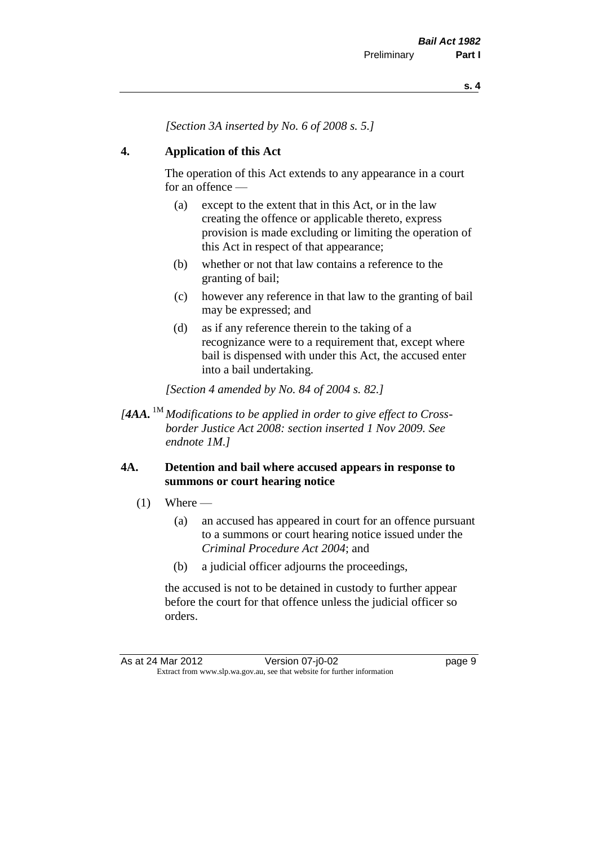*[Section 3A inserted by No. 6 of 2008 s. 5.]*

#### **4. Application of this Act**

The operation of this Act extends to any appearance in a court for an offence —

- (a) except to the extent that in this Act, or in the law creating the offence or applicable thereto, express provision is made excluding or limiting the operation of this Act in respect of that appearance;
- (b) whether or not that law contains a reference to the granting of bail;
- (c) however any reference in that law to the granting of bail may be expressed; and
- (d) as if any reference therein to the taking of a recognizance were to a requirement that, except where bail is dispensed with under this Act, the accused enter into a bail undertaking.

*[Section 4 amended by No. 84 of 2004 s. 82.]*

*[4AA.* 1M *Modifications to be applied in order to give effect to Crossborder Justice Act 2008: section inserted 1 Nov 2009. See endnote 1M.]*

#### **4A. Detention and bail where accused appears in response to summons or court hearing notice**

- $(1)$  Where
	- (a) an accused has appeared in court for an offence pursuant to a summons or court hearing notice issued under the *Criminal Procedure Act 2004*; and
	- (b) a judicial officer adjourns the proceedings,

the accused is not to be detained in custody to further appear before the court for that offence unless the judicial officer so orders.

As at 24 Mar 2012 **Version 07-j0-02 page 9** Extract from www.slp.wa.gov.au, see that website for further information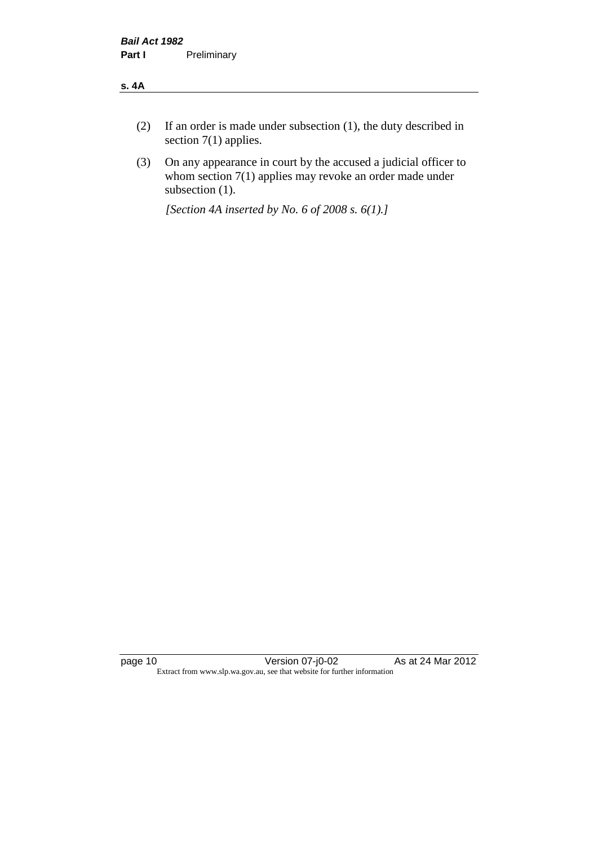#### **s. 4A**

- (2) If an order is made under subsection (1), the duty described in section 7(1) applies.
- (3) On any appearance in court by the accused a judicial officer to whom section 7(1) applies may revoke an order made under subsection (1).

*[Section 4A inserted by No. 6 of 2008 s. 6(1).]*

page 10 Version 07-j0-02 As at 24 Mar 2012 Extract from www.slp.wa.gov.au, see that website for further information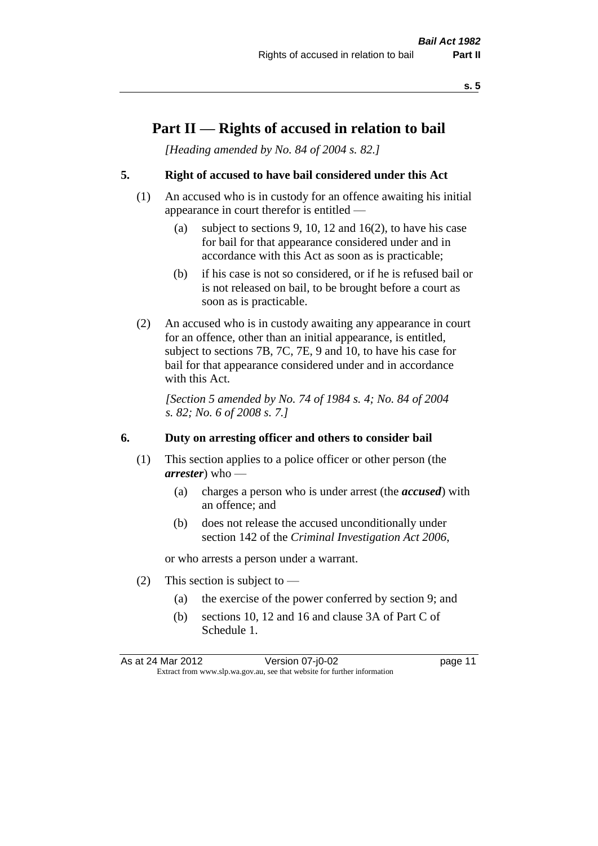## **Part II — Rights of accused in relation to bail**

*[Heading amended by No. 84 of 2004 s. 82.]* 

#### **5. Right of accused to have bail considered under this Act**

- (1) An accused who is in custody for an offence awaiting his initial appearance in court therefor is entitled —
	- (a) subject to sections 9, 10, 12 and 16(2), to have his case for bail for that appearance considered under and in accordance with this Act as soon as is practicable;
	- (b) if his case is not so considered, or if he is refused bail or is not released on bail, to be brought before a court as soon as is practicable.
- (2) An accused who is in custody awaiting any appearance in court for an offence, other than an initial appearance, is entitled, subject to sections 7B, 7C, 7E, 9 and 10, to have his case for bail for that appearance considered under and in accordance with this Act.

*[Section 5 amended by No. 74 of 1984 s. 4; No. 84 of 2004 s. 82; No. 6 of 2008 s. 7.]* 

#### **6. Duty on arresting officer and others to consider bail**

- (1) This section applies to a police officer or other person (the *arrester*) who —
	- (a) charges a person who is under arrest (the *accused*) with an offence; and
	- (b) does not release the accused unconditionally under section 142 of the *Criminal Investigation Act 2006*,

or who arrests a person under a warrant.

- (2) This section is subject to  $-$ 
	- (a) the exercise of the power conferred by section 9; and
	- (b) sections 10, 12 and 16 and clause 3A of Part C of Schedule 1.

As at 24 Mar 2012 Version 07-j0-02 page 11 Extract from www.slp.wa.gov.au, see that website for further information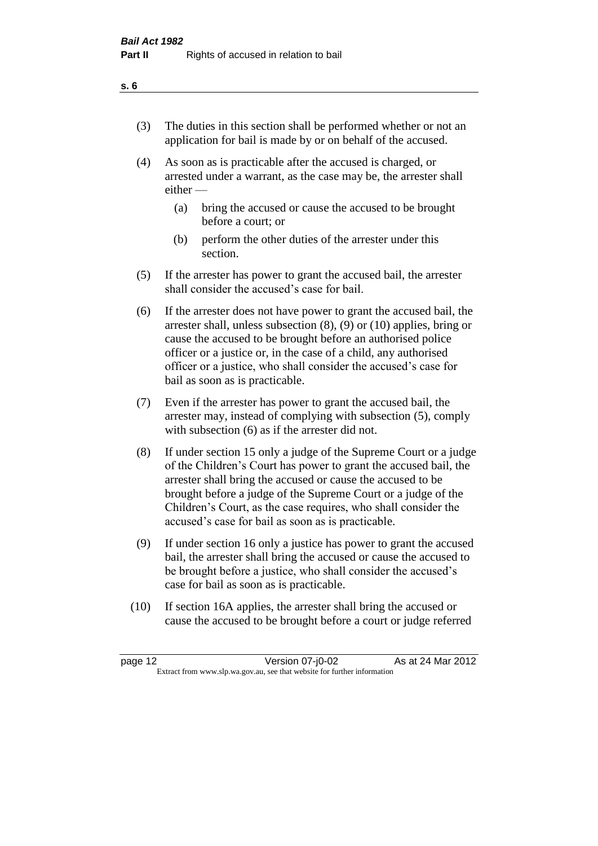- (3) The duties in this section shall be performed whether or not an application for bail is made by or on behalf of the accused.
- (4) As soon as is practicable after the accused is charged, or arrested under a warrant, as the case may be, the arrester shall either —
	- (a) bring the accused or cause the accused to be brought before a court; or
	- (b) perform the other duties of the arrester under this section.
- (5) If the arrester has power to grant the accused bail, the arrester shall consider the accused's case for bail.
- (6) If the arrester does not have power to grant the accused bail, the arrester shall, unless subsection (8), (9) or (10) applies, bring or cause the accused to be brought before an authorised police officer or a justice or, in the case of a child, any authorised officer or a justice, who shall consider the accused's case for bail as soon as is practicable.
- (7) Even if the arrester has power to grant the accused bail, the arrester may, instead of complying with subsection (5), comply with subsection (6) as if the arrester did not.
- (8) If under section 15 only a judge of the Supreme Court or a judge of the Children's Court has power to grant the accused bail, the arrester shall bring the accused or cause the accused to be brought before a judge of the Supreme Court or a judge of the Children's Court, as the case requires, who shall consider the accused's case for bail as soon as is practicable.
- (9) If under section 16 only a justice has power to grant the accused bail, the arrester shall bring the accused or cause the accused to be brought before a justice, who shall consider the accused's case for bail as soon as is practicable.
- (10) If section 16A applies, the arrester shall bring the accused or cause the accused to be brought before a court or judge referred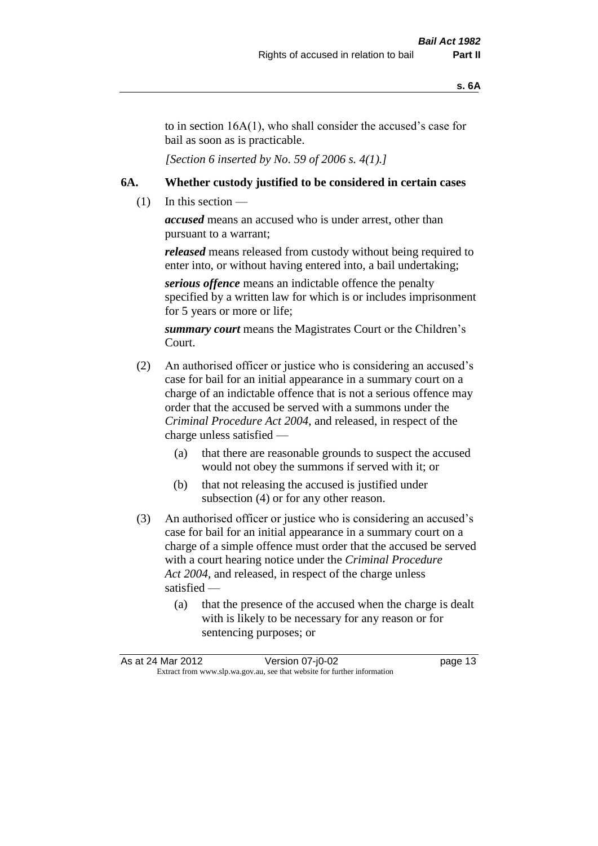to in section 16A(1), who shall consider the accused's case for bail as soon as is practicable.

*[Section 6 inserted by No. 59 of 2006 s. 4(1).]* 

#### **6A. Whether custody justified to be considered in certain cases**

 $(1)$  In this section —

*accused* means an accused who is under arrest, other than pursuant to a warrant;

*released* means released from custody without being required to enter into, or without having entered into, a bail undertaking;

*serious offence* means an indictable offence the penalty specified by a written law for which is or includes imprisonment for 5 years or more or life;

*summary court* means the Magistrates Court or the Children's Court.

- (2) An authorised officer or justice who is considering an accused's case for bail for an initial appearance in a summary court on a charge of an indictable offence that is not a serious offence may order that the accused be served with a summons under the *Criminal Procedure Act 2004*, and released, in respect of the charge unless satisfied —
	- (a) that there are reasonable grounds to suspect the accused would not obey the summons if served with it; or
	- (b) that not releasing the accused is justified under subsection (4) or for any other reason.
- (3) An authorised officer or justice who is considering an accused's case for bail for an initial appearance in a summary court on a charge of a simple offence must order that the accused be served with a court hearing notice under the *Criminal Procedure Act 2004*, and released, in respect of the charge unless satisfied —
	- (a) that the presence of the accused when the charge is dealt with is likely to be necessary for any reason or for sentencing purposes; or

| As at 24 Mar 2012 | Version 07-j0-02                                                         | page 13 |
|-------------------|--------------------------------------------------------------------------|---------|
|                   | Extract from www.slp.wa.gov.au, see that website for further information |         |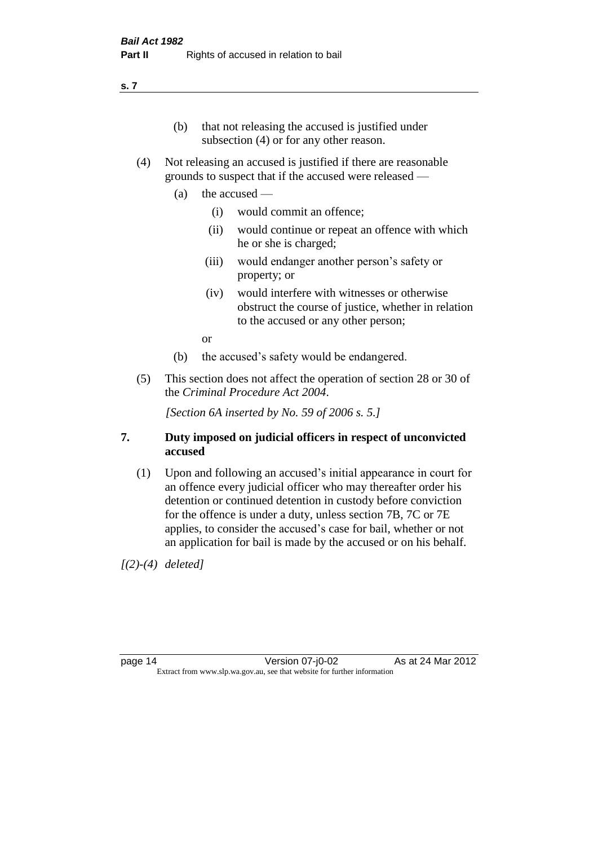#### **s. 7**

- (b) that not releasing the accused is justified under subsection (4) or for any other reason.
- (4) Not releasing an accused is justified if there are reasonable grounds to suspect that if the accused were released —
	- (a) the accused
		- (i) would commit an offence;
		- (ii) would continue or repeat an offence with which he or she is charged;
		- (iii) would endanger another person's safety or property; or
		- (iv) would interfere with witnesses or otherwise obstruct the course of justice, whether in relation to the accused or any other person;

or

- (b) the accused's safety would be endangered.
- (5) This section does not affect the operation of section 28 or 30 of the *Criminal Procedure Act 2004*.

*[Section 6A inserted by No. 59 of 2006 s. 5.]* 

#### **7. Duty imposed on judicial officers in respect of unconvicted accused**

(1) Upon and following an accused's initial appearance in court for an offence every judicial officer who may thereafter order his detention or continued detention in custody before conviction for the offence is under a duty, unless section 7B, 7C or 7E applies, to consider the accused's case for bail, whether or not an application for bail is made by the accused or on his behalf.

*[(2)-(4) deleted]*

page 14 Version 07-j0-02 As at 24 Mar 2012 Extract from www.slp.wa.gov.au, see that website for further information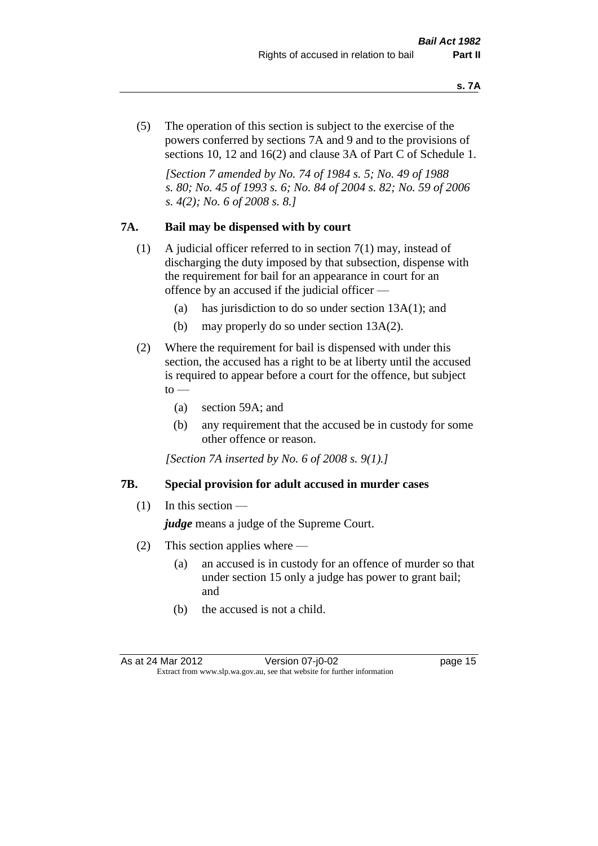(5) The operation of this section is subject to the exercise of the powers conferred by sections 7A and 9 and to the provisions of sections 10, 12 and 16(2) and clause 3A of Part C of Schedule 1.

*[Section 7 amended by No. 74 of 1984 s. 5; No. 49 of 1988 s. 80; No. 45 of 1993 s. 6; No. 84 of 2004 s. 82; No. 59 of 2006 s. 4(2); No. 6 of 2008 s. 8.]* 

#### **7A. Bail may be dispensed with by court**

- (1) A judicial officer referred to in section 7(1) may, instead of discharging the duty imposed by that subsection, dispense with the requirement for bail for an appearance in court for an offence by an accused if the judicial officer —
	- (a) has jurisdiction to do so under section 13A(1); and
	- (b) may properly do so under section 13A(2).
- (2) Where the requirement for bail is dispensed with under this section, the accused has a right to be at liberty until the accused is required to appear before a court for the offence, but subject  $\mathrm{to}$  —
	- (a) section 59A; and
	- (b) any requirement that the accused be in custody for some other offence or reason.

*[Section 7A inserted by No. 6 of 2008 s. 9(1).]*

#### **7B. Special provision for adult accused in murder cases**

 $(1)$  In this section —

*judge* means a judge of the Supreme Court.

- (2) This section applies where
	- (a) an accused is in custody for an offence of murder so that under section 15 only a judge has power to grant bail; and
	- (b) the accused is not a child.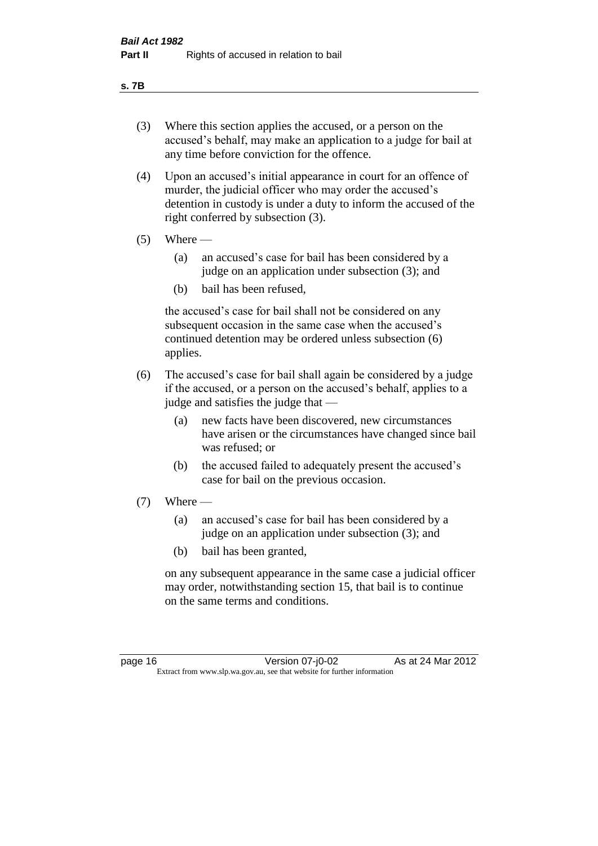#### **s. 7B**

- (3) Where this section applies the accused, or a person on the accused's behalf, may make an application to a judge for bail at any time before conviction for the offence.
- (4) Upon an accused's initial appearance in court for an offence of murder, the judicial officer who may order the accused's detention in custody is under a duty to inform the accused of the right conferred by subsection (3).
- $(5)$  Where
	- (a) an accused's case for bail has been considered by a judge on an application under subsection (3); and
	- (b) bail has been refused,

the accused's case for bail shall not be considered on any subsequent occasion in the same case when the accused's continued detention may be ordered unless subsection (6) applies.

- (6) The accused's case for bail shall again be considered by a judge if the accused, or a person on the accused's behalf, applies to a judge and satisfies the judge that —
	- (a) new facts have been discovered, new circumstances have arisen or the circumstances have changed since bail was refused; or
	- (b) the accused failed to adequately present the accused's case for bail on the previous occasion.
- $(7)$  Where
	- (a) an accused's case for bail has been considered by a judge on an application under subsection (3); and
	- (b) bail has been granted,

on any subsequent appearance in the same case a judicial officer may order, notwithstanding section 15, that bail is to continue on the same terms and conditions.

page 16 Version 07-j0-02 As at 24 Mar 2012 Extract from www.slp.wa.gov.au, see that website for further information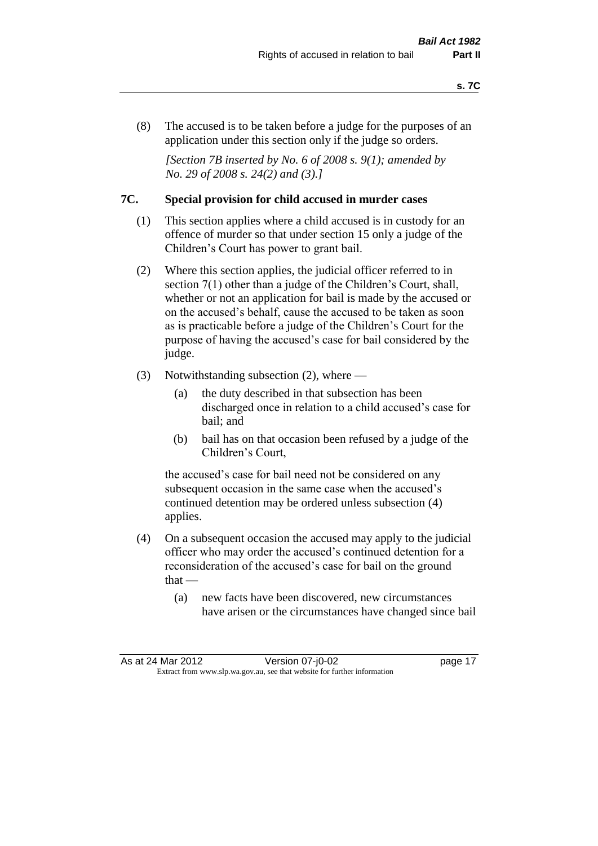(8) The accused is to be taken before a judge for the purposes of an application under this section only if the judge so orders.

*[Section 7B inserted by No. 6 of 2008 s. 9(1); amended by No. 29 of 2008 s. 24(2) and (3).]*

#### **7C. Special provision for child accused in murder cases**

- (1) This section applies where a child accused is in custody for an offence of murder so that under section 15 only a judge of the Children's Court has power to grant bail.
- (2) Where this section applies, the judicial officer referred to in section 7(1) other than a judge of the Children's Court, shall, whether or not an application for bail is made by the accused or on the accused's behalf, cause the accused to be taken as soon as is practicable before a judge of the Children's Court for the purpose of having the accused's case for bail considered by the judge.
- (3) Notwithstanding subsection (2), where
	- (a) the duty described in that subsection has been discharged once in relation to a child accused's case for bail; and
	- (b) bail has on that occasion been refused by a judge of the Children's Court,

the accused's case for bail need not be considered on any subsequent occasion in the same case when the accused's continued detention may be ordered unless subsection (4) applies.

- (4) On a subsequent occasion the accused may apply to the judicial officer who may order the accused's continued detention for a reconsideration of the accused's case for bail on the ground  $that -$ 
	- (a) new facts have been discovered, new circumstances have arisen or the circumstances have changed since bail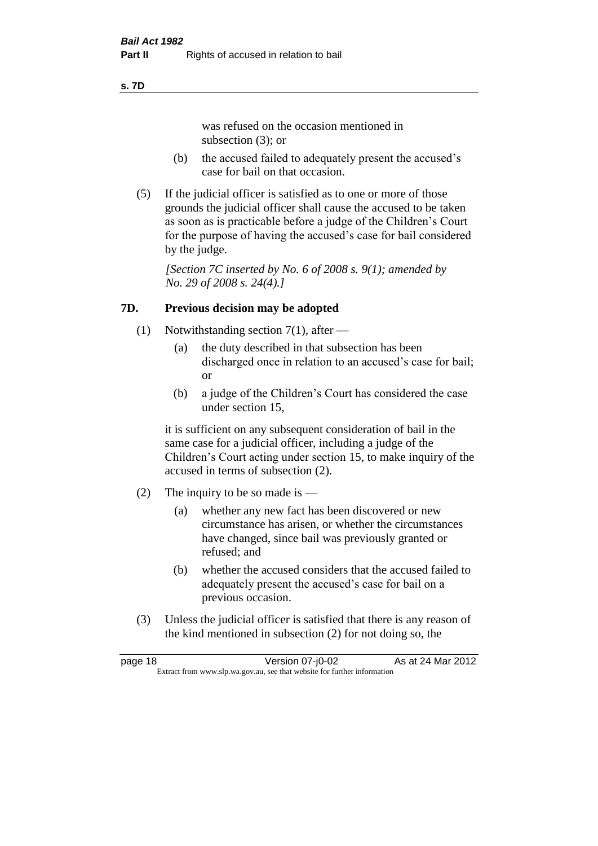#### **s. 7D**

was refused on the occasion mentioned in subsection (3); or

- (b) the accused failed to adequately present the accused's case for bail on that occasion.
- (5) If the judicial officer is satisfied as to one or more of those grounds the judicial officer shall cause the accused to be taken as soon as is practicable before a judge of the Children's Court for the purpose of having the accused's case for bail considered by the judge.

*[Section 7C inserted by No. 6 of 2008 s. 9(1); amended by No. 29 of 2008 s. 24(4).]*

#### **7D. Previous decision may be adopted**

- (1) Notwithstanding section 7(1), after
	- (a) the duty described in that subsection has been discharged once in relation to an accused's case for bail; or
	- (b) a judge of the Children's Court has considered the case under section 15,

it is sufficient on any subsequent consideration of bail in the same case for a judicial officer, including a judge of the Children's Court acting under section 15, to make inquiry of the accused in terms of subsection (2).

- (2) The inquiry to be so made is  $-$ 
	- (a) whether any new fact has been discovered or new circumstance has arisen, or whether the circumstances have changed, since bail was previously granted or refused; and
	- (b) whether the accused considers that the accused failed to adequately present the accused's case for bail on a previous occasion.
- (3) Unless the judicial officer is satisfied that there is any reason of the kind mentioned in subsection (2) for not doing so, the

page 18 Version 07-j0-02 As at 24 Mar 2012 Extract from www.slp.wa.gov.au, see that website for further information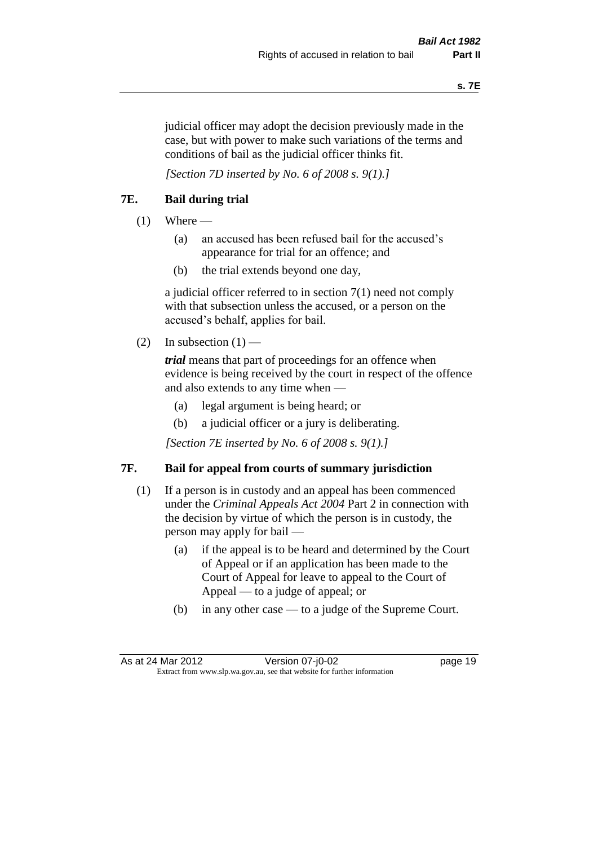judicial officer may adopt the decision previously made in the case, but with power to make such variations of the terms and conditions of bail as the judicial officer thinks fit.

*[Section 7D inserted by No. 6 of 2008 s. 9(1).]*

#### **7E. Bail during trial**

- $(1)$  Where
	- (a) an accused has been refused bail for the accused's appearance for trial for an offence; and
	- (b) the trial extends beyond one day,

a judicial officer referred to in section 7(1) need not comply with that subsection unless the accused, or a person on the accused's behalf, applies for bail.

(2) In subsection  $(1)$  —

*trial* means that part of proceedings for an offence when evidence is being received by the court in respect of the offence and also extends to any time when —

- (a) legal argument is being heard; or
- (b) a judicial officer or a jury is deliberating.

*[Section 7E inserted by No. 6 of 2008 s. 9(1).]*

#### **7F. Bail for appeal from courts of summary jurisdiction**

- (1) If a person is in custody and an appeal has been commenced under the *Criminal Appeals Act 2004* Part 2 in connection with the decision by virtue of which the person is in custody, the person may apply for bail —
	- (a) if the appeal is to be heard and determined by the Court of Appeal or if an application has been made to the Court of Appeal for leave to appeal to the Court of Appeal — to a judge of appeal; or
	- (b) in any other case to a judge of the Supreme Court.

As at 24 Mar 2012 Version 07-j0-02 page 19 Extract from www.slp.wa.gov.au, see that website for further information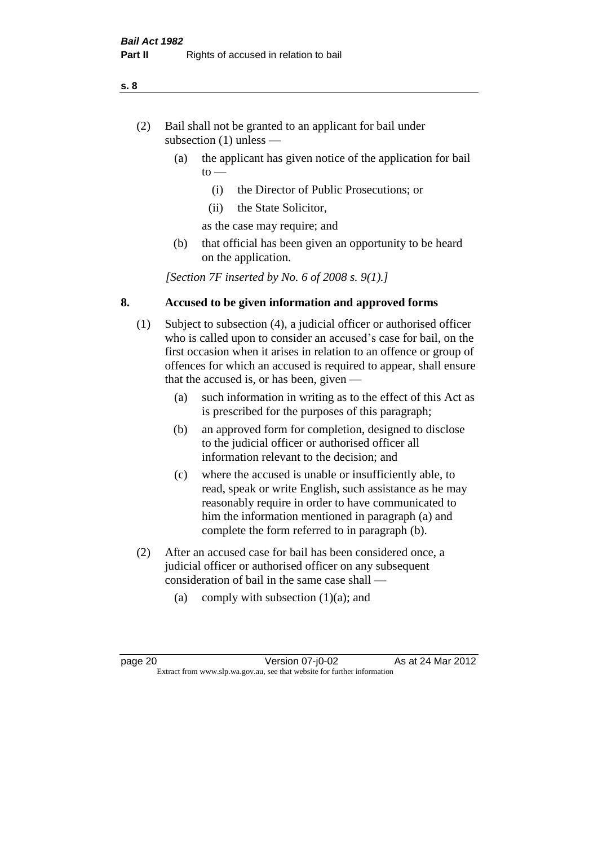- (2) Bail shall not be granted to an applicant for bail under subsection (1) unless —
	- (a) the applicant has given notice of the application for bail  $to -$ 
		- (i) the Director of Public Prosecutions; or
		- (ii) the State Solicitor,
		- as the case may require; and
	- (b) that official has been given an opportunity to be heard on the application.

*[Section 7F inserted by No. 6 of 2008 s. 9(1).]*

#### **8. Accused to be given information and approved forms**

- (1) Subject to subsection (4), a judicial officer or authorised officer who is called upon to consider an accused's case for bail, on the first occasion when it arises in relation to an offence or group of offences for which an accused is required to appear, shall ensure that the accused is, or has been, given —
	- (a) such information in writing as to the effect of this Act as is prescribed for the purposes of this paragraph;
	- (b) an approved form for completion, designed to disclose to the judicial officer or authorised officer all information relevant to the decision; and
	- (c) where the accused is unable or insufficiently able, to read, speak or write English, such assistance as he may reasonably require in order to have communicated to him the information mentioned in paragraph (a) and complete the form referred to in paragraph (b).
- (2) After an accused case for bail has been considered once, a judicial officer or authorised officer on any subsequent consideration of bail in the same case shall —
	- (a) comply with subsection  $(1)(a)$ ; and

**s. 8**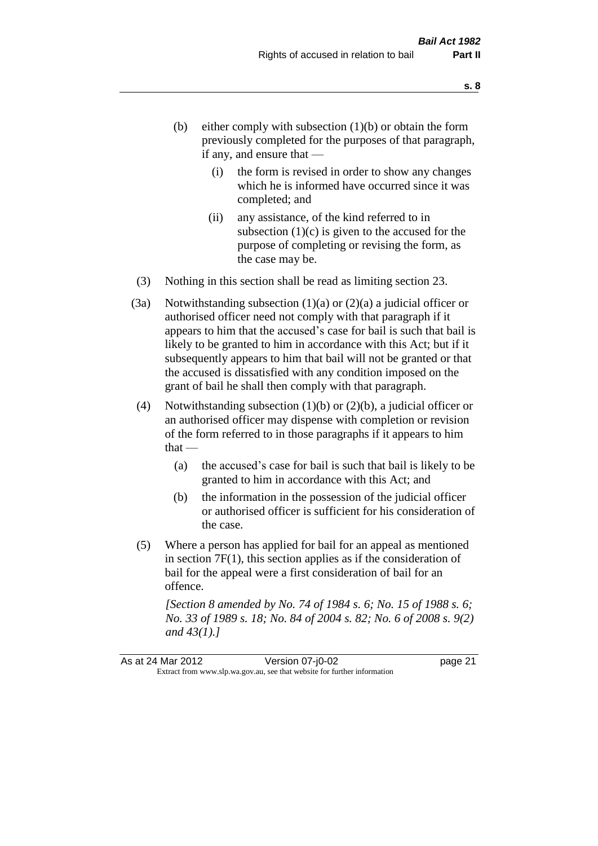- (b) either comply with subsection  $(1)(b)$  or obtain the form previously completed for the purposes of that paragraph, if any, and ensure that —
	- (i) the form is revised in order to show any changes which he is informed have occurred since it was completed; and
	- (ii) any assistance, of the kind referred to in subsection  $(1)(c)$  is given to the accused for the purpose of completing or revising the form, as the case may be.
- (3) Nothing in this section shall be read as limiting section 23.
- (3a) Notwithstanding subsection  $(1)(a)$  or  $(2)(a)$  a judicial officer or authorised officer need not comply with that paragraph if it appears to him that the accused's case for bail is such that bail is likely to be granted to him in accordance with this Act; but if it subsequently appears to him that bail will not be granted or that the accused is dissatisfied with any condition imposed on the grant of bail he shall then comply with that paragraph.
- (4) Notwithstanding subsection (1)(b) or (2)(b), a judicial officer or an authorised officer may dispense with completion or revision of the form referred to in those paragraphs if it appears to him  $that -$ 
	- (a) the accused's case for bail is such that bail is likely to be granted to him in accordance with this Act; and
	- (b) the information in the possession of the judicial officer or authorised officer is sufficient for his consideration of the case.
- (5) Where a person has applied for bail for an appeal as mentioned in section 7F(1), this section applies as if the consideration of bail for the appeal were a first consideration of bail for an offence.

*[Section 8 amended by No. 74 of 1984 s. 6; No. 15 of 1988 s. 6; No. 33 of 1989 s. 18; No. 84 of 2004 s. 82; No. 6 of 2008 s. 9(2) and 43(1).]*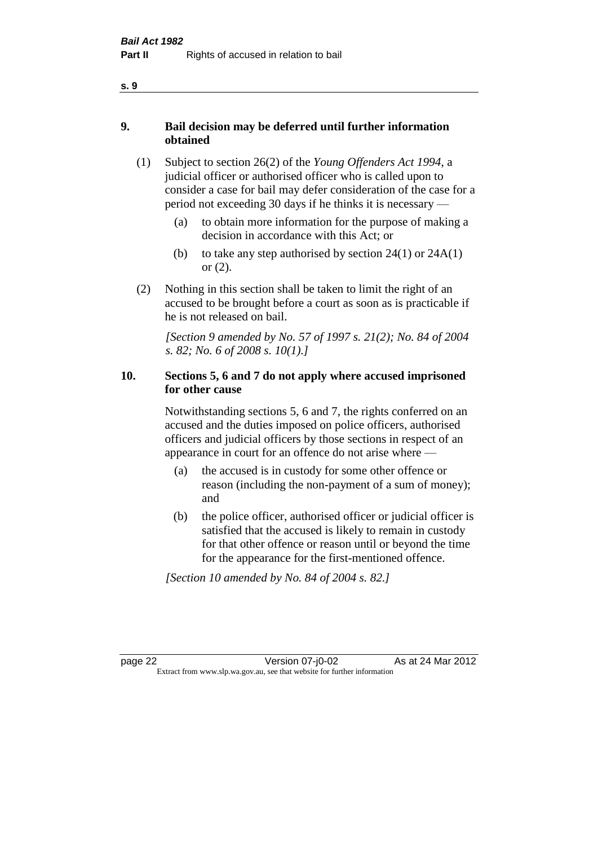- **9. Bail decision may be deferred until further information obtained** 
	- (1) Subject to section 26(2) of the *Young Offenders Act 1994*, a judicial officer or authorised officer who is called upon to consider a case for bail may defer consideration of the case for a period not exceeding 30 days if he thinks it is necessary —
		- (a) to obtain more information for the purpose of making a decision in accordance with this Act; or
		- (b) to take any step authorised by section  $24(1)$  or  $24A(1)$ or (2).
	- (2) Nothing in this section shall be taken to limit the right of an accused to be brought before a court as soon as is practicable if he is not released on bail.

*[Section 9 amended by No. 57 of 1997 s. 21(2); No. 84 of 2004 s. 82; No. 6 of 2008 s. 10(1).]*

#### **10. Sections 5, 6 and 7 do not apply where accused imprisoned for other cause**

Notwithstanding sections 5, 6 and 7, the rights conferred on an accused and the duties imposed on police officers, authorised officers and judicial officers by those sections in respect of an appearance in court for an offence do not arise where —

- (a) the accused is in custody for some other offence or reason (including the non-payment of a sum of money); and
- (b) the police officer, authorised officer or judicial officer is satisfied that the accused is likely to remain in custody for that other offence or reason until or beyond the time for the appearance for the first-mentioned offence.

*[Section 10 amended by No. 84 of 2004 s. 82.]*

page 22 Version 07-j0-02 As at 24 Mar 2012 Extract from www.slp.wa.gov.au, see that website for further information

**s. 9**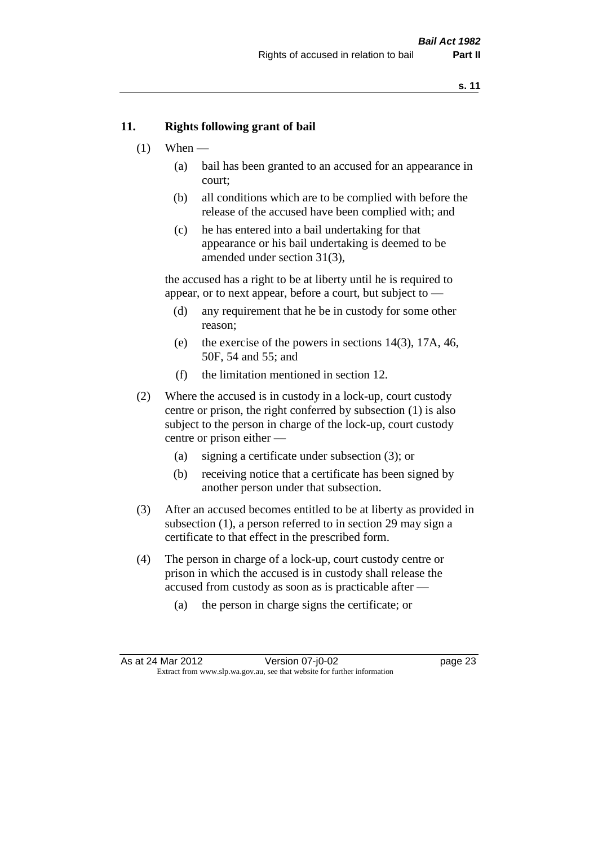#### **11. Rights following grant of bail**

- $(1)$  When
	- (a) bail has been granted to an accused for an appearance in court;
	- (b) all conditions which are to be complied with before the release of the accused have been complied with; and
	- (c) he has entered into a bail undertaking for that appearance or his bail undertaking is deemed to be amended under section 31(3),

the accused has a right to be at liberty until he is required to appear, or to next appear, before a court, but subject to —

- (d) any requirement that he be in custody for some other reason;
- (e) the exercise of the powers in sections 14(3), 17A, 46, 50F, 54 and 55; and
- (f) the limitation mentioned in section 12.
- (2) Where the accused is in custody in a lock-up, court custody centre or prison, the right conferred by subsection (1) is also subject to the person in charge of the lock-up, court custody centre or prison either —
	- (a) signing a certificate under subsection (3); or
	- (b) receiving notice that a certificate has been signed by another person under that subsection.
- (3) After an accused becomes entitled to be at liberty as provided in subsection (1), a person referred to in section 29 may sign a certificate to that effect in the prescribed form.
- (4) The person in charge of a lock-up, court custody centre or prison in which the accused is in custody shall release the accused from custody as soon as is practicable after —
	- (a) the person in charge signs the certificate; or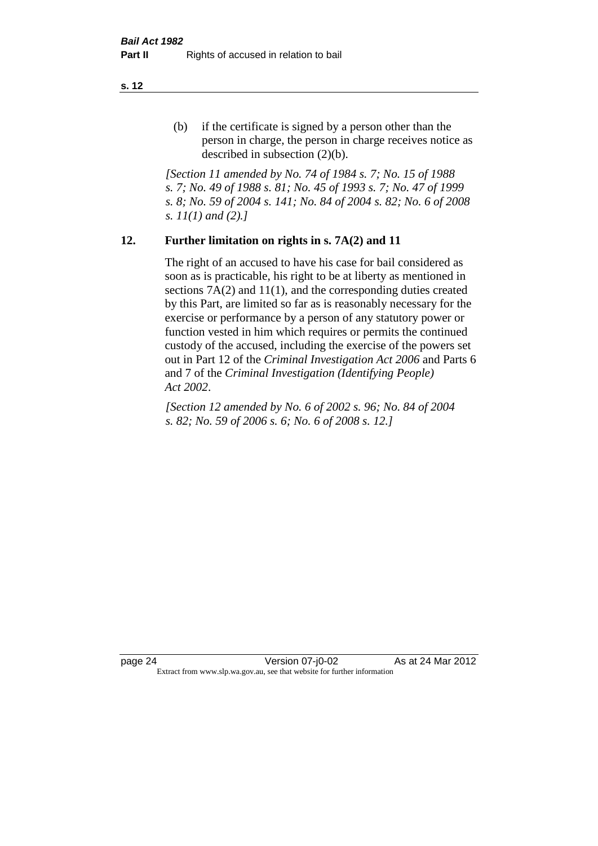(b) if the certificate is signed by a person other than the person in charge, the person in charge receives notice as described in subsection (2)(b).

*[Section 11 amended by No. 74 of 1984 s. 7; No. 15 of 1988 s. 7; No. 49 of 1988 s. 81; No. 45 of 1993 s. 7; No. 47 of 1999 s. 8; No. 59 of 2004 s. 141; No. 84 of 2004 s. 82; No. 6 of 2008 s. 11(1) and (2).]* 

#### **12. Further limitation on rights in s. 7A(2) and 11**

The right of an accused to have his case for bail considered as soon as is practicable, his right to be at liberty as mentioned in sections 7A(2) and 11(1), and the corresponding duties created by this Part, are limited so far as is reasonably necessary for the exercise or performance by a person of any statutory power or function vested in him which requires or permits the continued custody of the accused, including the exercise of the powers set out in Part 12 of the *Criminal Investigation Act 2006* and Parts 6 and 7 of the *Criminal Investigation (Identifying People) Act 2002*.

*[Section 12 amended by No. 6 of 2002 s. 96; No. 84 of 2004 s. 82; No. 59 of 2006 s. 6; No. 6 of 2008 s. 12.]*

page 24 Version 07-j0-02 As at 24 Mar 2012 Extract from www.slp.wa.gov.au, see that website for further information

**s. 12**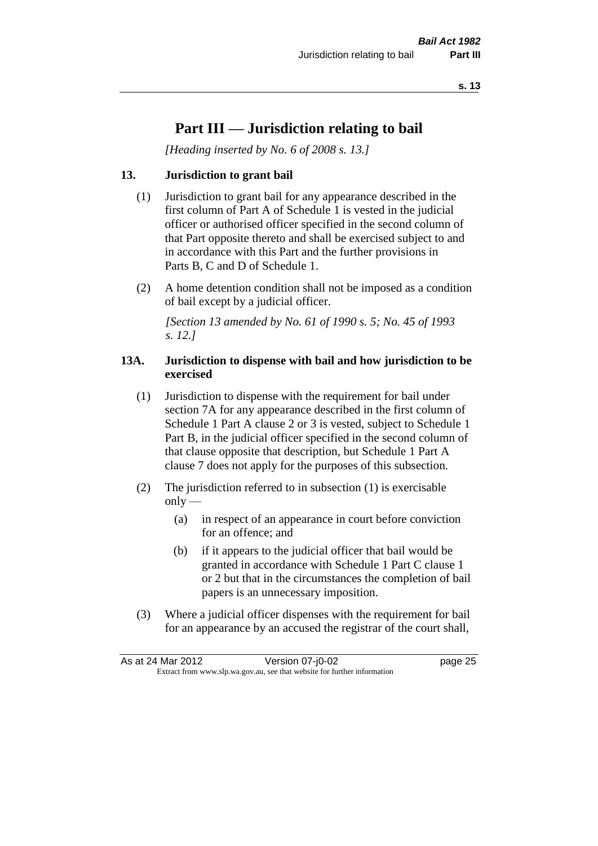## **Part III — Jurisdiction relating to bail**

*[Heading inserted by No. 6 of 2008 s. 13.]*

#### **13. Jurisdiction to grant bail**

- (1) Jurisdiction to grant bail for any appearance described in the first column of Part A of Schedule 1 is vested in the judicial officer or authorised officer specified in the second column of that Part opposite thereto and shall be exercised subject to and in accordance with this Part and the further provisions in Parts B, C and D of Schedule 1.
- (2) A home detention condition shall not be imposed as a condition of bail except by a judicial officer.

*[Section 13 amended by No. 61 of 1990 s. 5; No. 45 of 1993 s. 12.]* 

#### **13A. Jurisdiction to dispense with bail and how jurisdiction to be exercised**

- (1) Jurisdiction to dispense with the requirement for bail under section 7A for any appearance described in the first column of Schedule 1 Part A clause 2 or 3 is vested, subject to Schedule 1 Part B, in the judicial officer specified in the second column of that clause opposite that description, but Schedule 1 Part A clause 7 does not apply for the purposes of this subsection.
- (2) The jurisdiction referred to in subsection (1) is exercisable  $only$ —
	- (a) in respect of an appearance in court before conviction for an offence; and
	- (b) if it appears to the judicial officer that bail would be granted in accordance with Schedule 1 Part C clause 1 or 2 but that in the circumstances the completion of bail papers is an unnecessary imposition.
- (3) Where a judicial officer dispenses with the requirement for bail for an appearance by an accused the registrar of the court shall,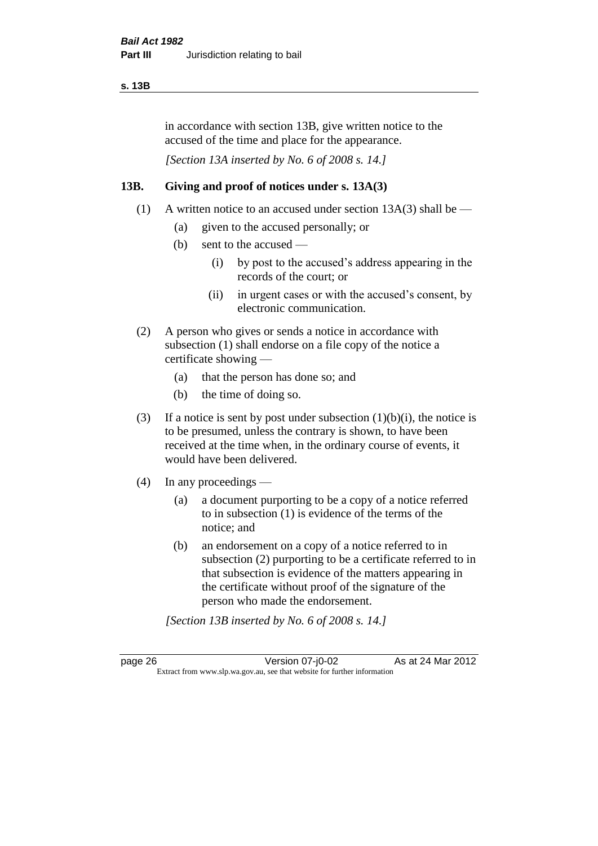#### **s. 13B**

in accordance with section 13B, give written notice to the accused of the time and place for the appearance.

*[Section 13A inserted by No. 6 of 2008 s. 14.]*

#### **13B. Giving and proof of notices under s. 13A(3)**

- (1) A written notice to an accused under section 13A(3) shall be
	- (a) given to the accused personally; or
	- (b) sent to the accused
		- (i) by post to the accused's address appearing in the records of the court; or
		- (ii) in urgent cases or with the accused's consent, by electronic communication.
- (2) A person who gives or sends a notice in accordance with subsection (1) shall endorse on a file copy of the notice a certificate showing —
	- (a) that the person has done so; and
	- (b) the time of doing so.
- (3) If a notice is sent by post under subsection  $(1)(b)(i)$ , the notice is to be presumed, unless the contrary is shown, to have been received at the time when, in the ordinary course of events, it would have been delivered.
- (4) In any proceedings
	- (a) a document purporting to be a copy of a notice referred to in subsection (1) is evidence of the terms of the notice; and
	- (b) an endorsement on a copy of a notice referred to in subsection (2) purporting to be a certificate referred to in that subsection is evidence of the matters appearing in the certificate without proof of the signature of the person who made the endorsement.

*[Section 13B inserted by No. 6 of 2008 s. 14.]*

page 26 Version 07-j0-02 As at 24 Mar 2012 Extract from www.slp.wa.gov.au, see that website for further information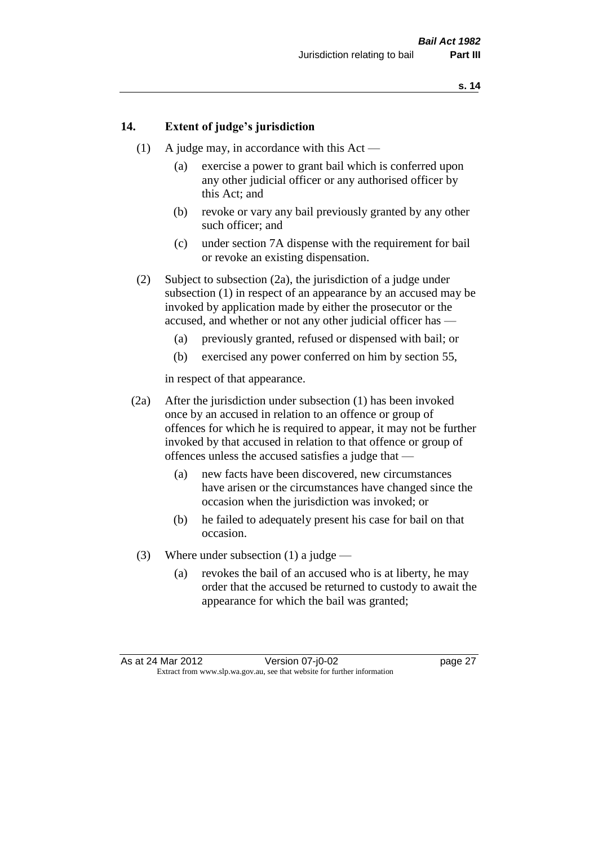#### **14. Extent of judge's jurisdiction**

- (1) A judge may, in accordance with this  $Act -$ 
	- (a) exercise a power to grant bail which is conferred upon any other judicial officer or any authorised officer by this Act; and
	- (b) revoke or vary any bail previously granted by any other such officer; and
	- (c) under section 7A dispense with the requirement for bail or revoke an existing dispensation.
- (2) Subject to subsection (2a), the jurisdiction of a judge under subsection (1) in respect of an appearance by an accused may be invoked by application made by either the prosecutor or the accused, and whether or not any other judicial officer has —
	- (a) previously granted, refused or dispensed with bail; or
	- (b) exercised any power conferred on him by section 55,

in respect of that appearance.

- (2a) After the jurisdiction under subsection (1) has been invoked once by an accused in relation to an offence or group of offences for which he is required to appear, it may not be further invoked by that accused in relation to that offence or group of offences unless the accused satisfies a judge that —
	- (a) new facts have been discovered, new circumstances have arisen or the circumstances have changed since the occasion when the jurisdiction was invoked; or
	- (b) he failed to adequately present his case for bail on that occasion.
- (3) Where under subsection (1) a judge
	- (a) revokes the bail of an accused who is at liberty, he may order that the accused be returned to custody to await the appearance for which the bail was granted;

As at 24 Mar 2012 Version 07-j0-02 page 27 Extract from www.slp.wa.gov.au, see that website for further information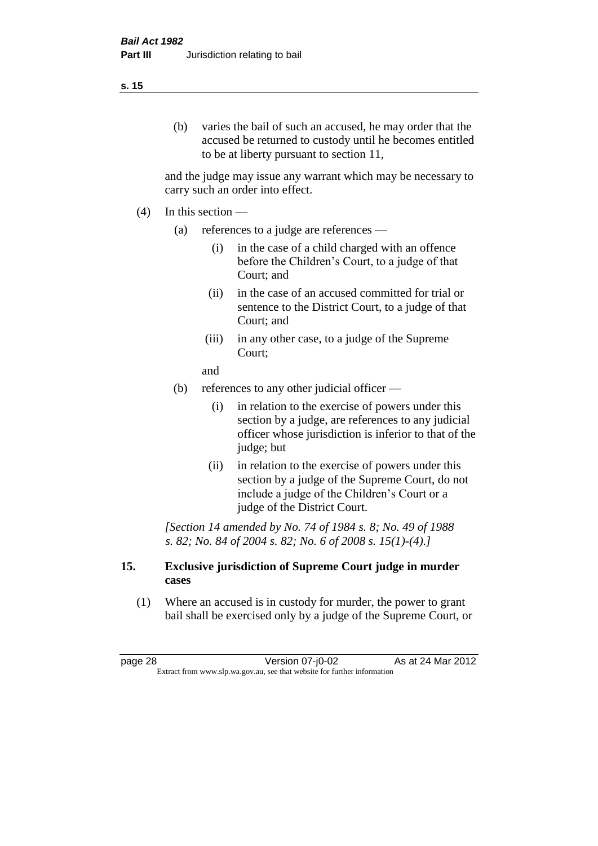#### **s. 15**

(b) varies the bail of such an accused, he may order that the accused be returned to custody until he becomes entitled to be at liberty pursuant to section 11,

and the judge may issue any warrant which may be necessary to carry such an order into effect.

- $(4)$  In this section
	- (a) references to a judge are references
		- (i) in the case of a child charged with an offence before the Children's Court, to a judge of that Court; and
		- (ii) in the case of an accused committed for trial or sentence to the District Court, to a judge of that Court; and
		- (iii) in any other case, to a judge of the Supreme Court;

and

- (b) references to any other judicial officer
	- (i) in relation to the exercise of powers under this section by a judge, are references to any judicial officer whose jurisdiction is inferior to that of the judge; but
	- (ii) in relation to the exercise of powers under this section by a judge of the Supreme Court, do not include a judge of the Children's Court or a judge of the District Court.

*[Section 14 amended by No. 74 of 1984 s. 8; No. 49 of 1988 s. 82; No. 84 of 2004 s. 82; No. 6 of 2008 s. 15(1)-(4).]* 

#### **15. Exclusive jurisdiction of Supreme Court judge in murder cases**

(1) Where an accused is in custody for murder, the power to grant bail shall be exercised only by a judge of the Supreme Court, or

page 28 Version 07-j0-02 As at 24 Mar 2012 Extract from www.slp.wa.gov.au, see that website for further information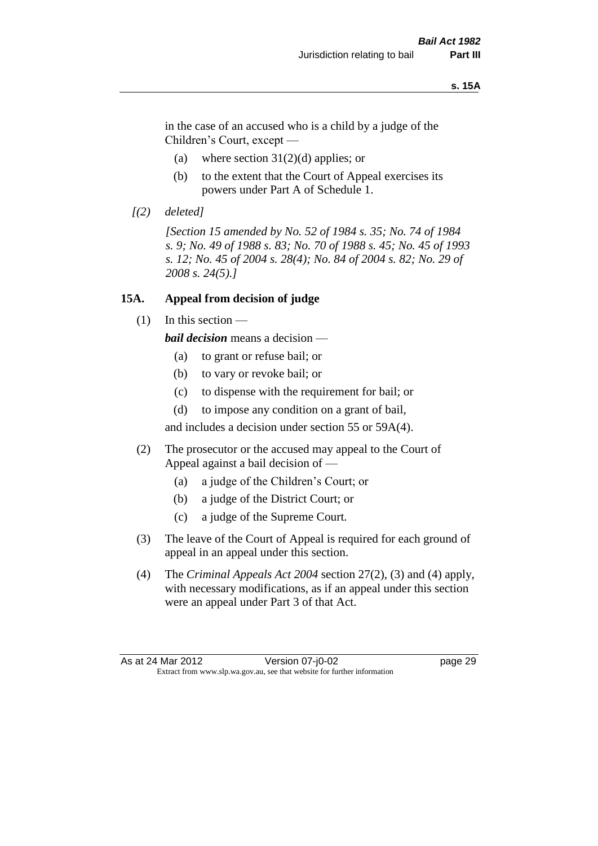#### **s. 15A**

in the case of an accused who is a child by a judge of the Children's Court, except —

- (a) where section  $31(2)(d)$  applies; or
- (b) to the extent that the Court of Appeal exercises its powers under Part A of Schedule 1.
- *[(2) deleted]*

*[Section 15 amended by No. 52 of 1984 s. 35; No. 74 of 1984 s. 9; No. 49 of 1988 s. 83; No. 70 of 1988 s. 45; No. 45 of 1993 s. 12; No. 45 of 2004 s. 28(4); No. 84 of 2004 s. 82; No. 29 of 2008 s. 24(5).]* 

#### **15A. Appeal from decision of judge**

(1) In this section —

*bail decision* means a decision —

- (a) to grant or refuse bail; or
- (b) to vary or revoke bail; or
- (c) to dispense with the requirement for bail; or
- (d) to impose any condition on a grant of bail,

and includes a decision under section 55 or 59A(4).

- (2) The prosecutor or the accused may appeal to the Court of Appeal against a bail decision of —
	- (a) a judge of the Children's Court; or
	- (b) a judge of the District Court; or
	- (c) a judge of the Supreme Court.
- (3) The leave of the Court of Appeal is required for each ground of appeal in an appeal under this section.
- (4) The *Criminal Appeals Act 2004* section 27(2), (3) and (4) apply, with necessary modifications, as if an appeal under this section were an appeal under Part 3 of that Act.

As at 24 Mar 2012 Version 07-j0-02 page 29 Extract from www.slp.wa.gov.au, see that website for further information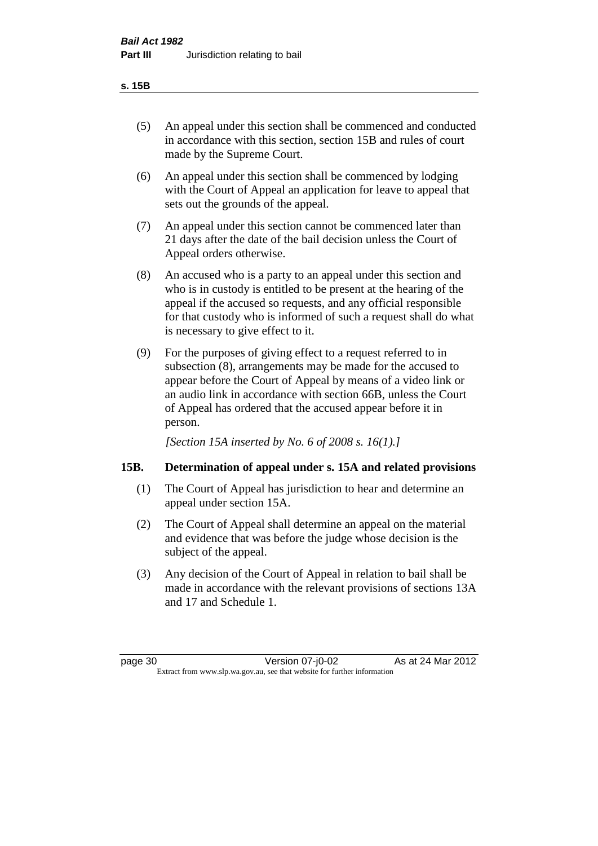#### **s. 15B**

- (5) An appeal under this section shall be commenced and conducted in accordance with this section, section 15B and rules of court made by the Supreme Court.
- (6) An appeal under this section shall be commenced by lodging with the Court of Appeal an application for leave to appeal that sets out the grounds of the appeal.
- (7) An appeal under this section cannot be commenced later than 21 days after the date of the bail decision unless the Court of Appeal orders otherwise.
- (8) An accused who is a party to an appeal under this section and who is in custody is entitled to be present at the hearing of the appeal if the accused so requests, and any official responsible for that custody who is informed of such a request shall do what is necessary to give effect to it.
- (9) For the purposes of giving effect to a request referred to in subsection (8), arrangements may be made for the accused to appear before the Court of Appeal by means of a video link or an audio link in accordance with section 66B, unless the Court of Appeal has ordered that the accused appear before it in person.

*[Section 15A inserted by No. 6 of 2008 s. 16(1).]*

# **15B. Determination of appeal under s. 15A and related provisions**

- (1) The Court of Appeal has jurisdiction to hear and determine an appeal under section 15A.
- (2) The Court of Appeal shall determine an appeal on the material and evidence that was before the judge whose decision is the subject of the appeal.
- (3) Any decision of the Court of Appeal in relation to bail shall be made in accordance with the relevant provisions of sections 13A and 17 and Schedule 1.

| page 30 |  |
|---------|--|
|         |  |

page 30 Version 07-j0-02 As at 24 Mar 2012 Extract from www.slp.wa.gov.au, see that website for further information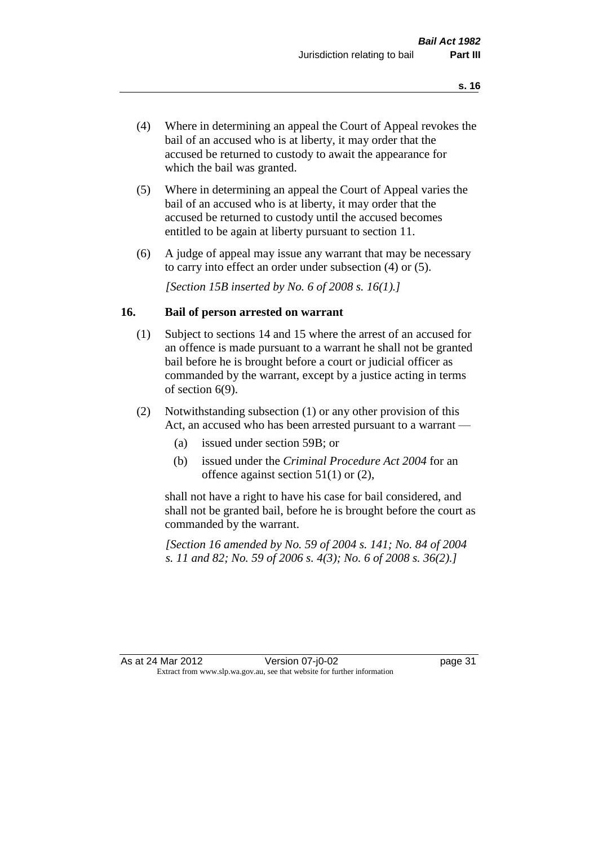- (4) Where in determining an appeal the Court of Appeal revokes the bail of an accused who is at liberty, it may order that the accused be returned to custody to await the appearance for which the bail was granted.
- (5) Where in determining an appeal the Court of Appeal varies the bail of an accused who is at liberty, it may order that the accused be returned to custody until the accused becomes entitled to be again at liberty pursuant to section 11.
- (6) A judge of appeal may issue any warrant that may be necessary to carry into effect an order under subsection (4) or (5).

*[Section 15B inserted by No. 6 of 2008 s. 16(1).]*

#### **16. Bail of person arrested on warrant**

- (1) Subject to sections 14 and 15 where the arrest of an accused for an offence is made pursuant to a warrant he shall not be granted bail before he is brought before a court or judicial officer as commanded by the warrant, except by a justice acting in terms of section 6(9).
- (2) Notwithstanding subsection (1) or any other provision of this Act, an accused who has been arrested pursuant to a warrant —
	- (a) issued under section 59B; or
	- (b) issued under the *Criminal Procedure Act 2004* for an offence against section 51(1) or (2),

shall not have a right to have his case for bail considered, and shall not be granted bail, before he is brought before the court as commanded by the warrant.

*[Section 16 amended by No. 59 of 2004 s. 141; No. 84 of 2004 s. 11 and 82; No. 59 of 2006 s. 4(3); No. 6 of 2008 s. 36(2).]*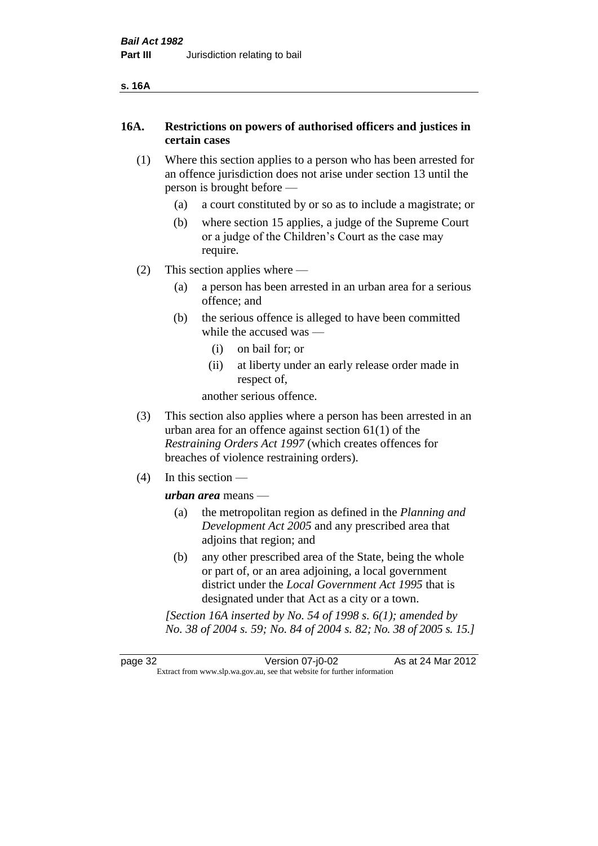| ۰, | ۰. |
|----|----|
|----|----|

# **16A. Restrictions on powers of authorised officers and justices in certain cases**

- (1) Where this section applies to a person who has been arrested for an offence jurisdiction does not arise under section 13 until the person is brought before —
	- (a) a court constituted by or so as to include a magistrate; or
	- (b) where section 15 applies, a judge of the Supreme Court or a judge of the Children's Court as the case may require.
- (2) This section applies where
	- (a) a person has been arrested in an urban area for a serious offence; and
	- (b) the serious offence is alleged to have been committed while the accused was —
		- (i) on bail for; or
		- (ii) at liberty under an early release order made in respect of,

another serious offence.

- (3) This section also applies where a person has been arrested in an urban area for an offence against section 61(1) of the *Restraining Orders Act 1997* (which creates offences for breaches of violence restraining orders).
- (4) In this section —

*urban area* means —

- (a) the metropolitan region as defined in the *Planning and Development Act 2005* and any prescribed area that adjoins that region; and
- (b) any other prescribed area of the State, being the whole or part of, or an area adjoining, a local government district under the *Local Government Act 1995* that is designated under that Act as a city or a town.

*[Section 16A inserted by No. 54 of 1998 s. 6(1); amended by No. 38 of 2004 s. 59; No. 84 of 2004 s. 82; No. 38 of 2005 s. 15.]*

page 32 Version 07-j0-02 As at 24 Mar 2012 Extract from www.slp.wa.gov.au, see that website for further information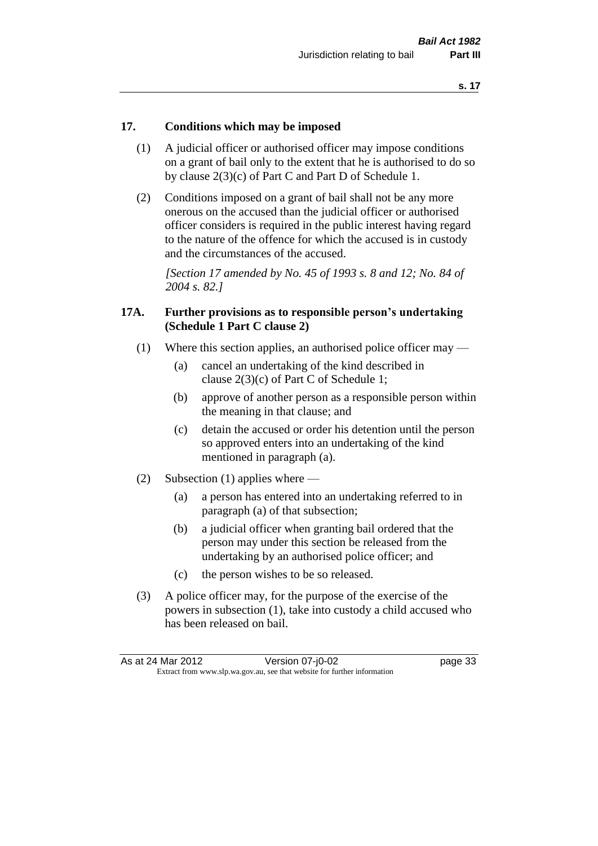# **17. Conditions which may be imposed**

- (1) A judicial officer or authorised officer may impose conditions on a grant of bail only to the extent that he is authorised to do so by clause 2(3)(c) of Part C and Part D of Schedule 1.
- (2) Conditions imposed on a grant of bail shall not be any more onerous on the accused than the judicial officer or authorised officer considers is required in the public interest having regard to the nature of the offence for which the accused is in custody and the circumstances of the accused.

*[Section 17 amended by No. 45 of 1993 s. 8 and 12; No. 84 of 2004 s. 82.]* 

# **17A. Further provisions as to responsible person's undertaking (Schedule 1 Part C clause 2)**

- (1) Where this section applies, an authorised police officer may
	- (a) cancel an undertaking of the kind described in clause 2(3)(c) of Part C of Schedule 1;
	- (b) approve of another person as a responsible person within the meaning in that clause; and
	- (c) detain the accused or order his detention until the person so approved enters into an undertaking of the kind mentioned in paragraph (a).
- (2) Subsection (1) applies where
	- (a) a person has entered into an undertaking referred to in paragraph (a) of that subsection;
	- (b) a judicial officer when granting bail ordered that the person may under this section be released from the undertaking by an authorised police officer; and
	- (c) the person wishes to be so released.
- (3) A police officer may, for the purpose of the exercise of the powers in subsection (1), take into custody a child accused who has been released on bail.

| As at 24 Mar 2012 | Version 07-j0-02                                                         | page 33 |
|-------------------|--------------------------------------------------------------------------|---------|
|                   | Extract from www.slp.wa.gov.au, see that website for further information |         |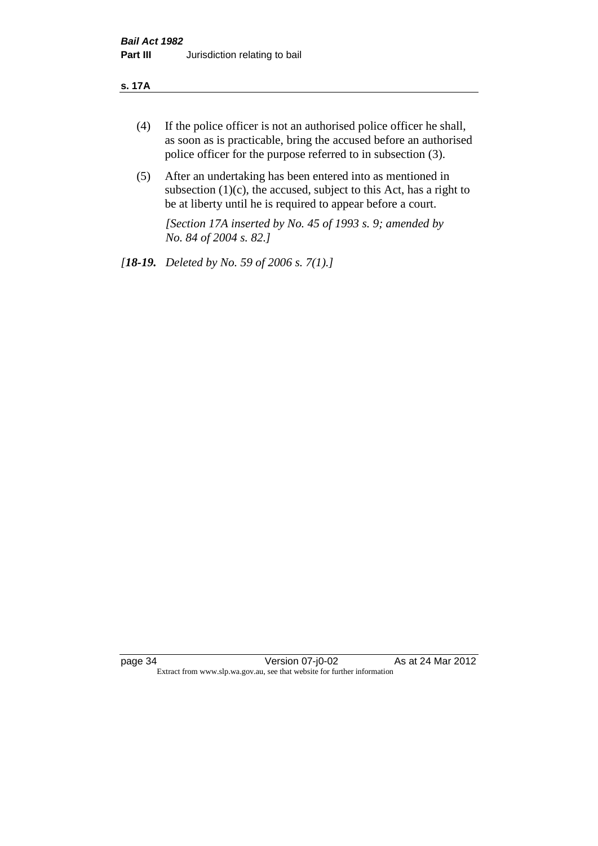#### **s. 17A**

- (4) If the police officer is not an authorised police officer he shall, as soon as is practicable, bring the accused before an authorised police officer for the purpose referred to in subsection (3).
- (5) After an undertaking has been entered into as mentioned in subsection  $(1)(c)$ , the accused, subject to this Act, has a right to be at liberty until he is required to appear before a court.

*[Section 17A inserted by No. 45 of 1993 s. 9; amended by No. 84 of 2004 s. 82.]* 

*[18-19. Deleted by No. 59 of 2006 s. 7(1).]*

page 34 Version 07-j0-02 As at 24 Mar 2012 Extract from www.slp.wa.gov.au, see that website for further information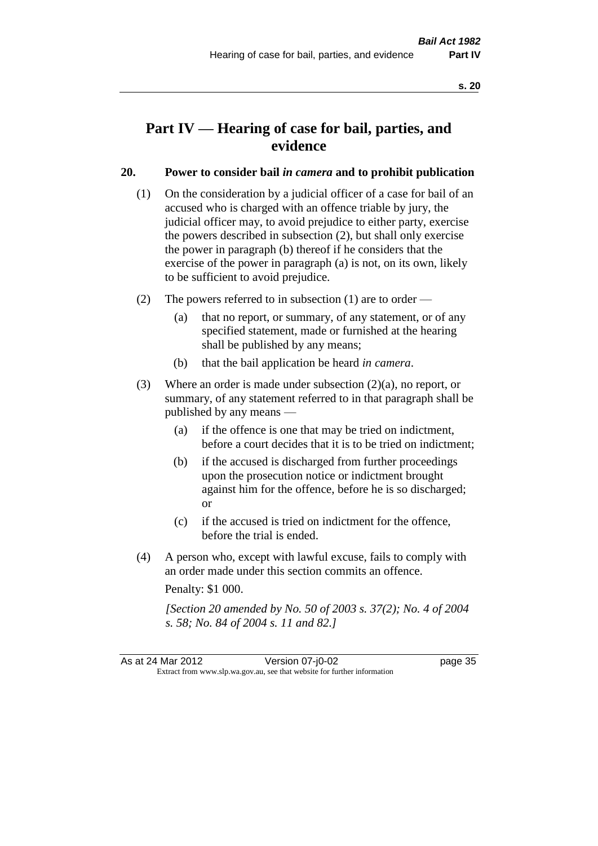# **Part IV — Hearing of case for bail, parties, and evidence**

# **20. Power to consider bail** *in camera* **and to prohibit publication**

- (1) On the consideration by a judicial officer of a case for bail of an accused who is charged with an offence triable by jury, the judicial officer may, to avoid prejudice to either party, exercise the powers described in subsection (2), but shall only exercise the power in paragraph (b) thereof if he considers that the exercise of the power in paragraph (a) is not, on its own, likely to be sufficient to avoid prejudice.
- (2) The powers referred to in subsection (1) are to order
	- (a) that no report, or summary, of any statement, or of any specified statement, made or furnished at the hearing shall be published by any means;
	- (b) that the bail application be heard *in camera*.
- (3) Where an order is made under subsection (2)(a), no report, or summary, of any statement referred to in that paragraph shall be published by any means —
	- (a) if the offence is one that may be tried on indictment, before a court decides that it is to be tried on indictment;
	- (b) if the accused is discharged from further proceedings upon the prosecution notice or indictment brought against him for the offence, before he is so discharged; or
	- (c) if the accused is tried on indictment for the offence, before the trial is ended.
- (4) A person who, except with lawful excuse, fails to comply with an order made under this section commits an offence.

Penalty: \$1 000.

*[Section 20 amended by No. 50 of 2003 s. 37(2); No. 4 of 2004 s. 58; No. 84 of 2004 s. 11 and 82.]*

As at 24 Mar 2012 Version 07-j0-02 page 35 Extract from www.slp.wa.gov.au, see that website for further information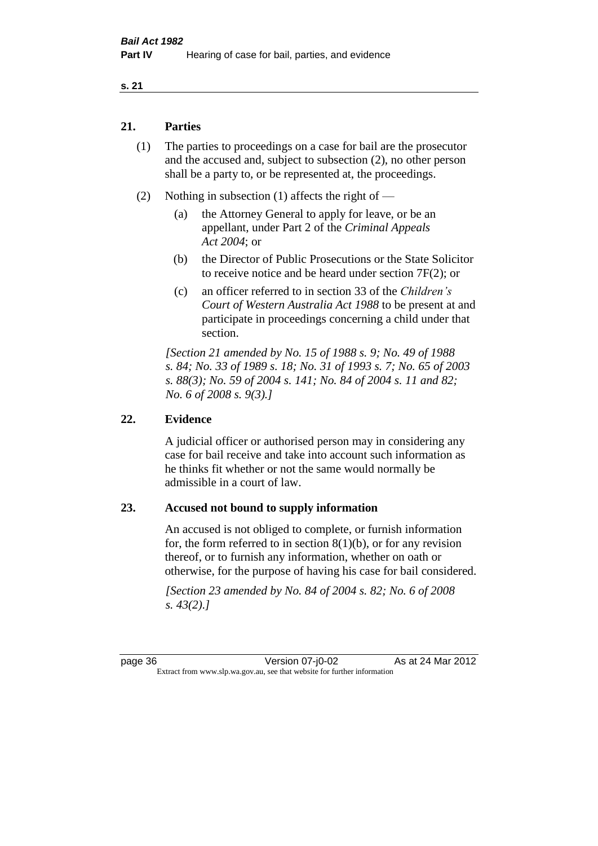#### **s. 21**

# **21. Parties**

- (1) The parties to proceedings on a case for bail are the prosecutor and the accused and, subject to subsection (2), no other person shall be a party to, or be represented at, the proceedings.
- (2) Nothing in subsection (1) affects the right of
	- (a) the Attorney General to apply for leave, or be an appellant, under Part 2 of the *Criminal Appeals Act 2004*; or
	- (b) the Director of Public Prosecutions or the State Solicitor to receive notice and be heard under section 7F(2); or
	- (c) an officer referred to in section 33 of the *Children's Court of Western Australia Act 1988* to be present at and participate in proceedings concerning a child under that section.

*[Section 21 amended by No. 15 of 1988 s. 9; No. 49 of 1988 s. 84; No. 33 of 1989 s. 18; No. 31 of 1993 s. 7; No. 65 of 2003 s. 88(3); No. 59 of 2004 s. 141; No. 84 of 2004 s. 11 and 82; No. 6 of 2008 s. 9(3).]* 

# **22. Evidence**

A judicial officer or authorised person may in considering any case for bail receive and take into account such information as he thinks fit whether or not the same would normally be admissible in a court of law.

# **23. Accused not bound to supply information**

An accused is not obliged to complete, or furnish information for, the form referred to in section  $8(1)(b)$ , or for any revision thereof, or to furnish any information, whether on oath or otherwise, for the purpose of having his case for bail considered.

*[Section 23 amended by No. 84 of 2004 s. 82; No. 6 of 2008 s. 43(2).]* 

page 36 Version 07-j0-02 As at 24 Mar 2012 Extract from www.slp.wa.gov.au, see that website for further information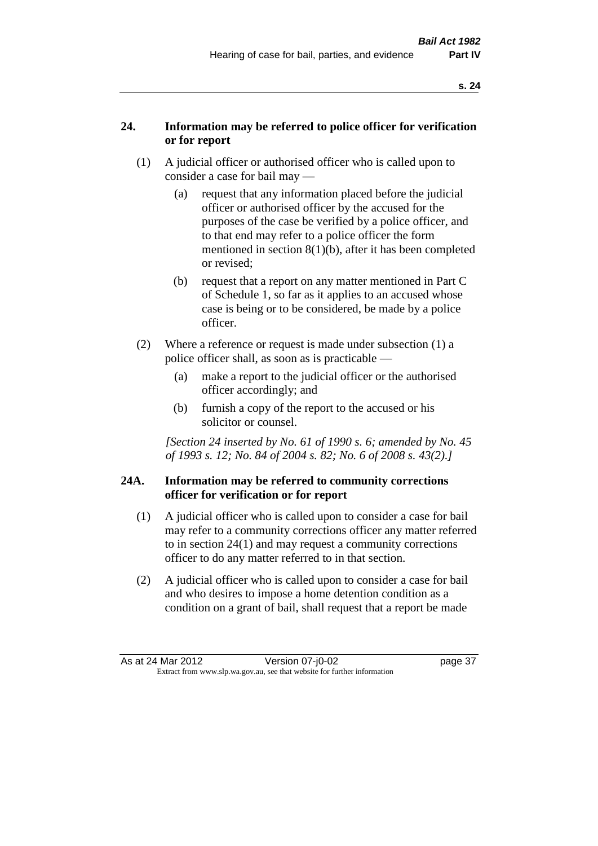# **24. Information may be referred to police officer for verification or for report**

- (1) A judicial officer or authorised officer who is called upon to consider a case for bail may —
	- (a) request that any information placed before the judicial officer or authorised officer by the accused for the purposes of the case be verified by a police officer, and to that end may refer to a police officer the form mentioned in section 8(1)(b), after it has been completed or revised;
	- (b) request that a report on any matter mentioned in Part C of Schedule 1, so far as it applies to an accused whose case is being or to be considered, be made by a police officer.
- (2) Where a reference or request is made under subsection (1) a police officer shall, as soon as is practicable —
	- (a) make a report to the judicial officer or the authorised officer accordingly; and
	- (b) furnish a copy of the report to the accused or his solicitor or counsel.

*[Section 24 inserted by No. 61 of 1990 s. 6; amended by No. 45 of 1993 s. 12; No. 84 of 2004 s. 82; No. 6 of 2008 s. 43(2).]* 

# **24A. Information may be referred to community corrections officer for verification or for report**

- (1) A judicial officer who is called upon to consider a case for bail may refer to a community corrections officer any matter referred to in section 24(1) and may request a community corrections officer to do any matter referred to in that section.
- (2) A judicial officer who is called upon to consider a case for bail and who desires to impose a home detention condition as a condition on a grant of bail, shall request that a report be made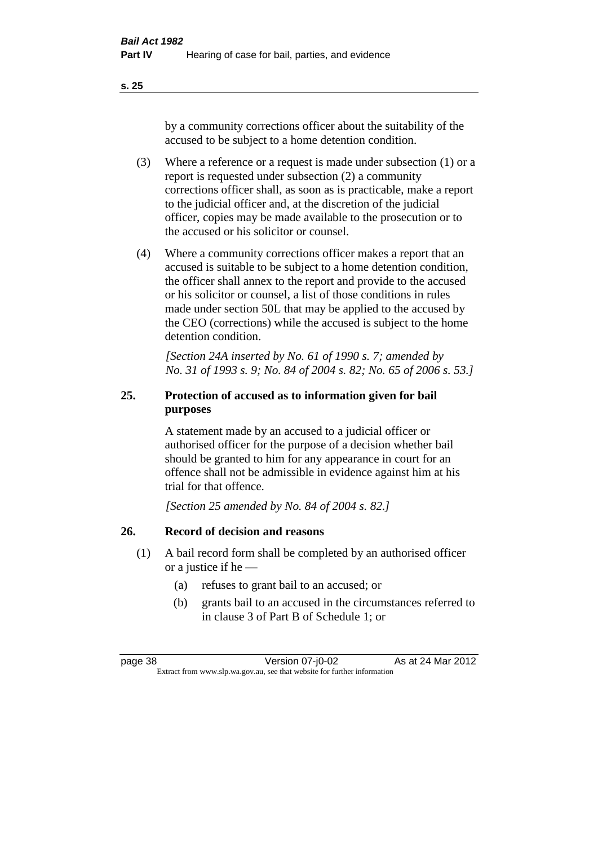**s. 25**

by a community corrections officer about the suitability of the accused to be subject to a home detention condition.

- (3) Where a reference or a request is made under subsection (1) or a report is requested under subsection (2) a community corrections officer shall, as soon as is practicable, make a report to the judicial officer and, at the discretion of the judicial officer, copies may be made available to the prosecution or to the accused or his solicitor or counsel.
- (4) Where a community corrections officer makes a report that an accused is suitable to be subject to a home detention condition, the officer shall annex to the report and provide to the accused or his solicitor or counsel, a list of those conditions in rules made under section 50L that may be applied to the accused by the CEO (corrections) while the accused is subject to the home detention condition.

*[Section 24A inserted by No. 61 of 1990 s. 7; amended by No. 31 of 1993 s. 9; No. 84 of 2004 s. 82; No. 65 of 2006 s. 53.]* 

# **25. Protection of accused as to information given for bail purposes**

A statement made by an accused to a judicial officer or authorised officer for the purpose of a decision whether bail should be granted to him for any appearance in court for an offence shall not be admissible in evidence against him at his trial for that offence.

*[Section 25 amended by No. 84 of 2004 s. 82.]* 

# **26. Record of decision and reasons**

- (1) A bail record form shall be completed by an authorised officer or a justice if he —
	- (a) refuses to grant bail to an accused; or
	- (b) grants bail to an accused in the circumstances referred to in clause 3 of Part B of Schedule 1; or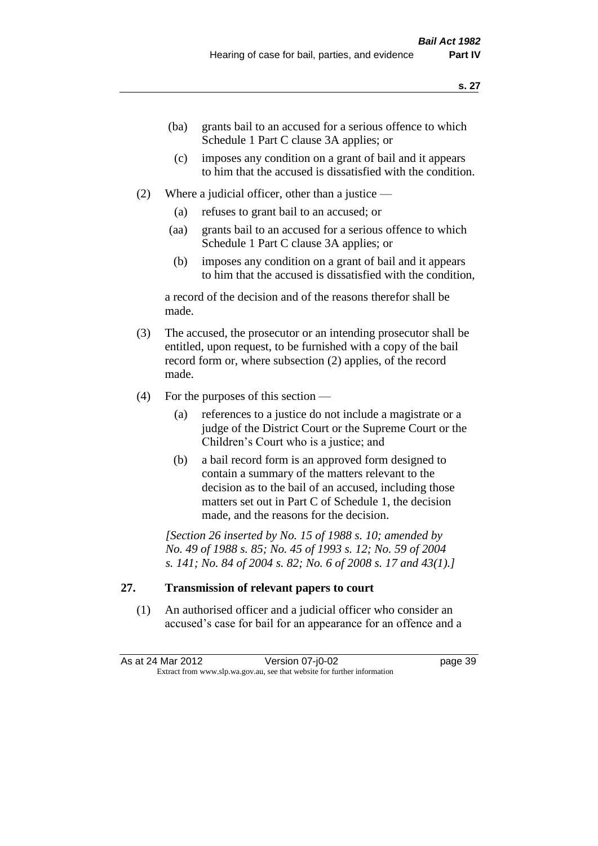- (ba) grants bail to an accused for a serious offence to which Schedule 1 Part C clause 3A applies; or
- (c) imposes any condition on a grant of bail and it appears to him that the accused is dissatisfied with the condition.
- (2) Where a judicial officer, other than a justice
	- (a) refuses to grant bail to an accused; or
	- (aa) grants bail to an accused for a serious offence to which Schedule 1 Part C clause 3A applies; or
	- (b) imposes any condition on a grant of bail and it appears to him that the accused is dissatisfied with the condition,

a record of the decision and of the reasons therefor shall be made.

- (3) The accused, the prosecutor or an intending prosecutor shall be entitled, upon request, to be furnished with a copy of the bail record form or, where subsection (2) applies, of the record made.
- (4) For the purposes of this section
	- (a) references to a justice do not include a magistrate or a judge of the District Court or the Supreme Court or the Children's Court who is a justice; and
	- (b) a bail record form is an approved form designed to contain a summary of the matters relevant to the decision as to the bail of an accused, including those matters set out in Part C of Schedule 1, the decision made, and the reasons for the decision.

*[Section 26 inserted by No. 15 of 1988 s. 10; amended by No. 49 of 1988 s. 85; No. 45 of 1993 s. 12; No. 59 of 2004 s. 141; No. 84 of 2004 s. 82; No. 6 of 2008 s. 17 and 43(1).]* 

# **27. Transmission of relevant papers to court**

(1) An authorised officer and a judicial officer who consider an accused's case for bail for an appearance for an offence and a

As at 24 Mar 2012 Version 07-j0-02 page 39 Extract from www.slp.wa.gov.au, see that website for further information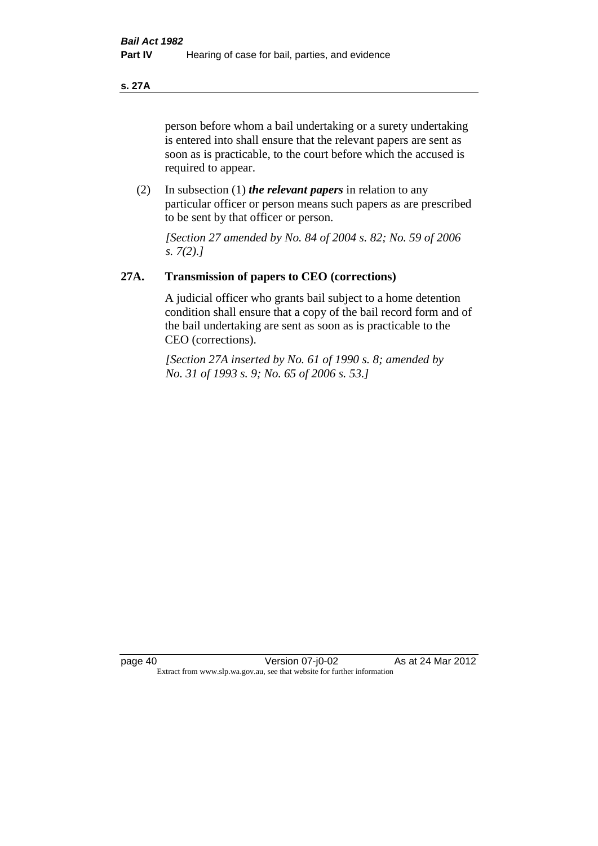**s. 27A**

person before whom a bail undertaking or a surety undertaking is entered into shall ensure that the relevant papers are sent as soon as is practicable, to the court before which the accused is required to appear.

(2) In subsection (1) *the relevant papers* in relation to any particular officer or person means such papers as are prescribed to be sent by that officer or person.

*[Section 27 amended by No. 84 of 2004 s. 82; No. 59 of 2006 s. 7(2).]* 

# **27A. Transmission of papers to CEO (corrections)**

A judicial officer who grants bail subject to a home detention condition shall ensure that a copy of the bail record form and of the bail undertaking are sent as soon as is practicable to the CEO (corrections).

*[Section 27A inserted by No. 61 of 1990 s. 8; amended by No. 31 of 1993 s. 9; No. 65 of 2006 s. 53.]*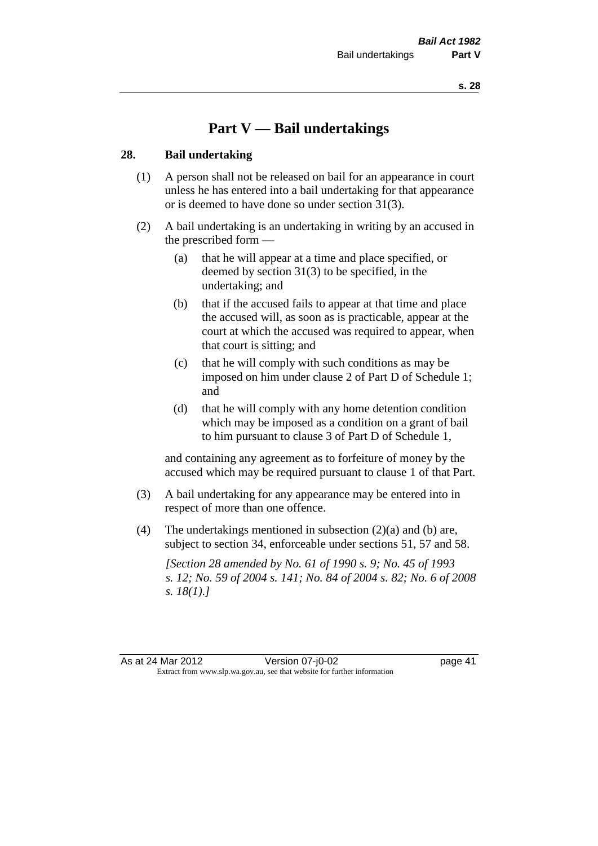# **Part V — Bail undertakings**

#### **28. Bail undertaking**

- (1) A person shall not be released on bail for an appearance in court unless he has entered into a bail undertaking for that appearance or is deemed to have done so under section 31(3).
- (2) A bail undertaking is an undertaking in writing by an accused in the prescribed form —
	- (a) that he will appear at a time and place specified, or deemed by section 31(3) to be specified, in the undertaking; and
	- (b) that if the accused fails to appear at that time and place the accused will, as soon as is practicable, appear at the court at which the accused was required to appear, when that court is sitting; and
	- (c) that he will comply with such conditions as may be imposed on him under clause 2 of Part D of Schedule 1; and
	- (d) that he will comply with any home detention condition which may be imposed as a condition on a grant of bail to him pursuant to clause 3 of Part D of Schedule 1,

and containing any agreement as to forfeiture of money by the accused which may be required pursuant to clause 1 of that Part.

- (3) A bail undertaking for any appearance may be entered into in respect of more than one offence.
- (4) The undertakings mentioned in subsection (2)(a) and (b) are, subject to section 34, enforceable under sections 51, 57 and 58.

*[Section 28 amended by No. 61 of 1990 s. 9; No. 45 of 1993 s. 12; No. 59 of 2004 s. 141; No. 84 of 2004 s. 82; No. 6 of 2008 s. 18(1).]*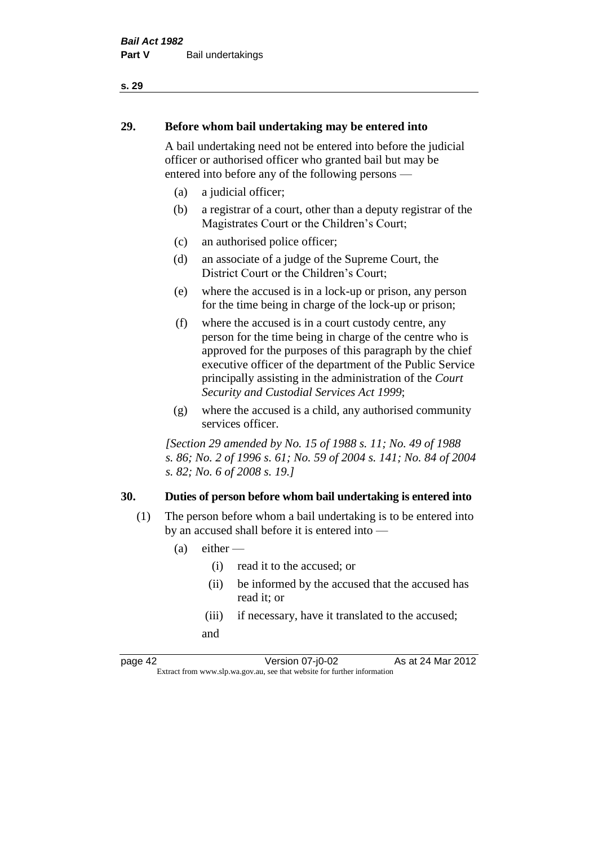# **29. Before whom bail undertaking may be entered into**

A bail undertaking need not be entered into before the judicial officer or authorised officer who granted bail but may be entered into before any of the following persons —

- (a) a judicial officer;
- (b) a registrar of a court, other than a deputy registrar of the Magistrates Court or the Children's Court;
- (c) an authorised police officer;
- (d) an associate of a judge of the Supreme Court, the District Court or the Children's Court;
- (e) where the accused is in a lock-up or prison, any person for the time being in charge of the lock-up or prison;
- (f) where the accused is in a court custody centre, any person for the time being in charge of the centre who is approved for the purposes of this paragraph by the chief executive officer of the department of the Public Service principally assisting in the administration of the *Court Security and Custodial Services Act 1999*;
- (g) where the accused is a child, any authorised community services officer.

*[Section 29 amended by No. 15 of 1988 s. 11; No. 49 of 1988 s. 86; No. 2 of 1996 s. 61; No. 59 of 2004 s. 141; No. 84 of 2004 s. 82; No. 6 of 2008 s. 19.]* 

# **30. Duties of person before whom bail undertaking is entered into**

- (1) The person before whom a bail undertaking is to be entered into by an accused shall before it is entered into —
	- $(a)$  either
		- (i) read it to the accused; or
		- (ii) be informed by the accused that the accused has read it; or
		- (iii) if necessary, have it translated to the accused; and

page 42 Version 07-j0-02 As at 24 Mar 2012 Extract from www.slp.wa.gov.au, see that website for further information

**s. 29**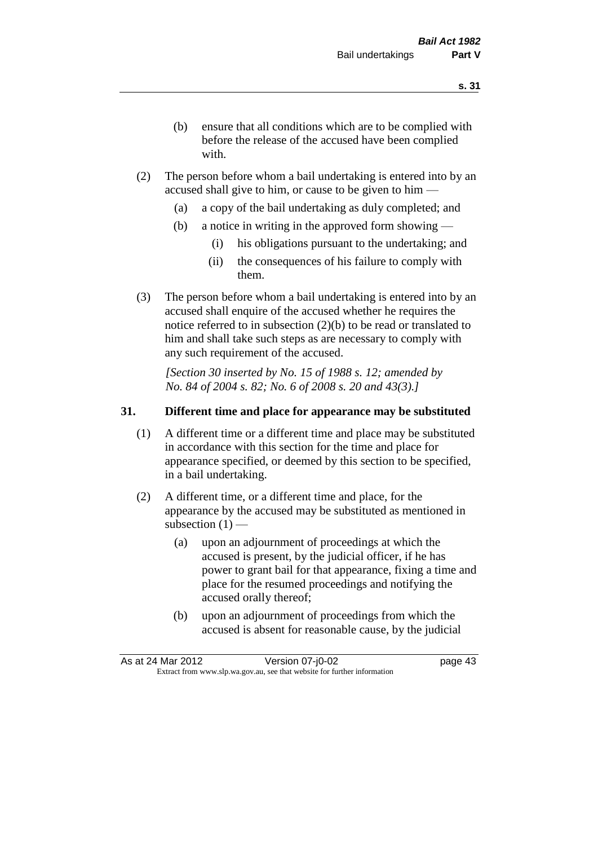- (b) ensure that all conditions which are to be complied with before the release of the accused have been complied with.
- (2) The person before whom a bail undertaking is entered into by an accused shall give to him, or cause to be given to him —
	- (a) a copy of the bail undertaking as duly completed; and
	- (b) a notice in writing in the approved form showing
		- (i) his obligations pursuant to the undertaking; and
		- (ii) the consequences of his failure to comply with them.
- (3) The person before whom a bail undertaking is entered into by an accused shall enquire of the accused whether he requires the notice referred to in subsection (2)(b) to be read or translated to him and shall take such steps as are necessary to comply with any such requirement of the accused.

*[Section 30 inserted by No. 15 of 1988 s. 12; amended by No. 84 of 2004 s. 82; No. 6 of 2008 s. 20 and 43(3).]* 

# **31. Different time and place for appearance may be substituted**

- (1) A different time or a different time and place may be substituted in accordance with this section for the time and place for appearance specified, or deemed by this section to be specified, in a bail undertaking.
- (2) A different time, or a different time and place, for the appearance by the accused may be substituted as mentioned in subsection  $(1)$  —
	- (a) upon an adjournment of proceedings at which the accused is present, by the judicial officer, if he has power to grant bail for that appearance, fixing a time and place for the resumed proceedings and notifying the accused orally thereof;
	- (b) upon an adjournment of proceedings from which the accused is absent for reasonable cause, by the judicial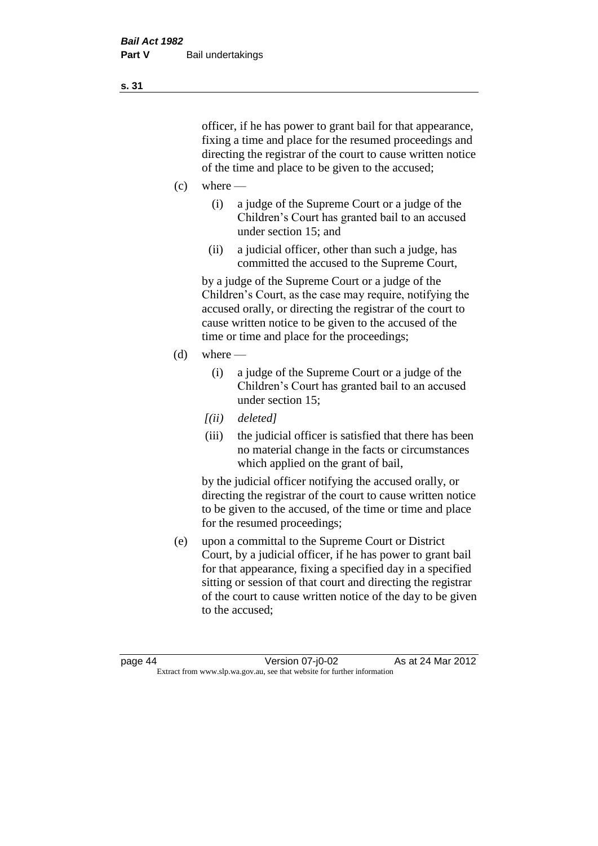officer, if he has power to grant bail for that appearance, fixing a time and place for the resumed proceedings and directing the registrar of the court to cause written notice of the time and place to be given to the accused;

- $(c)$  where
	- (i) a judge of the Supreme Court or a judge of the Children's Court has granted bail to an accused under section 15; and
	- (ii) a judicial officer, other than such a judge, has committed the accused to the Supreme Court,

by a judge of the Supreme Court or a judge of the Children's Court, as the case may require, notifying the accused orally, or directing the registrar of the court to cause written notice to be given to the accused of the time or time and place for the proceedings;

- $(d)$  where
	- (i) a judge of the Supreme Court or a judge of the Children's Court has granted bail to an accused under section 15;
	- *[(ii) deleted]*
	- (iii) the judicial officer is satisfied that there has been no material change in the facts or circumstances which applied on the grant of bail,

by the judicial officer notifying the accused orally, or directing the registrar of the court to cause written notice to be given to the accused, of the time or time and place for the resumed proceedings;

(e) upon a committal to the Supreme Court or District Court, by a judicial officer, if he has power to grant bail for that appearance, fixing a specified day in a specified sitting or session of that court and directing the registrar of the court to cause written notice of the day to be given to the accused;

page 44 Version 07-j0-02 As at 24 Mar 2012 Extract from www.slp.wa.gov.au, see that website for further information

**s. 31**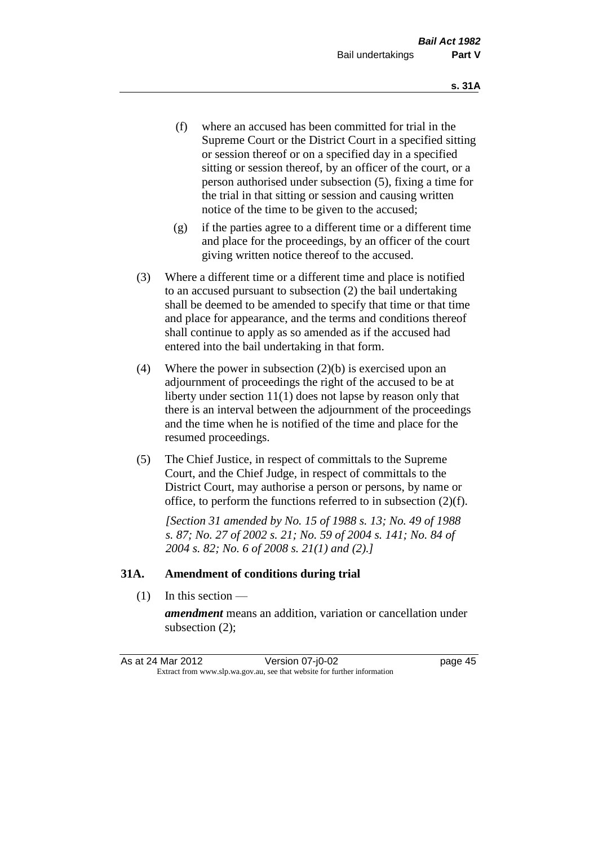- (f) where an accused has been committed for trial in the Supreme Court or the District Court in a specified sitting or session thereof or on a specified day in a specified sitting or session thereof, by an officer of the court, or a person authorised under subsection (5), fixing a time for the trial in that sitting or session and causing written notice of the time to be given to the accused;
- (g) if the parties agree to a different time or a different time and place for the proceedings, by an officer of the court giving written notice thereof to the accused.
- (3) Where a different time or a different time and place is notified to an accused pursuant to subsection (2) the bail undertaking shall be deemed to be amended to specify that time or that time and place for appearance, and the terms and conditions thereof shall continue to apply as so amended as if the accused had entered into the bail undertaking in that form.
- (4) Where the power in subsection (2)(b) is exercised upon an adjournment of proceedings the right of the accused to be at liberty under section 11(1) does not lapse by reason only that there is an interval between the adjournment of the proceedings and the time when he is notified of the time and place for the resumed proceedings.
- (5) The Chief Justice, in respect of committals to the Supreme Court, and the Chief Judge, in respect of committals to the District Court, may authorise a person or persons, by name or office, to perform the functions referred to in subsection (2)(f).

*[Section 31 amended by No. 15 of 1988 s. 13; No. 49 of 1988 s. 87; No. 27 of 2002 s. 21; No. 59 of 2004 s. 141; No. 84 of 2004 s. 82; No. 6 of 2008 s. 21(1) and (2).]*

#### **31A. Amendment of conditions during trial**

(1) In this section —

*amendment* means an addition, variation or cancellation under subsection (2);

As at 24 Mar 2012 Version 07-j0-02 page 45 Extract from www.slp.wa.gov.au, see that website for further information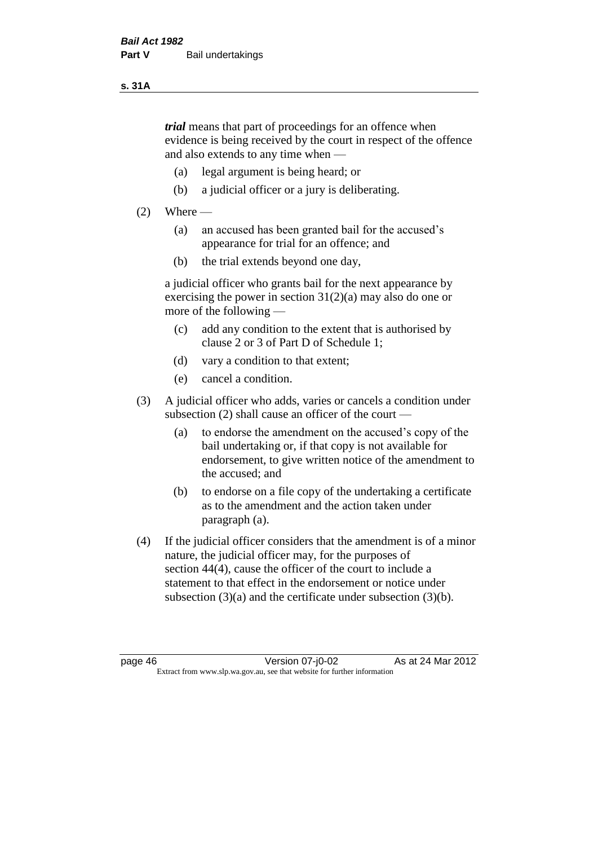#### **s. 31A**

*trial* means that part of proceedings for an offence when evidence is being received by the court in respect of the offence and also extends to any time when —

- (a) legal argument is being heard; or
- (b) a judicial officer or a jury is deliberating.

# $(2)$  Where —

- (a) an accused has been granted bail for the accused's appearance for trial for an offence; and
- (b) the trial extends beyond one day,

a judicial officer who grants bail for the next appearance by exercising the power in section  $31(2)(a)$  may also do one or more of the following —

- (c) add any condition to the extent that is authorised by clause 2 or 3 of Part D of Schedule 1;
- (d) vary a condition to that extent;
- (e) cancel a condition.
- (3) A judicial officer who adds, varies or cancels a condition under subsection (2) shall cause an officer of the court —
	- (a) to endorse the amendment on the accused's copy of the bail undertaking or, if that copy is not available for endorsement, to give written notice of the amendment to the accused; and
	- (b) to endorse on a file copy of the undertaking a certificate as to the amendment and the action taken under paragraph (a).
- (4) If the judicial officer considers that the amendment is of a minor nature, the judicial officer may, for the purposes of section 44(4), cause the officer of the court to include a statement to that effect in the endorsement or notice under subsection (3)(a) and the certificate under subsection (3)(b).

page 46 Version 07-j0-02 As at 24 Mar 2012 Extract from www.slp.wa.gov.au, see that website for further information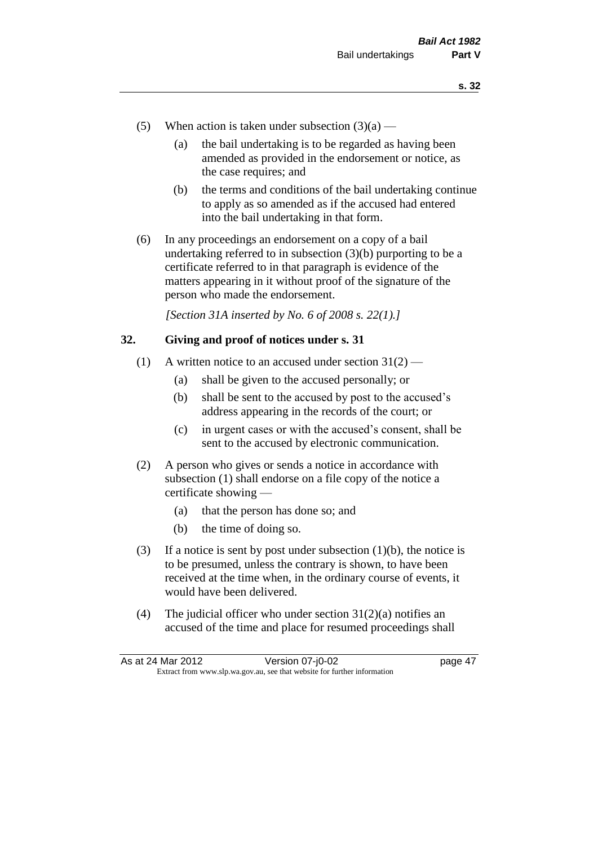- (5) When action is taken under subsection  $(3)(a)$ 
	- (a) the bail undertaking is to be regarded as having been amended as provided in the endorsement or notice, as the case requires; and
	- (b) the terms and conditions of the bail undertaking continue to apply as so amended as if the accused had entered into the bail undertaking in that form.
- (6) In any proceedings an endorsement on a copy of a bail undertaking referred to in subsection (3)(b) purporting to be a certificate referred to in that paragraph is evidence of the matters appearing in it without proof of the signature of the person who made the endorsement.

*[Section 31A inserted by No. 6 of 2008 s. 22(1).]*

# **32. Giving and proof of notices under s. 31**

- (1) A written notice to an accused under section  $31(2)$ 
	- (a) shall be given to the accused personally; or
	- (b) shall be sent to the accused by post to the accused's address appearing in the records of the court; or
	- (c) in urgent cases or with the accused's consent, shall be sent to the accused by electronic communication.
- (2) A person who gives or sends a notice in accordance with subsection (1) shall endorse on a file copy of the notice a certificate showing —
	- (a) that the person has done so; and
	- (b) the time of doing so.
- (3) If a notice is sent by post under subsection  $(1)(b)$ , the notice is to be presumed, unless the contrary is shown, to have been received at the time when, in the ordinary course of events, it would have been delivered.
- (4) The judicial officer who under section  $31(2)(a)$  notifies an accused of the time and place for resumed proceedings shall

As at 24 Mar 2012 Version 07-j0-02 page 47 Extract from www.slp.wa.gov.au, see that website for further information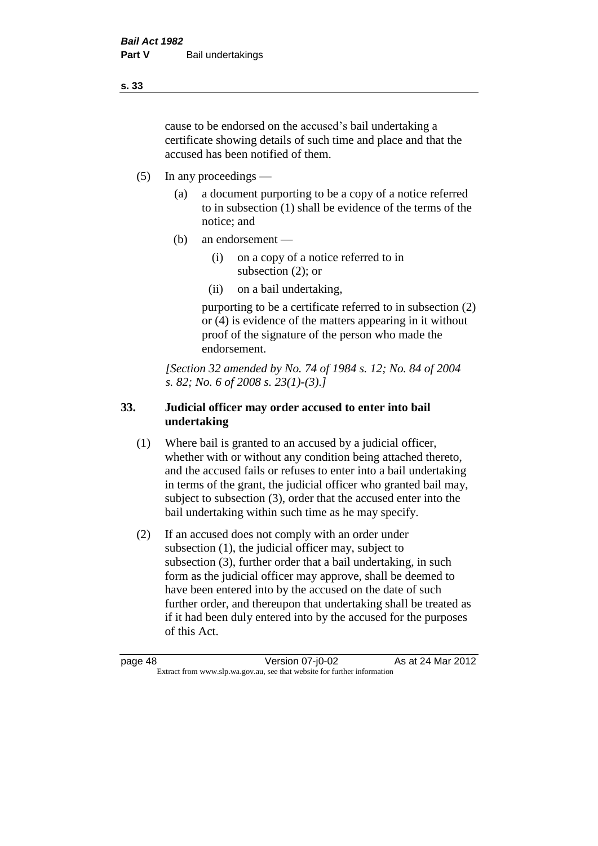cause to be endorsed on the accused's bail undertaking a certificate showing details of such time and place and that the accused has been notified of them.

- (5) In any proceedings
	- (a) a document purporting to be a copy of a notice referred to in subsection (1) shall be evidence of the terms of the notice; and
	- (b) an endorsement
		- (i) on a copy of a notice referred to in subsection (2); or
		- (ii) on a bail undertaking,

purporting to be a certificate referred to in subsection (2) or (4) is evidence of the matters appearing in it without proof of the signature of the person who made the endorsement.

*[Section 32 amended by No. 74 of 1984 s. 12; No. 84 of 2004 s. 82; No. 6 of 2008 s. 23(1)-(3).]* 

# **33. Judicial officer may order accused to enter into bail undertaking**

- (1) Where bail is granted to an accused by a judicial officer, whether with or without any condition being attached thereto, and the accused fails or refuses to enter into a bail undertaking in terms of the grant, the judicial officer who granted bail may, subject to subsection (3), order that the accused enter into the bail undertaking within such time as he may specify.
- (2) If an accused does not comply with an order under subsection (1), the judicial officer may, subject to subsection (3), further order that a bail undertaking, in such form as the judicial officer may approve, shall be deemed to have been entered into by the accused on the date of such further order, and thereupon that undertaking shall be treated as if it had been duly entered into by the accused for the purposes of this Act.

page 48 Version 07-j0-02 As at 24 Mar 2012 Extract from www.slp.wa.gov.au, see that website for further information

**s. 33**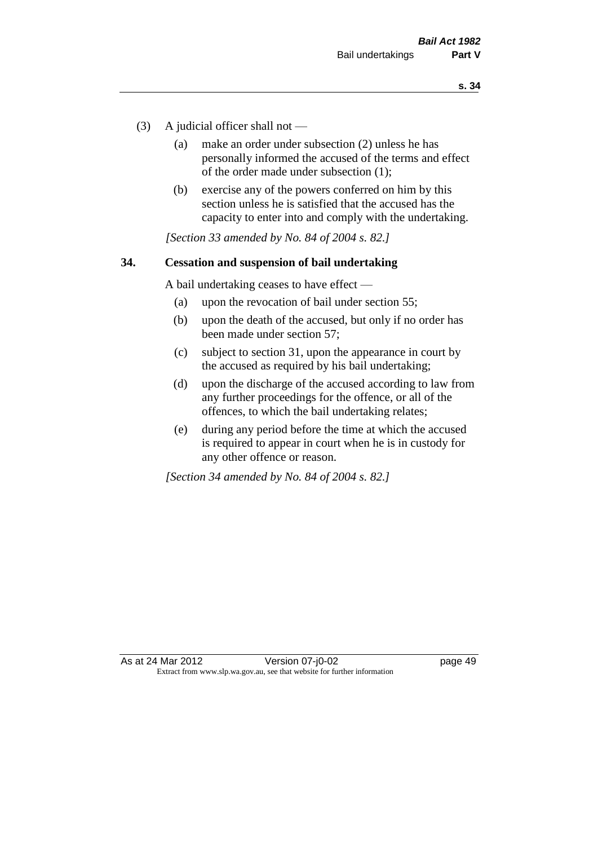- (3) A judicial officer shall not
	- (a) make an order under subsection (2) unless he has personally informed the accused of the terms and effect of the order made under subsection (1);
	- (b) exercise any of the powers conferred on him by this section unless he is satisfied that the accused has the capacity to enter into and comply with the undertaking.

*[Section 33 amended by No. 84 of 2004 s. 82.]* 

#### **34. Cessation and suspension of bail undertaking**

A bail undertaking ceases to have effect —

- (a) upon the revocation of bail under section 55;
- (b) upon the death of the accused, but only if no order has been made under section 57;
- (c) subject to section 31, upon the appearance in court by the accused as required by his bail undertaking;
- (d) upon the discharge of the accused according to law from any further proceedings for the offence, or all of the offences, to which the bail undertaking relates;
- (e) during any period before the time at which the accused is required to appear in court when he is in custody for any other offence or reason.

*[Section 34 amended by No. 84 of 2004 s. 82.]*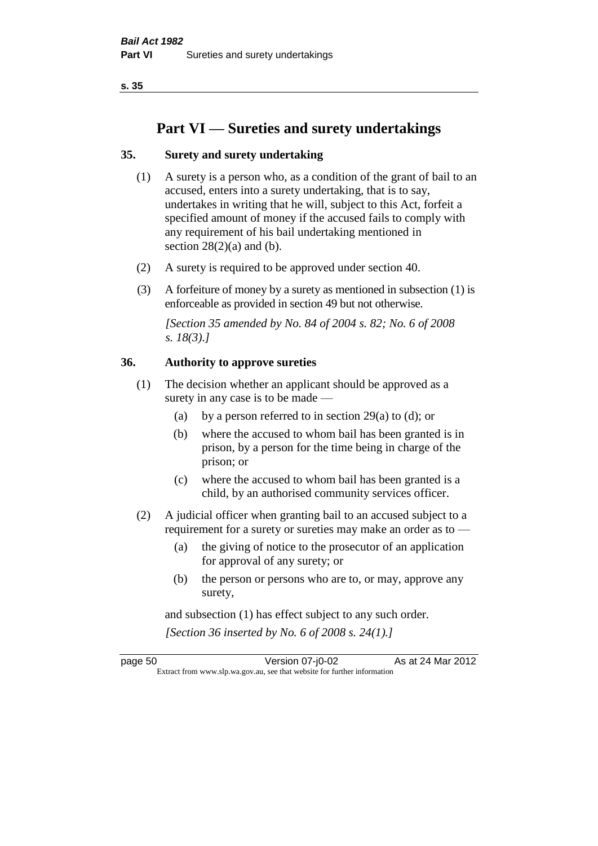**s. 35**

# **Part VI — Sureties and surety undertakings**

# **35. Surety and surety undertaking**

- (1) A surety is a person who, as a condition of the grant of bail to an accused, enters into a surety undertaking, that is to say, undertakes in writing that he will, subject to this Act, forfeit a specified amount of money if the accused fails to comply with any requirement of his bail undertaking mentioned in section  $28(2)(a)$  and (b).
- (2) A surety is required to be approved under section 40.
- (3) A forfeiture of money by a surety as mentioned in subsection (1) is enforceable as provided in section 49 but not otherwise.

*[Section 35 amended by No. 84 of 2004 s. 82; No. 6 of 2008 s. 18(3).]* 

# **36. Authority to approve sureties**

- (1) The decision whether an applicant should be approved as a surety in any case is to be made —
	- (a) by a person referred to in section 29(a) to (d); or
	- (b) where the accused to whom bail has been granted is in prison, by a person for the time being in charge of the prison; or
	- (c) where the accused to whom bail has been granted is a child, by an authorised community services officer.
- (2) A judicial officer when granting bail to an accused subject to a requirement for a surety or sureties may make an order as to —
	- (a) the giving of notice to the prosecutor of an application for approval of any surety; or
	- (b) the person or persons who are to, or may, approve any surety,

and subsection (1) has effect subject to any such order. *[Section 36 inserted by No. 6 of 2008 s. 24(1).]*

page 50 Version 07-j0-02 As at 24 Mar 2012 Extract from www.slp.wa.gov.au, see that website for further information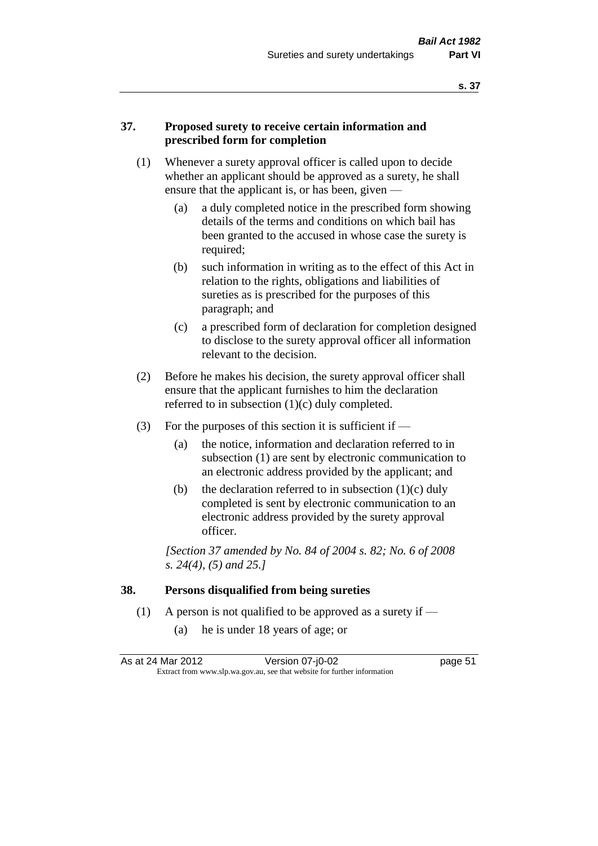# **37. Proposed surety to receive certain information and prescribed form for completion**

- (1) Whenever a surety approval officer is called upon to decide whether an applicant should be approved as a surety, he shall ensure that the applicant is, or has been, given -
	- (a) a duly completed notice in the prescribed form showing details of the terms and conditions on which bail has been granted to the accused in whose case the surety is required;
	- (b) such information in writing as to the effect of this Act in relation to the rights, obligations and liabilities of sureties as is prescribed for the purposes of this paragraph; and
	- (c) a prescribed form of declaration for completion designed to disclose to the surety approval officer all information relevant to the decision.
- (2) Before he makes his decision, the surety approval officer shall ensure that the applicant furnishes to him the declaration referred to in subsection (1)(c) duly completed.
- (3) For the purposes of this section it is sufficient if  $-$ 
	- (a) the notice, information and declaration referred to in subsection (1) are sent by electronic communication to an electronic address provided by the applicant; and
	- (b) the declaration referred to in subsection  $(1)(c)$  duly completed is sent by electronic communication to an electronic address provided by the surety approval officer.

*[Section 37 amended by No. 84 of 2004 s. 82; No. 6 of 2008 s. 24(4), (5) and 25.]* 

#### **38. Persons disqualified from being sureties**

- (1) A person is not qualified to be approved as a surety if  $-$ 
	- (a) he is under 18 years of age; or

| As at 24 Mar 2012 | Version 07-j0-02                                                         | page 51 |
|-------------------|--------------------------------------------------------------------------|---------|
|                   | Extract from www.slp.wa.gov.au, see that website for further information |         |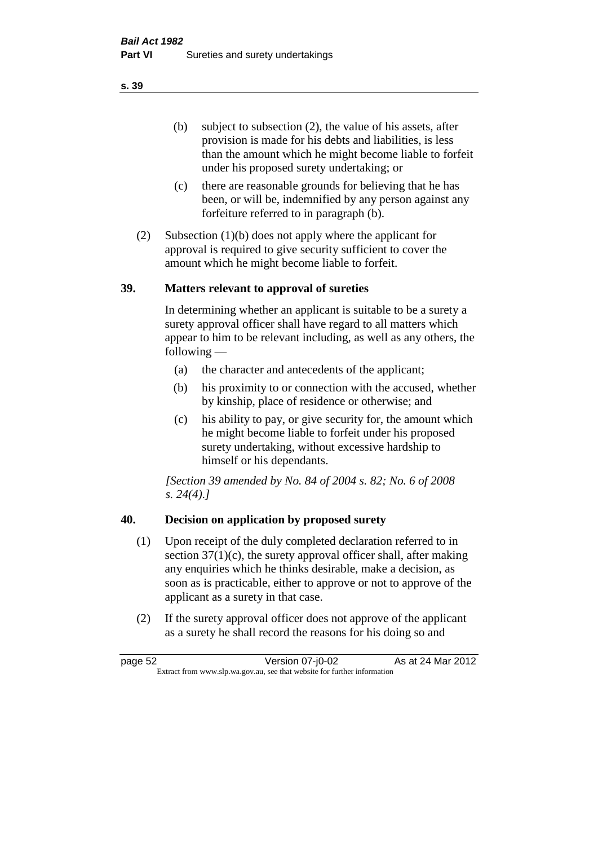(b) subject to subsection (2), the value of his assets, after provision is made for his debts and liabilities, is less than the amount which he might become liable to forfeit under his proposed surety undertaking; or

- (c) there are reasonable grounds for believing that he has been, or will be, indemnified by any person against any forfeiture referred to in paragraph (b).
- (2) Subsection (1)(b) does not apply where the applicant for approval is required to give security sufficient to cover the amount which he might become liable to forfeit.

# **39. Matters relevant to approval of sureties**

In determining whether an applicant is suitable to be a surety a surety approval officer shall have regard to all matters which appear to him to be relevant including, as well as any others, the following —

- (a) the character and antecedents of the applicant;
- (b) his proximity to or connection with the accused, whether by kinship, place of residence or otherwise; and
- (c) his ability to pay, or give security for, the amount which he might become liable to forfeit under his proposed surety undertaking, without excessive hardship to himself or his dependants.

*[Section 39 amended by No. 84 of 2004 s. 82; No. 6 of 2008 s. 24(4).]* 

# **40. Decision on application by proposed surety**

- (1) Upon receipt of the duly completed declaration referred to in section  $37(1)(c)$ , the surety approval officer shall, after making any enquiries which he thinks desirable, make a decision, as soon as is practicable, either to approve or not to approve of the applicant as a surety in that case.
- (2) If the surety approval officer does not approve of the applicant as a surety he shall record the reasons for his doing so and

page 52 Version 07-j0-02 As at 24 Mar 2012 Extract from www.slp.wa.gov.au, see that website for further information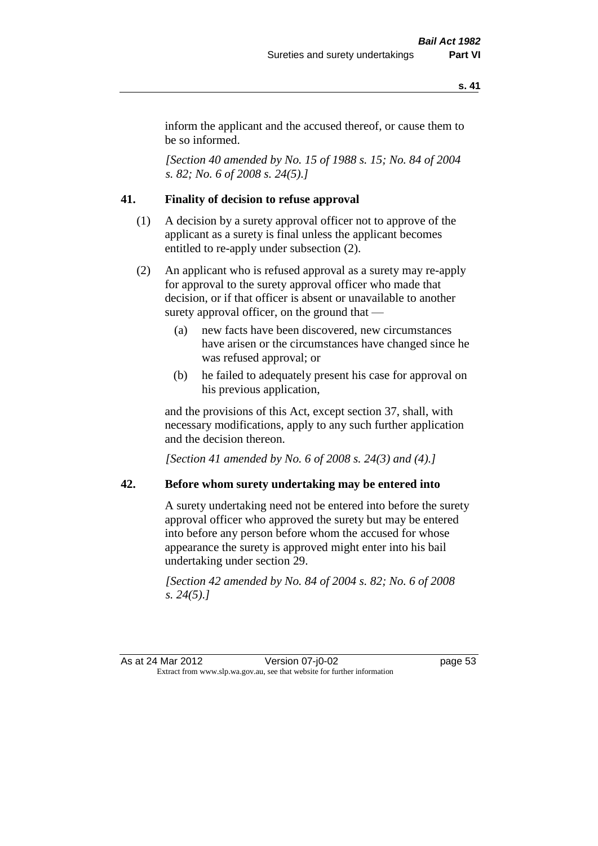inform the applicant and the accused thereof, or cause them to be so informed.

*[Section 40 amended by No. 15 of 1988 s. 15; No. 84 of 2004 s. 82; No. 6 of 2008 s. 24(5).]* 

# **41. Finality of decision to refuse approval**

- (1) A decision by a surety approval officer not to approve of the applicant as a surety is final unless the applicant becomes entitled to re-apply under subsection (2).
- (2) An applicant who is refused approval as a surety may re-apply for approval to the surety approval officer who made that decision, or if that officer is absent or unavailable to another surety approval officer, on the ground that —
	- (a) new facts have been discovered, new circumstances have arisen or the circumstances have changed since he was refused approval; or
	- (b) he failed to adequately present his case for approval on his previous application,

and the provisions of this Act, except section 37, shall, with necessary modifications, apply to any such further application and the decision thereon.

*[Section 41 amended by No. 6 of 2008 s. 24(3) and (4).]*

#### **42. Before whom surety undertaking may be entered into**

A surety undertaking need not be entered into before the surety approval officer who approved the surety but may be entered into before any person before whom the accused for whose appearance the surety is approved might enter into his bail undertaking under section 29.

*[Section 42 amended by No. 84 of 2004 s. 82; No. 6 of 2008 s. 24(5).]* 

As at 24 Mar 2012 Version 07-j0-02 page 53 Extract from www.slp.wa.gov.au, see that website for further information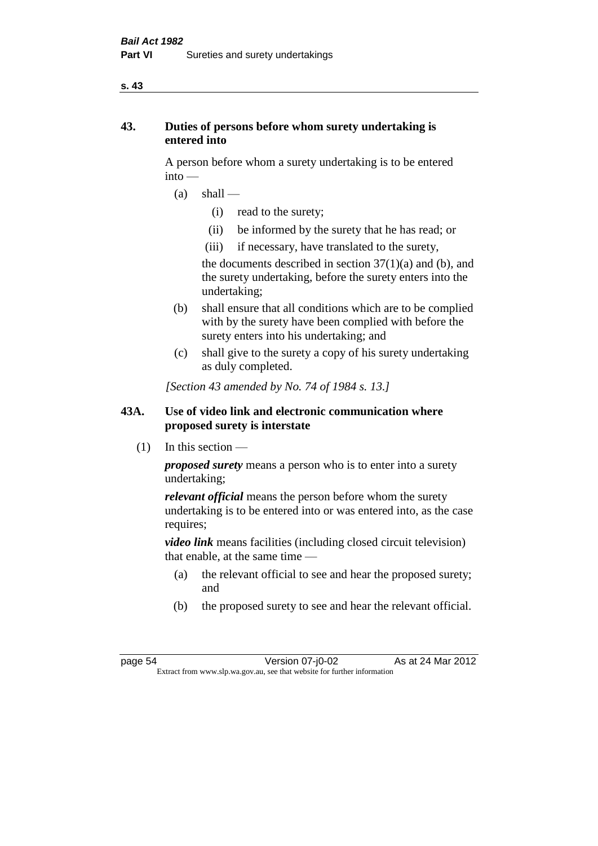#### **s. 43**

# **43. Duties of persons before whom surety undertaking is entered into**

A person before whom a surety undertaking is to be entered into —

- $(a)$  shall
	- (i) read to the surety;
	- (ii) be informed by the surety that he has read; or
	- (iii) if necessary, have translated to the surety,

the documents described in section  $37(1)(a)$  and (b), and the surety undertaking, before the surety enters into the undertaking;

- (b) shall ensure that all conditions which are to be complied with by the surety have been complied with before the surety enters into his undertaking; and
- (c) shall give to the surety a copy of his surety undertaking as duly completed.

*[Section 43 amended by No. 74 of 1984 s. 13.]* 

# **43A. Use of video link and electronic communication where proposed surety is interstate**

 $(1)$  In this section —

*proposed surety* means a person who is to enter into a surety undertaking;

*relevant official* means the person before whom the surety undertaking is to be entered into or was entered into, as the case requires;

*video link* means facilities (including closed circuit television) that enable, at the same time —

- (a) the relevant official to see and hear the proposed surety; and
- (b) the proposed surety to see and hear the relevant official.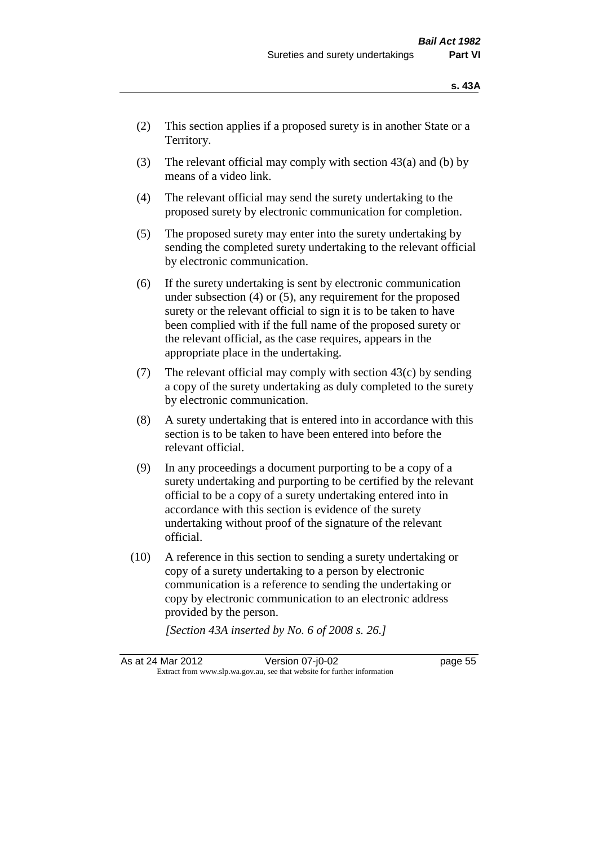- (2) This section applies if a proposed surety is in another State or a Territory.
- (3) The relevant official may comply with section  $43(a)$  and (b) by means of a video link.
- (4) The relevant official may send the surety undertaking to the proposed surety by electronic communication for completion.
- (5) The proposed surety may enter into the surety undertaking by sending the completed surety undertaking to the relevant official by electronic communication.
- (6) If the surety undertaking is sent by electronic communication under subsection (4) or (5), any requirement for the proposed surety or the relevant official to sign it is to be taken to have been complied with if the full name of the proposed surety or the relevant official, as the case requires, appears in the appropriate place in the undertaking.
- (7) The relevant official may comply with section  $43(c)$  by sending a copy of the surety undertaking as duly completed to the surety by electronic communication.
- (8) A surety undertaking that is entered into in accordance with this section is to be taken to have been entered into before the relevant official.
- (9) In any proceedings a document purporting to be a copy of a surety undertaking and purporting to be certified by the relevant official to be a copy of a surety undertaking entered into in accordance with this section is evidence of the surety undertaking without proof of the signature of the relevant official.
- (10) A reference in this section to sending a surety undertaking or copy of a surety undertaking to a person by electronic communication is a reference to sending the undertaking or copy by electronic communication to an electronic address provided by the person.

*[Section 43A inserted by No. 6 of 2008 s. 26.]*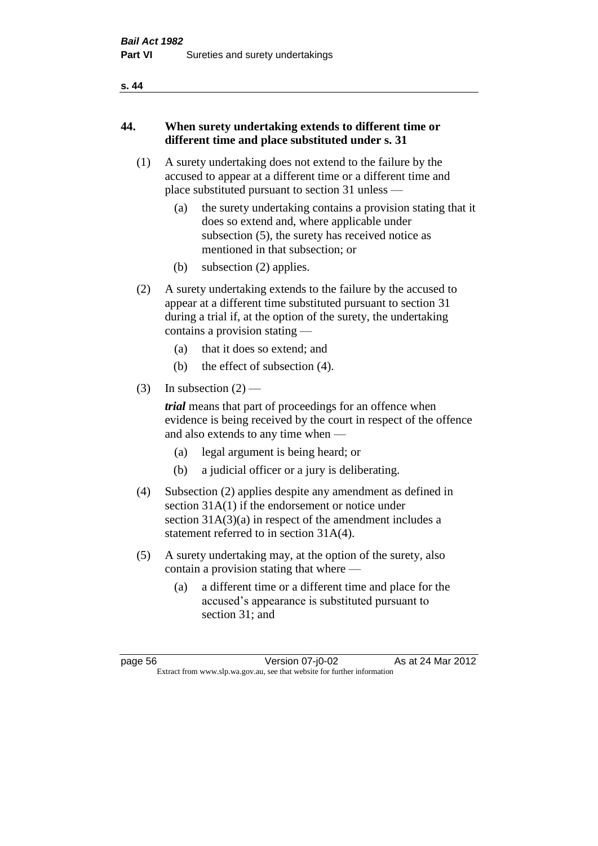#### **s. 44**

# **44. When surety undertaking extends to different time or different time and place substituted under s. 31**

- (1) A surety undertaking does not extend to the failure by the accused to appear at a different time or a different time and place substituted pursuant to section 31 unless —
	- (a) the surety undertaking contains a provision stating that it does so extend and, where applicable under subsection (5), the surety has received notice as mentioned in that subsection; or
	- (b) subsection (2) applies.
- (2) A surety undertaking extends to the failure by the accused to appear at a different time substituted pursuant to section 31 during a trial if, at the option of the surety, the undertaking contains a provision stating —
	- (a) that it does so extend; and
	- (b) the effect of subsection (4).
- (3) In subsection  $(2)$  —

*trial* means that part of proceedings for an offence when evidence is being received by the court in respect of the offence and also extends to any time when —

- (a) legal argument is being heard; or
- (b) a judicial officer or a jury is deliberating.
- (4) Subsection (2) applies despite any amendment as defined in section 31A(1) if the endorsement or notice under section 31A(3)(a) in respect of the amendment includes a statement referred to in section 31A(4).
- (5) A surety undertaking may, at the option of the surety, also contain a provision stating that where —
	- (a) a different time or a different time and place for the accused's appearance is substituted pursuant to section 31; and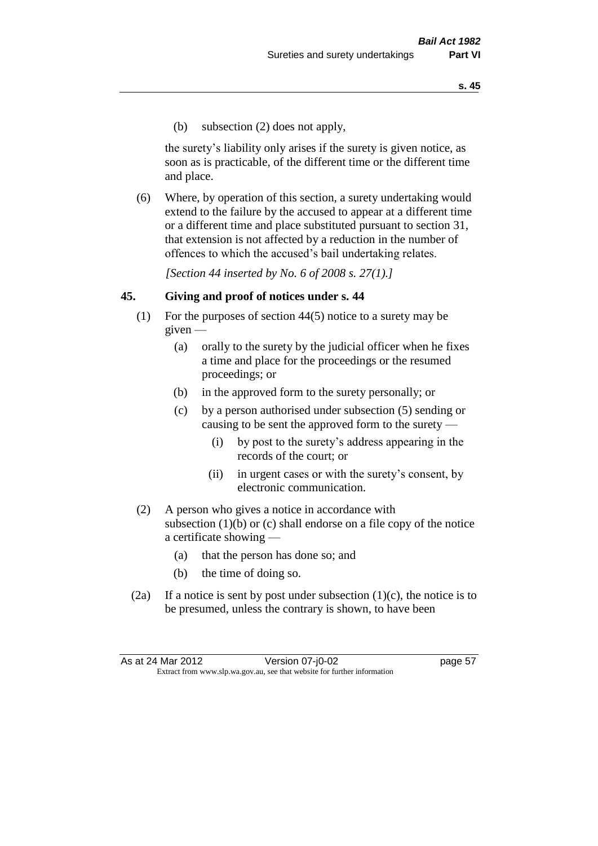(b) subsection (2) does not apply,

the surety's liability only arises if the surety is given notice, as soon as is practicable, of the different time or the different time and place.

(6) Where, by operation of this section, a surety undertaking would extend to the failure by the accused to appear at a different time or a different time and place substituted pursuant to section 31, that extension is not affected by a reduction in the number of offences to which the accused's bail undertaking relates.

*[Section 44 inserted by No. 6 of 2008 s. 27(1).]*

#### **45. Giving and proof of notices under s. 44**

- (1) For the purposes of section 44(5) notice to a surety may be  $given -$ 
	- (a) orally to the surety by the judicial officer when he fixes a time and place for the proceedings or the resumed proceedings; or
	- (b) in the approved form to the surety personally; or
	- (c) by a person authorised under subsection (5) sending or causing to be sent the approved form to the surety —
		- (i) by post to the surety's address appearing in the records of the court; or
		- (ii) in urgent cases or with the surety's consent, by electronic communication.
- (2) A person who gives a notice in accordance with subsection (1)(b) or (c) shall endorse on a file copy of the notice a certificate showing —
	- (a) that the person has done so; and
	- (b) the time of doing so.
- (2a) If a notice is sent by post under subsection  $(1)(c)$ , the notice is to be presumed, unless the contrary is shown, to have been

As at 24 Mar 2012 Version 07-j0-02 page 57 Extract from www.slp.wa.gov.au, see that website for further information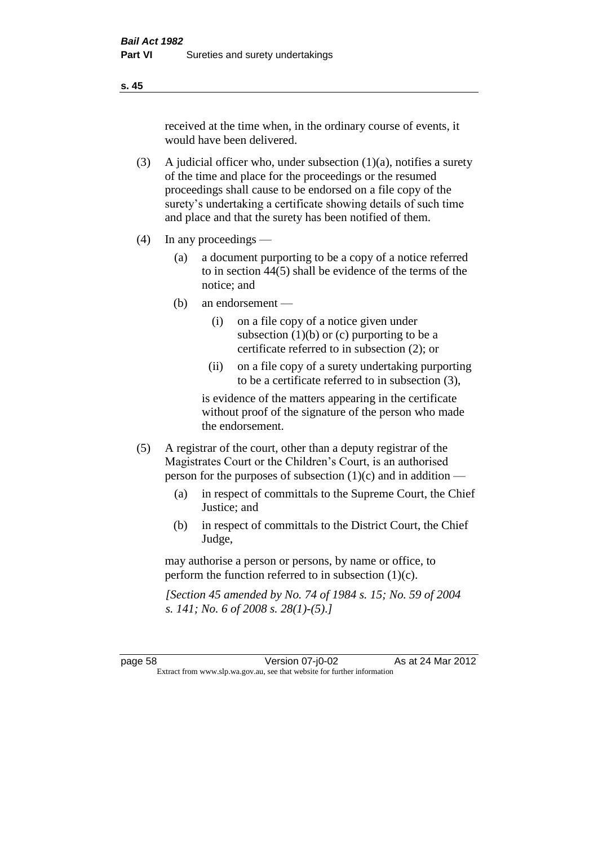received at the time when, in the ordinary course of events, it would have been delivered.

- (3) A judicial officer who, under subsection  $(1)(a)$ , notifies a surety of the time and place for the proceedings or the resumed proceedings shall cause to be endorsed on a file copy of the surety's undertaking a certificate showing details of such time and place and that the surety has been notified of them.
- (4) In any proceedings
	- (a) a document purporting to be a copy of a notice referred to in section 44(5) shall be evidence of the terms of the notice; and
	- (b) an endorsement
		- (i) on a file copy of a notice given under subsection  $(1)(b)$  or  $(c)$  purporting to be a certificate referred to in subsection (2); or
		- (ii) on a file copy of a surety undertaking purporting to be a certificate referred to in subsection (3),

is evidence of the matters appearing in the certificate without proof of the signature of the person who made the endorsement.

- (5) A registrar of the court, other than a deputy registrar of the Magistrates Court or the Children's Court, is an authorised person for the purposes of subsection (1)(c) and in addition —
	- (a) in respect of committals to the Supreme Court, the Chief Justice; and
	- (b) in respect of committals to the District Court, the Chief Judge,

may authorise a person or persons, by name or office, to perform the function referred to in subsection (1)(c).

*[Section 45 amended by No. 74 of 1984 s. 15; No. 59 of 2004 s. 141; No. 6 of 2008 s. 28(1)-(5).]* 

page 58 Version 07-j0-02 As at 24 Mar 2012 Extract from www.slp.wa.gov.au, see that website for further information

**s. 45**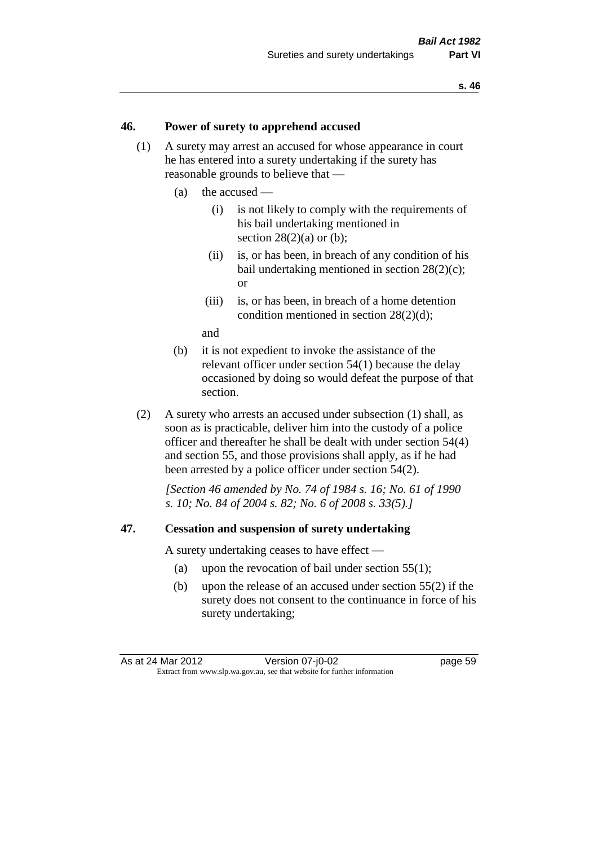#### **46. Power of surety to apprehend accused**

- (1) A surety may arrest an accused for whose appearance in court he has entered into a surety undertaking if the surety has reasonable grounds to believe that —
	- (a) the accused
		- (i) is not likely to comply with the requirements of his bail undertaking mentioned in section  $28(2)(a)$  or (b):
		- (ii) is, or has been, in breach of any condition of his bail undertaking mentioned in section 28(2)(c); or
		- (iii) is, or has been, in breach of a home detention condition mentioned in section 28(2)(d);

and

- (b) it is not expedient to invoke the assistance of the relevant officer under section 54(1) because the delay occasioned by doing so would defeat the purpose of that section.
- (2) A surety who arrests an accused under subsection (1) shall, as soon as is practicable, deliver him into the custody of a police officer and thereafter he shall be dealt with under section 54(4) and section 55, and those provisions shall apply, as if he had been arrested by a police officer under section 54(2).

*[Section 46 amended by No. 74 of 1984 s. 16; No. 61 of 1990 s. 10; No. 84 of 2004 s. 82; No. 6 of 2008 s. 33(5).]* 

#### **47. Cessation and suspension of surety undertaking**

A surety undertaking ceases to have effect —

- (a) upon the revocation of bail under section 55(1);
- (b) upon the release of an accused under section 55(2) if the surety does not consent to the continuance in force of his surety undertaking;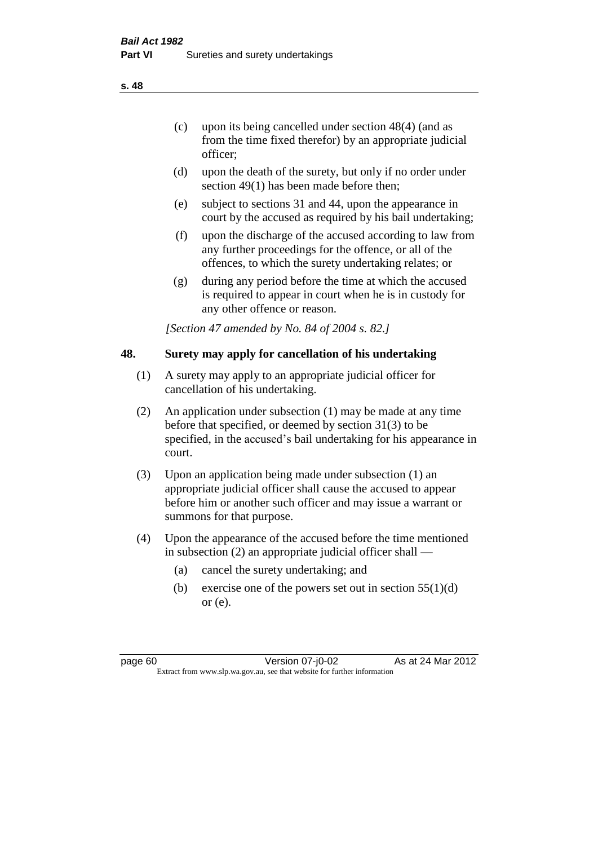- (c) upon its being cancelled under section 48(4) (and as from the time fixed therefor) by an appropriate judicial officer;
- (d) upon the death of the surety, but only if no order under section 49(1) has been made before then;
- (e) subject to sections 31 and 44, upon the appearance in court by the accused as required by his bail undertaking;
- (f) upon the discharge of the accused according to law from any further proceedings for the offence, or all of the offences, to which the surety undertaking relates; or
- (g) during any period before the time at which the accused is required to appear in court when he is in custody for any other offence or reason.

*[Section 47 amended by No. 84 of 2004 s. 82.]* 

# **48. Surety may apply for cancellation of his undertaking**

- (1) A surety may apply to an appropriate judicial officer for cancellation of his undertaking.
- (2) An application under subsection (1) may be made at any time before that specified, or deemed by section 31(3) to be specified, in the accused's bail undertaking for his appearance in court.
- (3) Upon an application being made under subsection (1) an appropriate judicial officer shall cause the accused to appear before him or another such officer and may issue a warrant or summons for that purpose.
- (4) Upon the appearance of the accused before the time mentioned in subsection (2) an appropriate judicial officer shall —
	- (a) cancel the surety undertaking; and
	- (b) exercise one of the powers set out in section  $55(1)(d)$ or (e).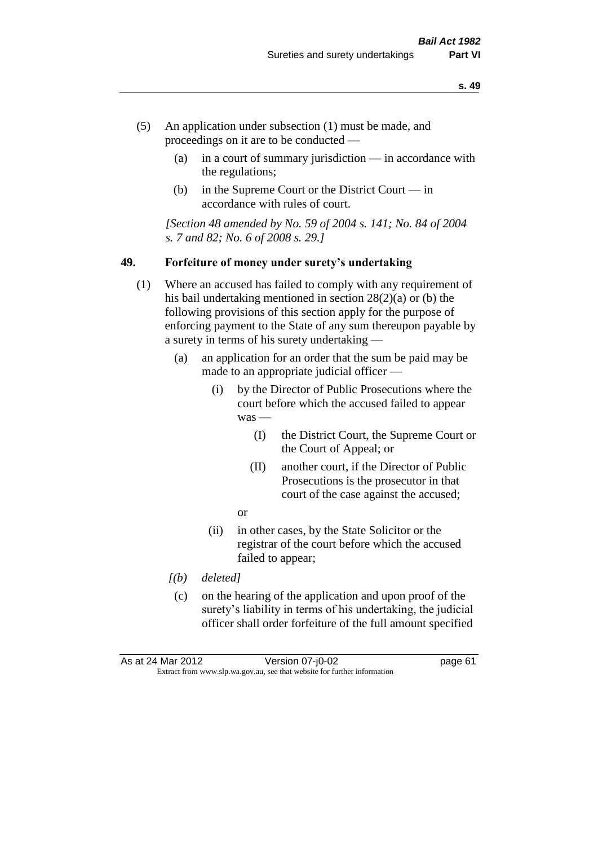- (5) An application under subsection (1) must be made, and proceedings on it are to be conducted —
	- (a) in a court of summary jurisdiction in accordance with the regulations;
	- (b) in the Supreme Court or the District Court  $-\text{in}$ accordance with rules of court.

*[Section 48 amended by No. 59 of 2004 s. 141; No. 84 of 2004 s. 7 and 82; No. 6 of 2008 s. 29.]* 

#### **49. Forfeiture of money under surety's undertaking**

- (1) Where an accused has failed to comply with any requirement of his bail undertaking mentioned in section 28(2)(a) or (b) the following provisions of this section apply for the purpose of enforcing payment to the State of any sum thereupon payable by a surety in terms of his surety undertaking —
	- (a) an application for an order that the sum be paid may be made to an appropriate judicial officer —
		- (i) by the Director of Public Prosecutions where the court before which the accused failed to appear was -
			- (I) the District Court, the Supreme Court or the Court of Appeal; or
			- (II) another court, if the Director of Public Prosecutions is the prosecutor in that court of the case against the accused;
			- or
		- (ii) in other cases, by the State Solicitor or the registrar of the court before which the accused failed to appear;
	- *[(b) deleted]*
	- (c) on the hearing of the application and upon proof of the surety's liability in terms of his undertaking, the judicial officer shall order forfeiture of the full amount specified

As at 24 Mar 2012 Version 07-j0-02 page 61 Extract from www.slp.wa.gov.au, see that website for further information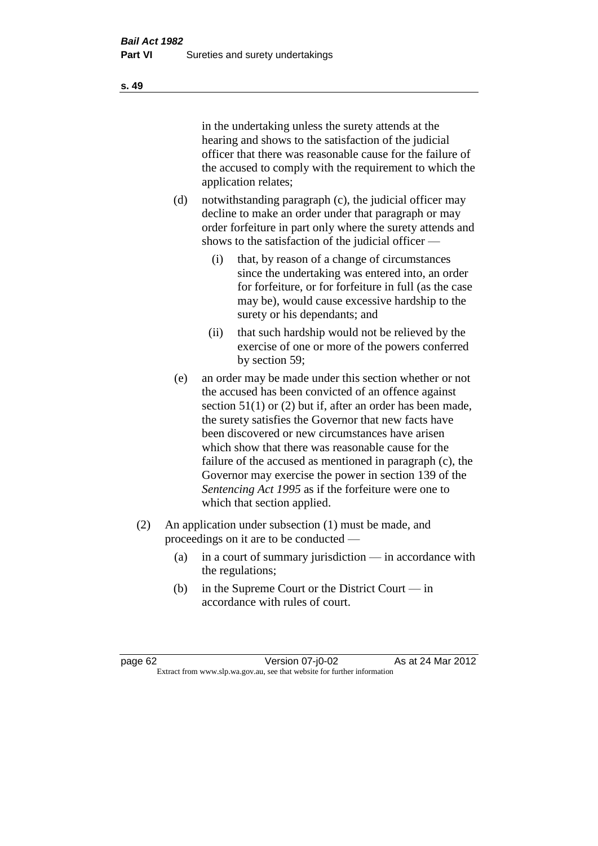in the undertaking unless the surety attends at the hearing and shows to the satisfaction of the judicial officer that there was reasonable cause for the failure of the accused to comply with the requirement to which the application relates;

- (d) notwithstanding paragraph (c), the judicial officer may decline to make an order under that paragraph or may order forfeiture in part only where the surety attends and shows to the satisfaction of the judicial officer —
	- (i) that, by reason of a change of circumstances since the undertaking was entered into, an order for forfeiture, or for forfeiture in full (as the case may be), would cause excessive hardship to the surety or his dependants; and
	- (ii) that such hardship would not be relieved by the exercise of one or more of the powers conferred by section 59;
- (e) an order may be made under this section whether or not the accused has been convicted of an offence against section 51(1) or (2) but if, after an order has been made, the surety satisfies the Governor that new facts have been discovered or new circumstances have arisen which show that there was reasonable cause for the failure of the accused as mentioned in paragraph (c), the Governor may exercise the power in section 139 of the *Sentencing Act 1995* as if the forfeiture were one to which that section applied.
- (2) An application under subsection (1) must be made, and proceedings on it are to be conducted —
	- (a) in a court of summary jurisdiction in accordance with the regulations;
	- (b) in the Supreme Court or the District Court in accordance with rules of court.

page 62 Version 07-j0-02 As at 24 Mar 2012 Extract from www.slp.wa.gov.au, see that website for further information

**s. 49**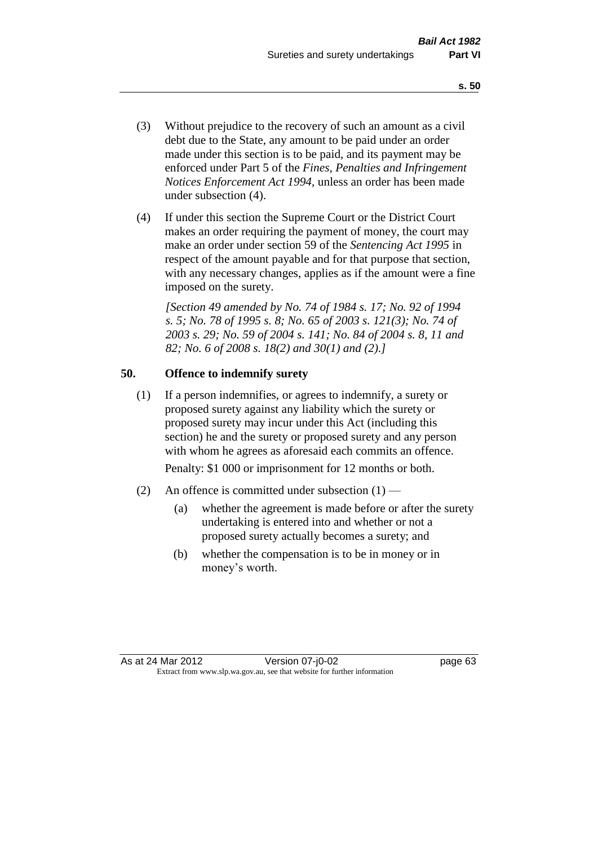- (3) Without prejudice to the recovery of such an amount as a civil debt due to the State, any amount to be paid under an order made under this section is to be paid, and its payment may be enforced under Part 5 of the *Fines, Penalties and Infringement Notices Enforcement Act 1994*, unless an order has been made under subsection (4).
- (4) If under this section the Supreme Court or the District Court makes an order requiring the payment of money, the court may make an order under section 59 of the *Sentencing Act 1995* in respect of the amount payable and for that purpose that section, with any necessary changes, applies as if the amount were a fine imposed on the surety.

*[Section 49 amended by No. 74 of 1984 s. 17; No. 92 of 1994 s. 5; No. 78 of 1995 s. 8; No. 65 of 2003 s. 121(3); No. 74 of 2003 s. 29; No. 59 of 2004 s. 141; No. 84 of 2004 s. 8, 11 and 82; No. 6 of 2008 s. 18(2) and 30(1) and (2).]* 

# **50. Offence to indemnify surety**

(1) If a person indemnifies, or agrees to indemnify, a surety or proposed surety against any liability which the surety or proposed surety may incur under this Act (including this section) he and the surety or proposed surety and any person with whom he agrees as aforesaid each commits an offence.

Penalty: \$1 000 or imprisonment for 12 months or both.

- (2) An offence is committed under subsection  $(1)$ 
	- (a) whether the agreement is made before or after the surety undertaking is entered into and whether or not a proposed surety actually becomes a surety; and
	- (b) whether the compensation is to be in money or in money's worth.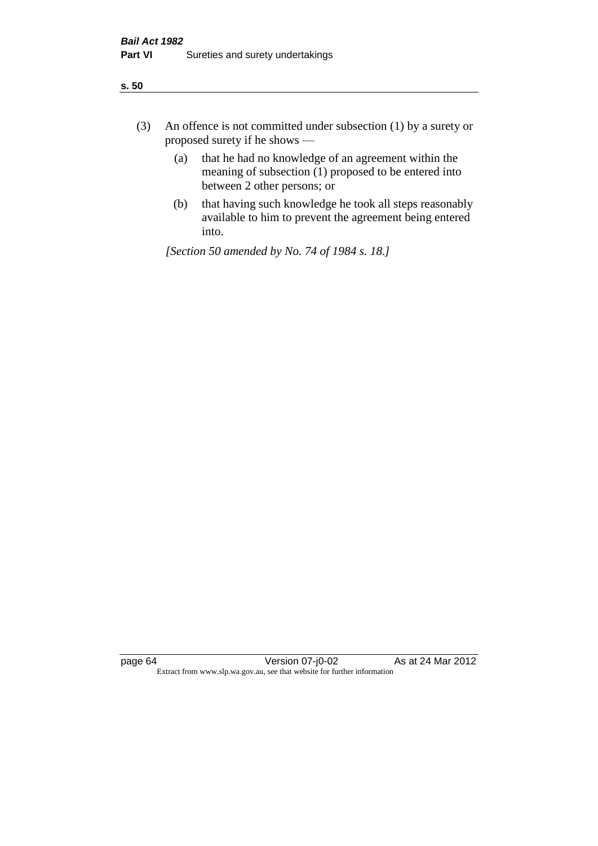| ÷<br>×<br>I<br>. .<br>×<br>۰.<br>×<br>۰.<br>v |
|-----------------------------------------------|
|-----------------------------------------------|

- (3) An offence is not committed under subsection (1) by a surety or proposed surety if he shows —
	- (a) that he had no knowledge of an agreement within the meaning of subsection  $(1)$  proposed to be entered into between 2 other persons; or
	- (b) that having such knowledge he took all steps reasonably available to him to prevent the agreement being entered into.

*[Section 50 amended by No. 74 of 1984 s. 18.]*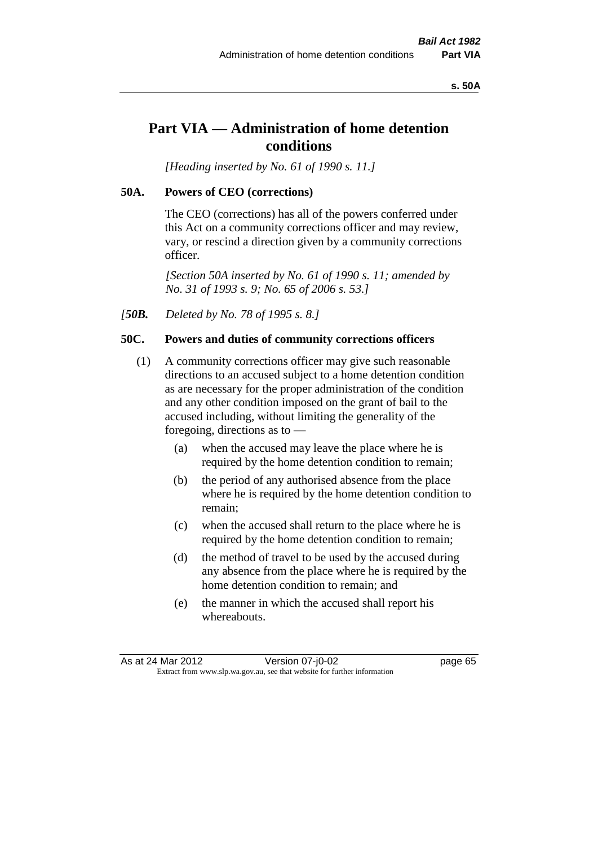#### **s. 50A**

# **Part VIA — Administration of home detention conditions**

*[Heading inserted by No. 61 of 1990 s. 11.]* 

#### **50A. Powers of CEO (corrections)**

The CEO (corrections) has all of the powers conferred under this Act on a community corrections officer and may review, vary, or rescind a direction given by a community corrections officer.

*[Section 50A inserted by No. 61 of 1990 s. 11; amended by No. 31 of 1993 s. 9; No. 65 of 2006 s. 53.]* 

*[50B. Deleted by No. 78 of 1995 s. 8.]* 

# **50C. Powers and duties of community corrections officers**

- (1) A community corrections officer may give such reasonable directions to an accused subject to a home detention condition as are necessary for the proper administration of the condition and any other condition imposed on the grant of bail to the accused including, without limiting the generality of the foregoing, directions as to —
	- (a) when the accused may leave the place where he is required by the home detention condition to remain;
	- (b) the period of any authorised absence from the place where he is required by the home detention condition to remain;
	- (c) when the accused shall return to the place where he is required by the home detention condition to remain;
	- (d) the method of travel to be used by the accused during any absence from the place where he is required by the home detention condition to remain; and
	- (e) the manner in which the accused shall report his whereabouts.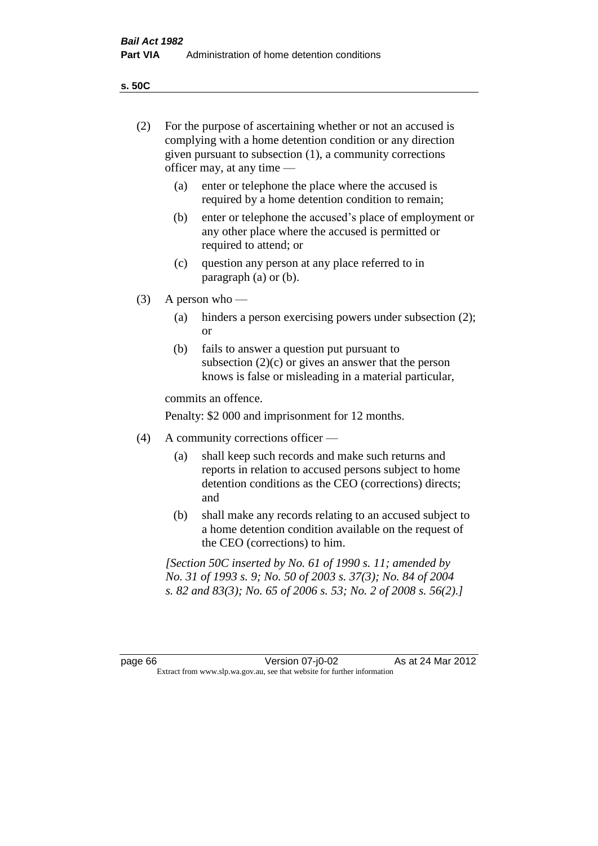**s. 50C**

| (2)     | For the purpose of ascertaining whether or not an accused is<br>complying with a home detention condition or any direction<br>given pursuant to subsection (1), a community corrections<br>officer may, at any time — |                                                                                                                                                                                              |  |
|---------|-----------------------------------------------------------------------------------------------------------------------------------------------------------------------------------------------------------------------|----------------------------------------------------------------------------------------------------------------------------------------------------------------------------------------------|--|
|         | (a)                                                                                                                                                                                                                   | enter or telephone the place where the accused is<br>required by a home detention condition to remain;                                                                                       |  |
|         | (b)                                                                                                                                                                                                                   | enter or telephone the accused's place of employment or<br>any other place where the accused is permitted or<br>required to attend; or                                                       |  |
|         | (c)                                                                                                                                                                                                                   | question any person at any place referred to in<br>paragraph $(a)$ or $(b)$ .                                                                                                                |  |
| (3)     |                                                                                                                                                                                                                       | A person who $-$                                                                                                                                                                             |  |
|         | (a)                                                                                                                                                                                                                   | hinders a person exercising powers under subsection (2);<br><sub>or</sub>                                                                                                                    |  |
|         | (b)                                                                                                                                                                                                                   | fails to answer a question put pursuant to<br>subsection $(2)(c)$ or gives an answer that the person<br>knows is false or misleading in a material particular,                               |  |
|         |                                                                                                                                                                                                                       | commits an offence.                                                                                                                                                                          |  |
|         |                                                                                                                                                                                                                       | Penalty: \$2 000 and imprisonment for 12 months.                                                                                                                                             |  |
| (4)     |                                                                                                                                                                                                                       | A community corrections officer -                                                                                                                                                            |  |
|         | (a)                                                                                                                                                                                                                   | shall keep such records and make such returns and<br>reports in relation to accused persons subject to home<br>detention conditions as the CEO (corrections) directs;<br>and                 |  |
|         | (b)                                                                                                                                                                                                                   | shall make any records relating to an accused subject to<br>a home detention condition available on the request of<br>the CEO (corrections) to him.                                          |  |
|         |                                                                                                                                                                                                                       | [Section 50C inserted by No. 61 of 1990 s. 11; amended by<br>No. 31 of 1993 s. 9; No. 50 of 2003 s. 37(3); No. 84 of 2004<br>s. 82 and 83(3); No. 65 of 2006 s. 53; No. 2 of 2008 s. 56(2).] |  |
|         |                                                                                                                                                                                                                       |                                                                                                                                                                                              |  |
| page 66 |                                                                                                                                                                                                                       | As at 24 Mar 2012<br>Version 07-j0-02<br>Extract from www.slp.wa.gov.au, see that website for further information                                                                            |  |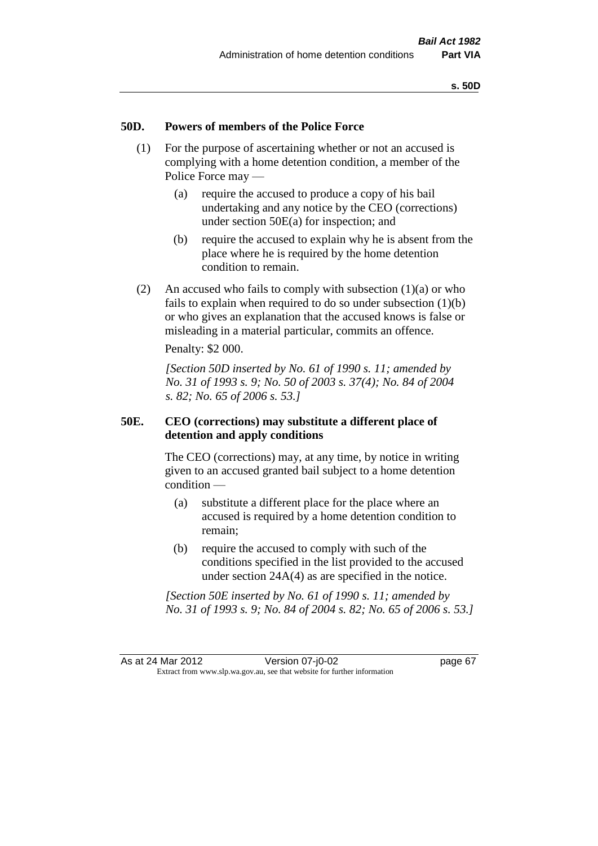# **50D. Powers of members of the Police Force**

- (1) For the purpose of ascertaining whether or not an accused is complying with a home detention condition, a member of the Police Force may —
	- (a) require the accused to produce a copy of his bail undertaking and any notice by the CEO (corrections) under section 50E(a) for inspection; and
	- (b) require the accused to explain why he is absent from the place where he is required by the home detention condition to remain.
- (2) An accused who fails to comply with subsection  $(1)(a)$  or who fails to explain when required to do so under subsection  $(1)(b)$ or who gives an explanation that the accused knows is false or misleading in a material particular, commits an offence.

Penalty: \$2 000.

*[Section 50D inserted by No. 61 of 1990 s. 11; amended by No. 31 of 1993 s. 9; No. 50 of 2003 s. 37(4); No. 84 of 2004 s. 82; No. 65 of 2006 s. 53.]* 

# **50E. CEO (corrections) may substitute a different place of detention and apply conditions**

The CEO (corrections) may, at any time, by notice in writing given to an accused granted bail subject to a home detention condition —

- (a) substitute a different place for the place where an accused is required by a home detention condition to remain;
- (b) require the accused to comply with such of the conditions specified in the list provided to the accused under section 24A(4) as are specified in the notice.

*[Section 50E inserted by No. 61 of 1990 s. 11; amended by No. 31 of 1993 s. 9; No. 84 of 2004 s. 82; No. 65 of 2006 s. 53.]*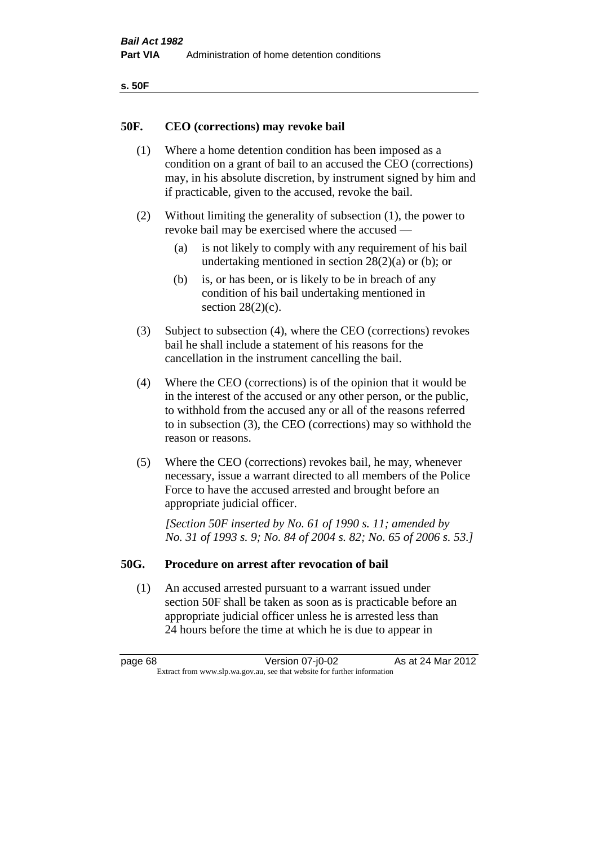| ×<br>۰. | ۰.<br>×<br>۰.<br>× |
|---------|--------------------|
|         |                    |

### **50F. CEO (corrections) may revoke bail**

- (1) Where a home detention condition has been imposed as a condition on a grant of bail to an accused the CEO (corrections) may, in his absolute discretion, by instrument signed by him and if practicable, given to the accused, revoke the bail.
- (2) Without limiting the generality of subsection (1), the power to revoke bail may be exercised where the accused —
	- (a) is not likely to comply with any requirement of his bail undertaking mentioned in section  $28(2)(a)$  or (b); or
	- (b) is, or has been, or is likely to be in breach of any condition of his bail undertaking mentioned in section  $28(2)(c)$ .
- (3) Subject to subsection (4), where the CEO (corrections) revokes bail he shall include a statement of his reasons for the cancellation in the instrument cancelling the bail.
- (4) Where the CEO (corrections) is of the opinion that it would be in the interest of the accused or any other person, or the public, to withhold from the accused any or all of the reasons referred to in subsection (3), the CEO (corrections) may so withhold the reason or reasons.
- (5) Where the CEO (corrections) revokes bail, he may, whenever necessary, issue a warrant directed to all members of the Police Force to have the accused arrested and brought before an appropriate judicial officer.

*[Section 50F inserted by No. 61 of 1990 s. 11; amended by No. 31 of 1993 s. 9; No. 84 of 2004 s. 82; No. 65 of 2006 s. 53.]* 

#### **50G. Procedure on arrest after revocation of bail**

(1) An accused arrested pursuant to a warrant issued under section 50F shall be taken as soon as is practicable before an appropriate judicial officer unless he is arrested less than 24 hours before the time at which he is due to appear in

page 68 Version 07-j0-02 As at 24 Mar 2012 Extract from www.slp.wa.gov.au, see that website for further information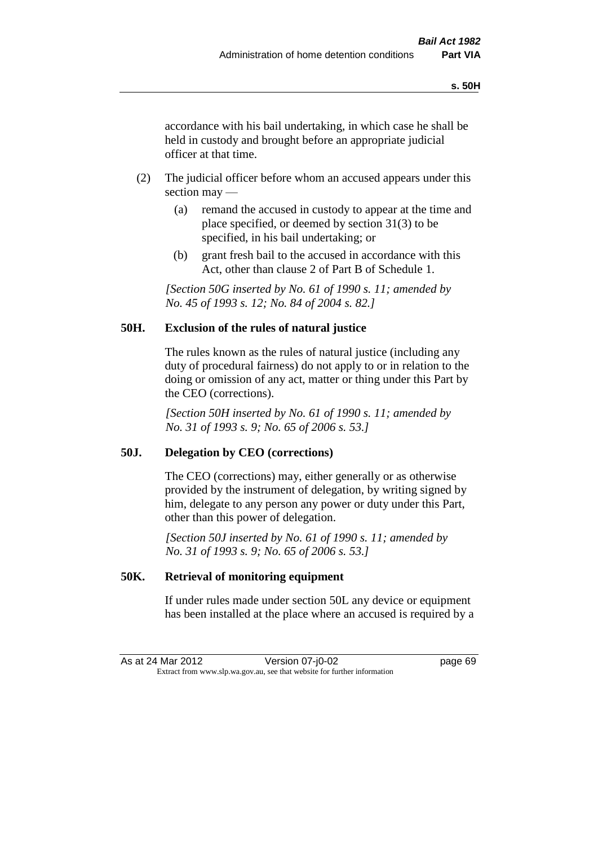accordance with his bail undertaking, in which case he shall be held in custody and brought before an appropriate judicial officer at that time.

- (2) The judicial officer before whom an accused appears under this section may —
	- (a) remand the accused in custody to appear at the time and place specified, or deemed by section 31(3) to be specified, in his bail undertaking; or
	- (b) grant fresh bail to the accused in accordance with this Act, other than clause 2 of Part B of Schedule 1.

*[Section 50G inserted by No. 61 of 1990 s. 11; amended by No. 45 of 1993 s. 12; No. 84 of 2004 s. 82.]* 

# **50H. Exclusion of the rules of natural justice**

The rules known as the rules of natural justice (including any duty of procedural fairness) do not apply to or in relation to the doing or omission of any act, matter or thing under this Part by the CEO (corrections).

*[Section 50H inserted by No. 61 of 1990 s. 11; amended by No. 31 of 1993 s. 9; No. 65 of 2006 s. 53.]* 

# **50J. Delegation by CEO (corrections)**

The CEO (corrections) may, either generally or as otherwise provided by the instrument of delegation, by writing signed by him, delegate to any person any power or duty under this Part, other than this power of delegation.

*[Section 50J inserted by No. 61 of 1990 s. 11; amended by No. 31 of 1993 s. 9; No. 65 of 2006 s. 53.]* 

# **50K. Retrieval of monitoring equipment**

If under rules made under section 50L any device or equipment has been installed at the place where an accused is required by a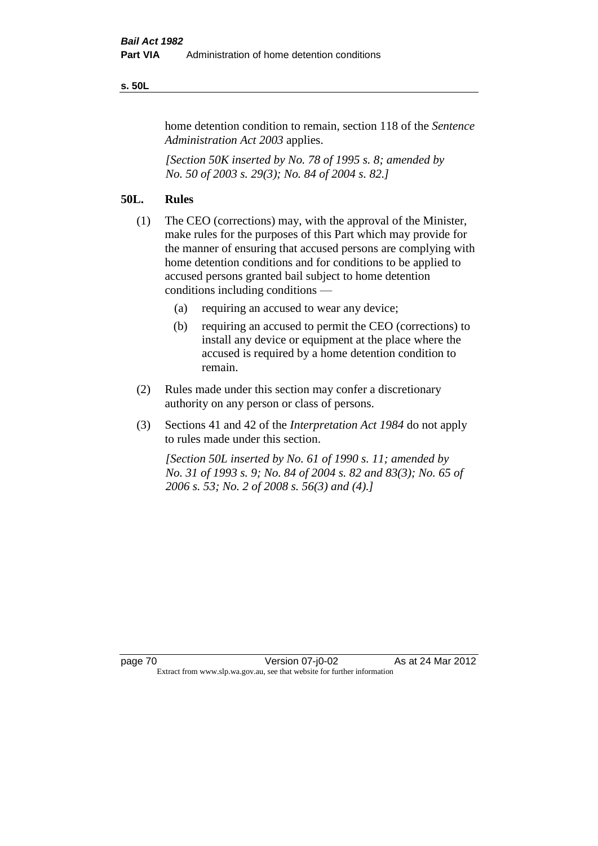#### **s. 50L**

home detention condition to remain, section 118 of the *Sentence Administration Act 2003* applies.

*[Section 50K inserted by No. 78 of 1995 s. 8; amended by No. 50 of 2003 s. 29(3); No. 84 of 2004 s. 82.]* 

# **50L. Rules**

- (1) The CEO (corrections) may, with the approval of the Minister, make rules for the purposes of this Part which may provide for the manner of ensuring that accused persons are complying with home detention conditions and for conditions to be applied to accused persons granted bail subject to home detention conditions including conditions —
	- (a) requiring an accused to wear any device;
	- (b) requiring an accused to permit the CEO (corrections) to install any device or equipment at the place where the accused is required by a home detention condition to remain.
- (2) Rules made under this section may confer a discretionary authority on any person or class of persons.
- (3) Sections 41 and 42 of the *Interpretation Act 1984* do not apply to rules made under this section.

*[Section 50L inserted by No. 61 of 1990 s. 11; amended by No. 31 of 1993 s. 9; No. 84 of 2004 s. 82 and 83(3); No. 65 of 2006 s. 53; No. 2 of 2008 s. 56(3) and (4).]*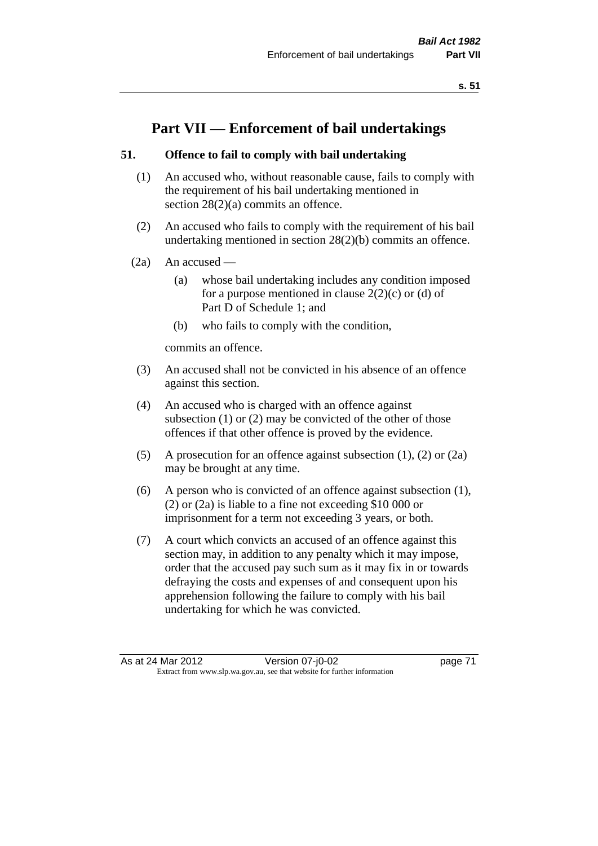# **Part VII — Enforcement of bail undertakings**

# **51. Offence to fail to comply with bail undertaking**

- (1) An accused who, without reasonable cause, fails to comply with the requirement of his bail undertaking mentioned in section 28(2)(a) commits an offence.
- (2) An accused who fails to comply with the requirement of his bail undertaking mentioned in section 28(2)(b) commits an offence.
- $(2a)$  An accused
	- (a) whose bail undertaking includes any condition imposed for a purpose mentioned in clause  $2(2)(c)$  or (d) of Part D of Schedule 1; and
	- (b) who fails to comply with the condition,

commits an offence.

- (3) An accused shall not be convicted in his absence of an offence against this section.
- (4) An accused who is charged with an offence against subsection (1) or (2) may be convicted of the other of those offences if that other offence is proved by the evidence.
- (5) A prosecution for an offence against subsection (1), (2) or (2a) may be brought at any time.
- (6) A person who is convicted of an offence against subsection (1), (2) or (2a) is liable to a fine not exceeding \$10 000 or imprisonment for a term not exceeding 3 years, or both.
- (7) A court which convicts an accused of an offence against this section may, in addition to any penalty which it may impose, order that the accused pay such sum as it may fix in or towards defraying the costs and expenses of and consequent upon his apprehension following the failure to comply with his bail undertaking for which he was convicted.

As at 24 Mar 2012 Version 07-j0-02 page 71 Extract from www.slp.wa.gov.au, see that website for further information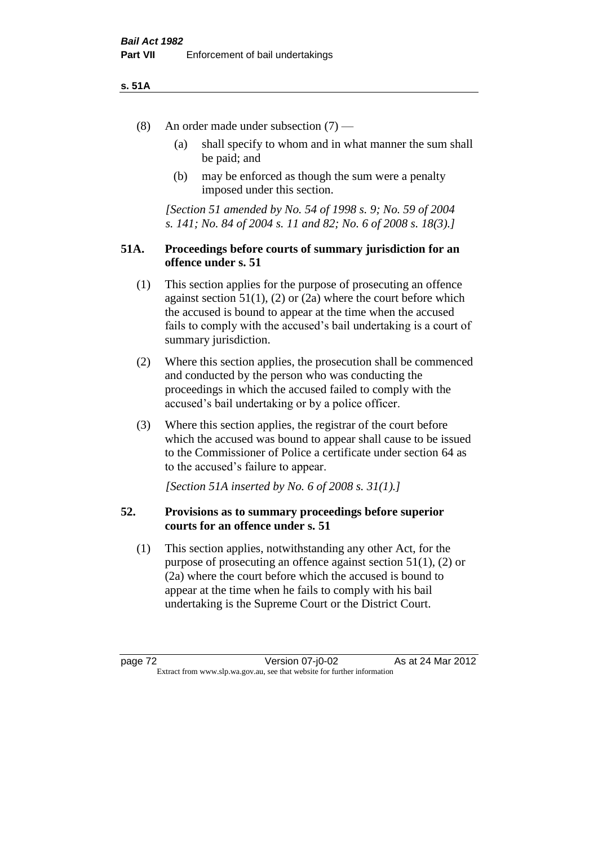#### **s. 51A**

- (8) An order made under subsection (7)
	- (a) shall specify to whom and in what manner the sum shall be paid; and
	- (b) may be enforced as though the sum were a penalty imposed under this section.

*[Section 51 amended by No. 54 of 1998 s. 9; No. 59 of 2004 s. 141; No. 84 of 2004 s. 11 and 82; No. 6 of 2008 s. 18(3).]*

# **51A. Proceedings before courts of summary jurisdiction for an offence under s. 51**

- (1) This section applies for the purpose of prosecuting an offence against section  $51(1)$ ,  $(2)$  or  $(2a)$  where the court before which the accused is bound to appear at the time when the accused fails to comply with the accused's bail undertaking is a court of summary jurisdiction.
- (2) Where this section applies, the prosecution shall be commenced and conducted by the person who was conducting the proceedings in which the accused failed to comply with the accused's bail undertaking or by a police officer.
- (3) Where this section applies, the registrar of the court before which the accused was bound to appear shall cause to be issued to the Commissioner of Police a certificate under section 64 as to the accused's failure to appear.

*[Section 51A inserted by No. 6 of 2008 s. 31(1).]*

# **52. Provisions as to summary proceedings before superior courts for an offence under s. 51**

(1) This section applies, notwithstanding any other Act, for the purpose of prosecuting an offence against section 51(1), (2) or (2a) where the court before which the accused is bound to appear at the time when he fails to comply with his bail undertaking is the Supreme Court or the District Court.

page 72 Version 07-j0-02 As at 24 Mar 2012 Extract from www.slp.wa.gov.au, see that website for further information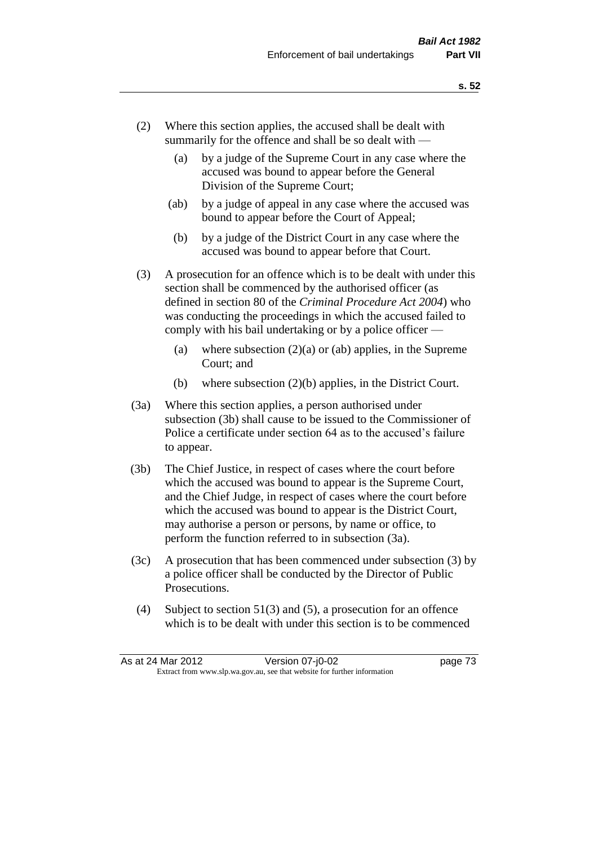- (2) Where this section applies, the accused shall be dealt with summarily for the offence and shall be so dealt with —
	- (a) by a judge of the Supreme Court in any case where the accused was bound to appear before the General Division of the Supreme Court;
	- (ab) by a judge of appeal in any case where the accused was bound to appear before the Court of Appeal;
	- (b) by a judge of the District Court in any case where the accused was bound to appear before that Court.
- (3) A prosecution for an offence which is to be dealt with under this section shall be commenced by the authorised officer (as defined in section 80 of the *Criminal Procedure Act 2004*) who was conducting the proceedings in which the accused failed to comply with his bail undertaking or by a police officer —
	- (a) where subsection  $(2)(a)$  or (ab) applies, in the Supreme Court; and
	- (b) where subsection (2)(b) applies, in the District Court.
- (3a) Where this section applies, a person authorised under subsection (3b) shall cause to be issued to the Commissioner of Police a certificate under section 64 as to the accused's failure to appear.
- (3b) The Chief Justice, in respect of cases where the court before which the accused was bound to appear is the Supreme Court, and the Chief Judge, in respect of cases where the court before which the accused was bound to appear is the District Court, may authorise a person or persons, by name or office, to perform the function referred to in subsection (3a).
- (3c) A prosecution that has been commenced under subsection (3) by a police officer shall be conducted by the Director of Public Prosecutions.
- (4) Subject to section 51(3) and (5), a prosecution for an offence which is to be dealt with under this section is to be commenced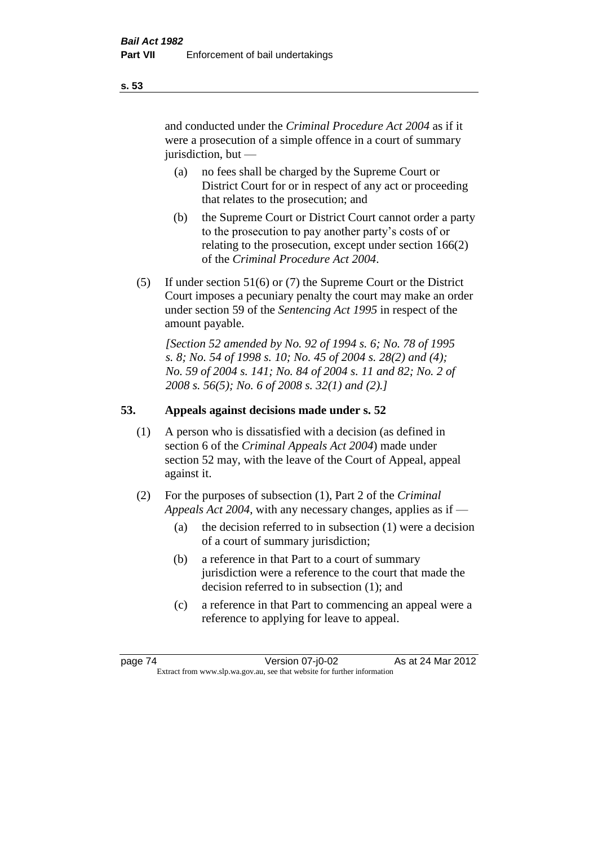and conducted under the *Criminal Procedure Act 2004* as if it were a prosecution of a simple offence in a court of summary jurisdiction, but —

- (a) no fees shall be charged by the Supreme Court or District Court for or in respect of any act or proceeding that relates to the prosecution; and
- (b) the Supreme Court or District Court cannot order a party to the prosecution to pay another party's costs of or relating to the prosecution, except under section 166(2) of the *Criminal Procedure Act 2004*.
- (5) If under section 51(6) or (7) the Supreme Court or the District Court imposes a pecuniary penalty the court may make an order under section 59 of the *Sentencing Act 1995* in respect of the amount payable.

*[Section 52 amended by No. 92 of 1994 s. 6; No. 78 of 1995 s. 8; No. 54 of 1998 s. 10; No. 45 of 2004 s. 28(2) and (4); No. 59 of 2004 s. 141; No. 84 of 2004 s. 11 and 82; No. 2 of 2008 s. 56(5); No. 6 of 2008 s. 32(1) and (2).]* 

# **53. Appeals against decisions made under s. 52**

- (1) A person who is dissatisfied with a decision (as defined in section 6 of the *Criminal Appeals Act 2004*) made under section 52 may, with the leave of the Court of Appeal, appeal against it.
- (2) For the purposes of subsection (1), Part 2 of the *Criminal Appeals Act 2004*, with any necessary changes, applies as if —
	- (a) the decision referred to in subsection (1) were a decision of a court of summary jurisdiction;
	- (b) a reference in that Part to a court of summary jurisdiction were a reference to the court that made the decision referred to in subsection (1); and
	- (c) a reference in that Part to commencing an appeal were a reference to applying for leave to appeal.

**s. 53**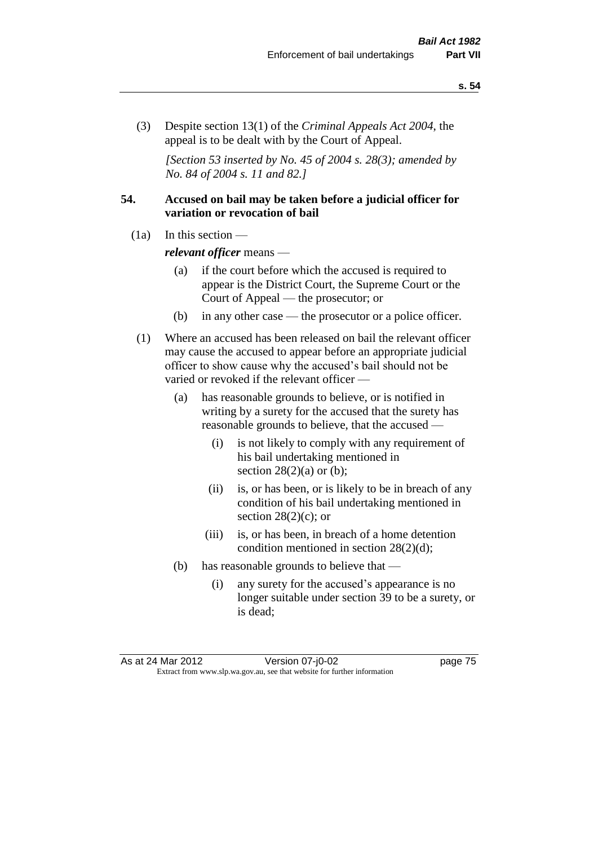(3) Despite section 13(1) of the *Criminal Appeals Act 2004*, the appeal is to be dealt with by the Court of Appeal.

*[Section 53 inserted by No. 45 of 2004 s. 28(3); amended by No. 84 of 2004 s. 11 and 82.]*

# **54. Accused on bail may be taken before a judicial officer for variation or revocation of bail**

(1a) In this section —

*relevant officer* means —

- (a) if the court before which the accused is required to appear is the District Court, the Supreme Court or the Court of Appeal — the prosecutor; or
- (b) in any other case the prosecutor or a police officer.
- (1) Where an accused has been released on bail the relevant officer may cause the accused to appear before an appropriate judicial officer to show cause why the accused's bail should not be varied or revoked if the relevant officer —
	- (a) has reasonable grounds to believe, or is notified in writing by a surety for the accused that the surety has reasonable grounds to believe, that the accused —
		- (i) is not likely to comply with any requirement of his bail undertaking mentioned in section  $28(2)(a)$  or (b);
		- (ii) is, or has been, or is likely to be in breach of any condition of his bail undertaking mentioned in section  $28(2)(c)$ ; or
		- (iii) is, or has been, in breach of a home detention condition mentioned in section 28(2)(d);
	- (b) has reasonable grounds to believe that
		- (i) any surety for the accused's appearance is no longer suitable under section 39 to be a surety, or is dead;

As at 24 Mar 2012 Version 07-j0-02 page 75 Extract from www.slp.wa.gov.au, see that website for further information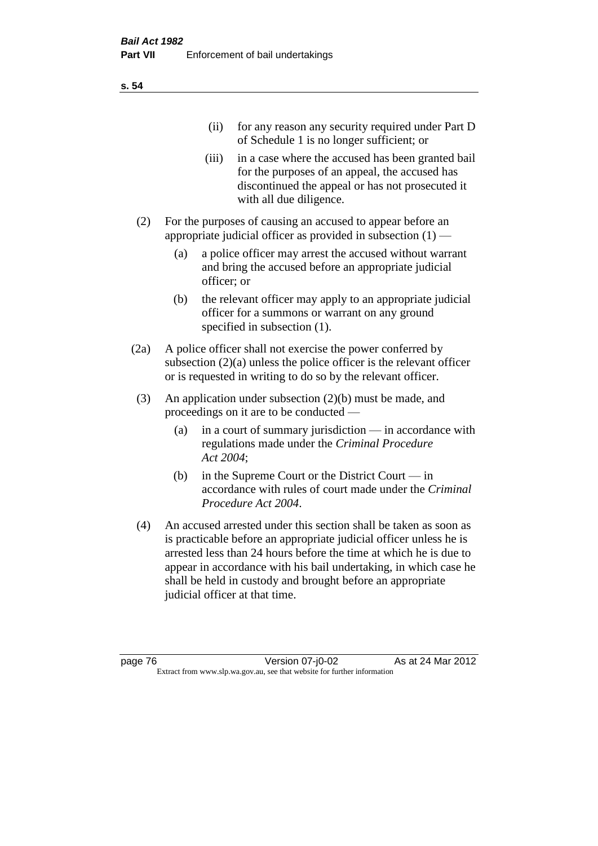|     | (11)  | for any reason any security required under Part D<br>of Schedule 1 is no longer sufficient; or                                                                                     |
|-----|-------|------------------------------------------------------------------------------------------------------------------------------------------------------------------------------------|
|     | (iii) | in a case where the accused has been granted bail<br>for the purposes of an appeal, the accused has<br>discontinued the appeal or has not prosecuted it<br>with all due diligence. |
| (2) |       | For the purposes of causing an accused to appear before an<br>appropriate judicial officer as provided in subsection $(1)$ —                                                       |

- (a) a police officer may arrest the accused without warrant and bring the accused before an appropriate judicial officer; or
- (b) the relevant officer may apply to an appropriate judicial officer for a summons or warrant on any ground specified in subsection  $(1)$ .
- (2a) A police officer shall not exercise the power conferred by subsection (2)(a) unless the police officer is the relevant officer or is requested in writing to do so by the relevant officer.
- (3) An application under subsection (2)(b) must be made, and proceedings on it are to be conducted —
	- (a) in a court of summary jurisdiction in accordance with regulations made under the *Criminal Procedure Act 2004*;
	- (b) in the Supreme Court or the District Court in accordance with rules of court made under the *Criminal Procedure Act 2004*.
- (4) An accused arrested under this section shall be taken as soon as is practicable before an appropriate judicial officer unless he is arrested less than 24 hours before the time at which he is due to appear in accordance with his bail undertaking, in which case he shall be held in custody and brought before an appropriate judicial officer at that time.

**s. 54**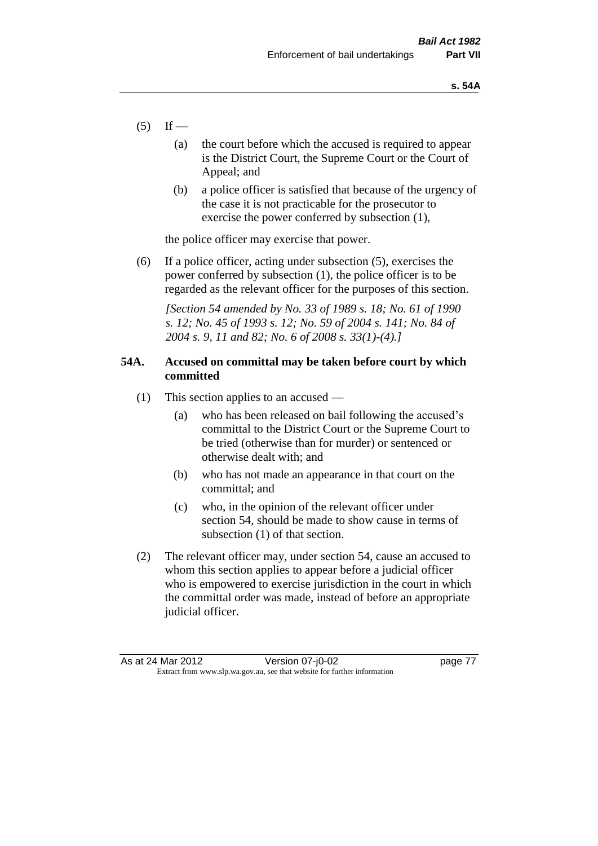- $(5)$  If
	- (a) the court before which the accused is required to appear is the District Court, the Supreme Court or the Court of Appeal; and
	- (b) a police officer is satisfied that because of the urgency of the case it is not practicable for the prosecutor to exercise the power conferred by subsection (1),

the police officer may exercise that power.

(6) If a police officer, acting under subsection (5), exercises the power conferred by subsection (1), the police officer is to be regarded as the relevant officer for the purposes of this section.

*[Section 54 amended by No. 33 of 1989 s. 18; No. 61 of 1990 s. 12; No. 45 of 1993 s. 12; No. 59 of 2004 s. 141; No. 84 of 2004 s. 9, 11 and 82; No. 6 of 2008 s. 33(1)-(4).]* 

# **54A. Accused on committal may be taken before court by which committed**

- (1) This section applies to an accused
	- (a) who has been released on bail following the accused's committal to the District Court or the Supreme Court to be tried (otherwise than for murder) or sentenced or otherwise dealt with; and
	- (b) who has not made an appearance in that court on the committal; and
	- (c) who, in the opinion of the relevant officer under section 54, should be made to show cause in terms of subsection (1) of that section.
- (2) The relevant officer may, under section 54, cause an accused to whom this section applies to appear before a judicial officer who is empowered to exercise jurisdiction in the court in which the committal order was made, instead of before an appropriate judicial officer.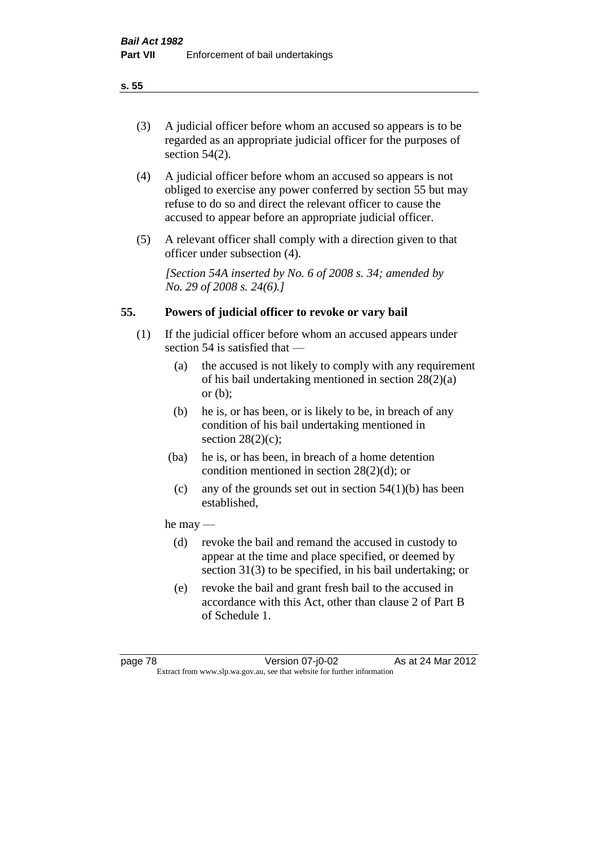# (3) A judicial officer before whom an accused so appears is to be regarded as an appropriate judicial officer for the purposes of section 54(2).

- (4) A judicial officer before whom an accused so appears is not obliged to exercise any power conferred by section 55 but may refuse to do so and direct the relevant officer to cause the accused to appear before an appropriate judicial officer.
- (5) A relevant officer shall comply with a direction given to that officer under subsection (4).

*[Section 54A inserted by No. 6 of 2008 s. 34; amended by No. 29 of 2008 s. 24(6).]*

# **55. Powers of judicial officer to revoke or vary bail**

- (1) If the judicial officer before whom an accused appears under section 54 is satisfied that —
	- (a) the accused is not likely to comply with any requirement of his bail undertaking mentioned in section 28(2)(a) or  $(b)$ :
	- (b) he is, or has been, or is likely to be, in breach of any condition of his bail undertaking mentioned in section  $28(2)(c)$ ;
	- (ba) he is, or has been, in breach of a home detention condition mentioned in section 28(2)(d); or
		- (c) any of the grounds set out in section  $54(1)(b)$  has been established,

# he may —

- (d) revoke the bail and remand the accused in custody to appear at the time and place specified, or deemed by section 31(3) to be specified, in his bail undertaking; or
- (e) revoke the bail and grant fresh bail to the accused in accordance with this Act, other than clause 2 of Part B of Schedule 1.

page 78 Version 07-j0-02 As at 24 Mar 2012 Extract from www.slp.wa.gov.au, see that website for further information

# **s. 55**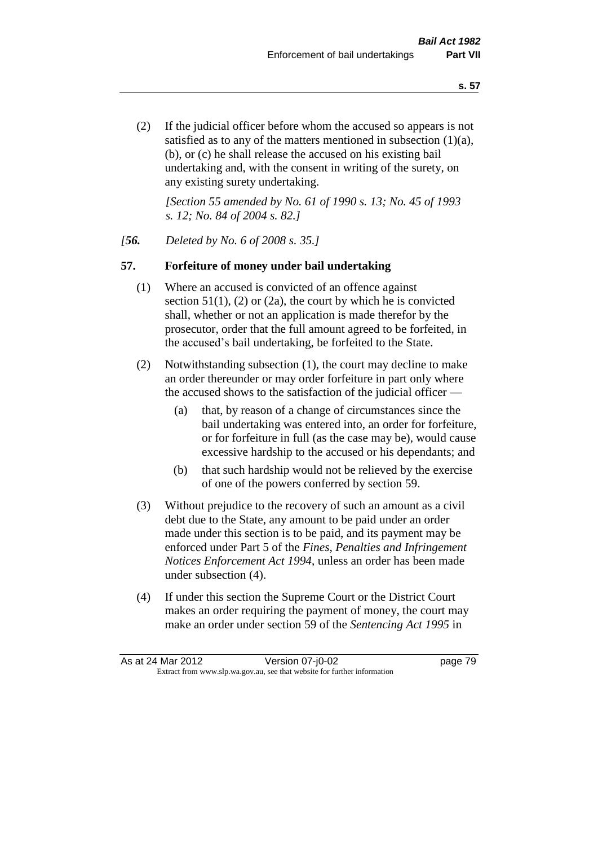(2) If the judicial officer before whom the accused so appears is not satisfied as to any of the matters mentioned in subsection (1)(a), (b), or (c) he shall release the accused on his existing bail undertaking and, with the consent in writing of the surety, on any existing surety undertaking.

*[Section 55 amended by No. 61 of 1990 s. 13; No. 45 of 1993 s. 12; No. 84 of 2004 s. 82.]* 

#### *[56. Deleted by No. 6 of 2008 s. 35.]*

#### **57. Forfeiture of money under bail undertaking**

- (1) Where an accused is convicted of an offence against section  $51(1)$ , (2) or (2a), the court by which he is convicted shall, whether or not an application is made therefor by the prosecutor, order that the full amount agreed to be forfeited, in the accused's bail undertaking, be forfeited to the State.
- (2) Notwithstanding subsection (1), the court may decline to make an order thereunder or may order forfeiture in part only where the accused shows to the satisfaction of the judicial officer —
	- (a) that, by reason of a change of circumstances since the bail undertaking was entered into, an order for forfeiture, or for forfeiture in full (as the case may be), would cause excessive hardship to the accused or his dependants; and
	- (b) that such hardship would not be relieved by the exercise of one of the powers conferred by section 59.
- (3) Without prejudice to the recovery of such an amount as a civil debt due to the State, any amount to be paid under an order made under this section is to be paid, and its payment may be enforced under Part 5 of the *Fines, Penalties and Infringement Notices Enforcement Act 1994*, unless an order has been made under subsection (4).
- (4) If under this section the Supreme Court or the District Court makes an order requiring the payment of money, the court may make an order under section 59 of the *Sentencing Act 1995* in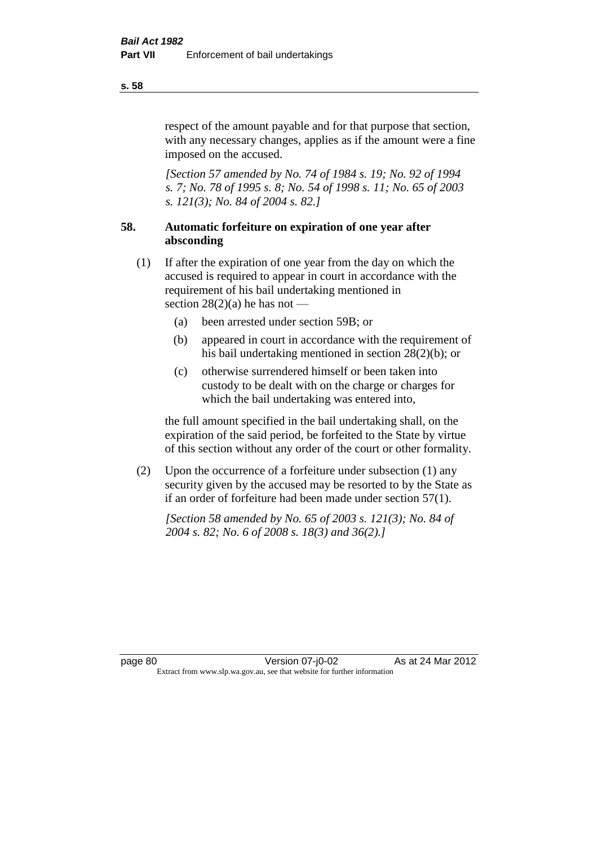respect of the amount payable and for that purpose that section, with any necessary changes, applies as if the amount were a fine imposed on the accused.

*[Section 57 amended by No. 74 of 1984 s. 19; No. 92 of 1994 s. 7; No. 78 of 1995 s. 8; No. 54 of 1998 s. 11; No. 65 of 2003 s. 121(3); No. 84 of 2004 s. 82.]* 

# **58. Automatic forfeiture on expiration of one year after absconding**

- (1) If after the expiration of one year from the day on which the accused is required to appear in court in accordance with the requirement of his bail undertaking mentioned in section  $28(2)(a)$  he has not —
	- (a) been arrested under section 59B; or
	- (b) appeared in court in accordance with the requirement of his bail undertaking mentioned in section 28(2)(b); or
	- (c) otherwise surrendered himself or been taken into custody to be dealt with on the charge or charges for which the bail undertaking was entered into,

the full amount specified in the bail undertaking shall, on the expiration of the said period, be forfeited to the State by virtue of this section without any order of the court or other formality.

(2) Upon the occurrence of a forfeiture under subsection (1) any security given by the accused may be resorted to by the State as if an order of forfeiture had been made under section 57(1).

*[Section 58 amended by No. 65 of 2003 s. 121(3); No. 84 of 2004 s. 82; No. 6 of 2008 s. 18(3) and 36(2).]*

**s. 58**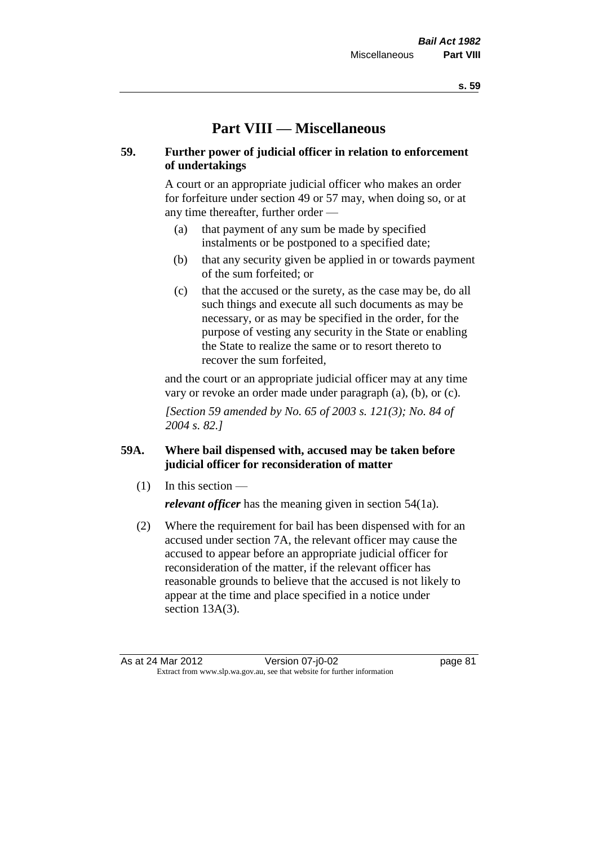# **Part VIII — Miscellaneous**

# **59. Further power of judicial officer in relation to enforcement of undertakings**

A court or an appropriate judicial officer who makes an order for forfeiture under section 49 or 57 may, when doing so, or at any time thereafter, further order —

- (a) that payment of any sum be made by specified instalments or be postponed to a specified date;
- (b) that any security given be applied in or towards payment of the sum forfeited; or
- (c) that the accused or the surety, as the case may be, do all such things and execute all such documents as may be necessary, or as may be specified in the order, for the purpose of vesting any security in the State or enabling the State to realize the same or to resort thereto to recover the sum forfeited,

and the court or an appropriate judicial officer may at any time vary or revoke an order made under paragraph (a), (b), or (c).

*[Section 59 amended by No. 65 of 2003 s. 121(3); No. 84 of 2004 s. 82.]*

# **59A. Where bail dispensed with, accused may be taken before judicial officer for reconsideration of matter**

- $(1)$  In this section *relevant officer* has the meaning given in section 54(1a).
- (2) Where the requirement for bail has been dispensed with for an accused under section 7A, the relevant officer may cause the accused to appear before an appropriate judicial officer for reconsideration of the matter, if the relevant officer has reasonable grounds to believe that the accused is not likely to appear at the time and place specified in a notice under section 13A(3).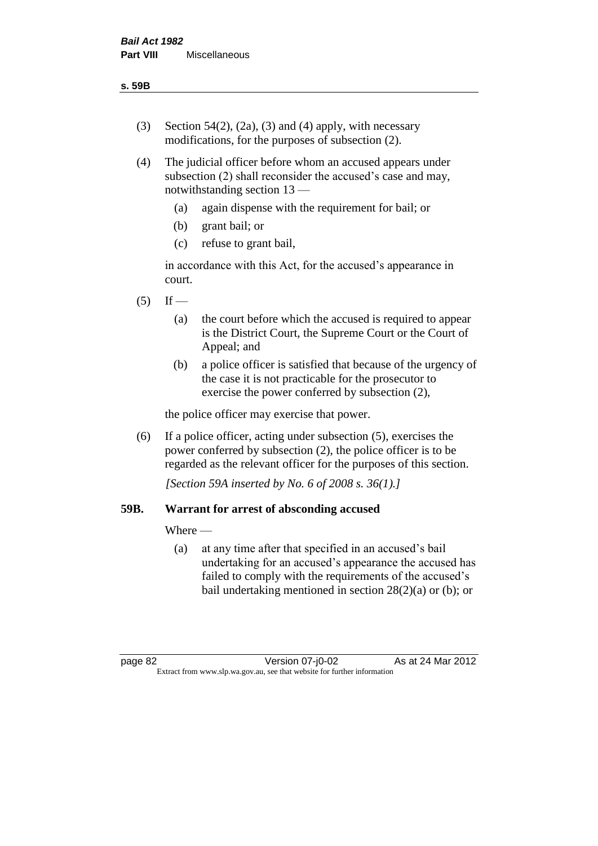- (3) Section 54(2), (2a), (3) and (4) apply, with necessary modifications, for the purposes of subsection (2).
- (4) The judicial officer before whom an accused appears under subsection (2) shall reconsider the accused's case and may, notwithstanding section 13 —
	- (a) again dispense with the requirement for bail; or
	- (b) grant bail; or
	- (c) refuse to grant bail,

in accordance with this Act, for the accused's appearance in court.

- $(5)$  If
	- (a) the court before which the accused is required to appear is the District Court, the Supreme Court or the Court of Appeal; and
	- (b) a police officer is satisfied that because of the urgency of the case it is not practicable for the prosecutor to exercise the power conferred by subsection (2),

the police officer may exercise that power.

(6) If a police officer, acting under subsection (5), exercises the power conferred by subsection (2), the police officer is to be regarded as the relevant officer for the purposes of this section.

*[Section 59A inserted by No. 6 of 2008 s. 36(1).]*

# **59B. Warrant for arrest of absconding accused**

Where —

(a) at any time after that specified in an accused's bail undertaking for an accused's appearance the accused has failed to comply with the requirements of the accused's bail undertaking mentioned in section  $28(2)(a)$  or (b); or

page 82 Version 07-j0-02 As at 24 Mar 2012 Extract from www.slp.wa.gov.au, see that website for further information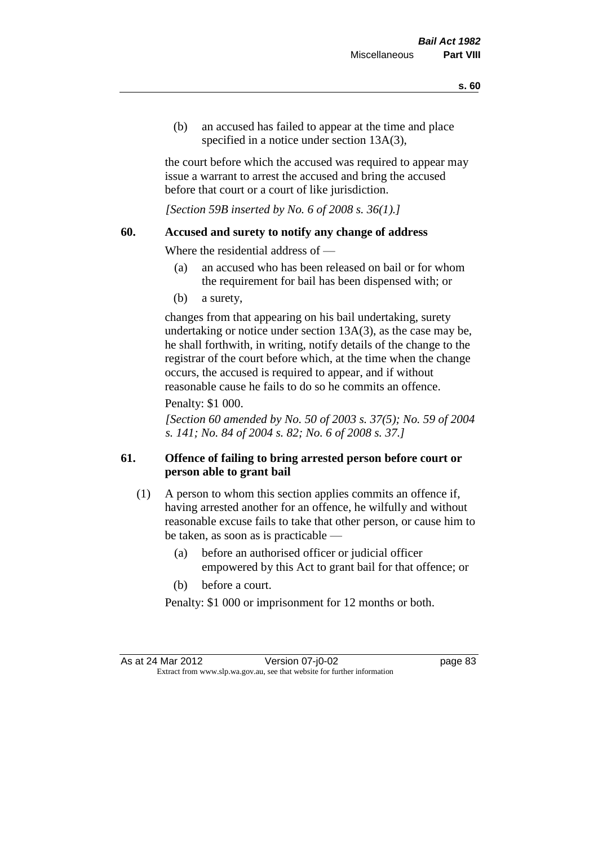(b) an accused has failed to appear at the time and place specified in a notice under section 13A(3).

the court before which the accused was required to appear may issue a warrant to arrest the accused and bring the accused before that court or a court of like jurisdiction.

*[Section 59B inserted by No. 6 of 2008 s. 36(1).]*

#### **60. Accused and surety to notify any change of address**

Where the residential address of —

- (a) an accused who has been released on bail or for whom the requirement for bail has been dispensed with; or
- (b) a surety,

changes from that appearing on his bail undertaking, surety undertaking or notice under section 13A(3), as the case may be, he shall forthwith, in writing, notify details of the change to the registrar of the court before which, at the time when the change occurs, the accused is required to appear, and if without reasonable cause he fails to do so he commits an offence.

#### Penalty: \$1 000.

*[Section 60 amended by No. 50 of 2003 s. 37(5); No. 59 of 2004 s. 141; No. 84 of 2004 s. 82; No. 6 of 2008 s. 37.]*

# **61. Offence of failing to bring arrested person before court or person able to grant bail**

- (1) A person to whom this section applies commits an offence if, having arrested another for an offence, he wilfully and without reasonable excuse fails to take that other person, or cause him to be taken, as soon as is practicable —
	- (a) before an authorised officer or judicial officer empowered by this Act to grant bail for that offence; or
	- (b) before a court.

Penalty: \$1 000 or imprisonment for 12 months or both.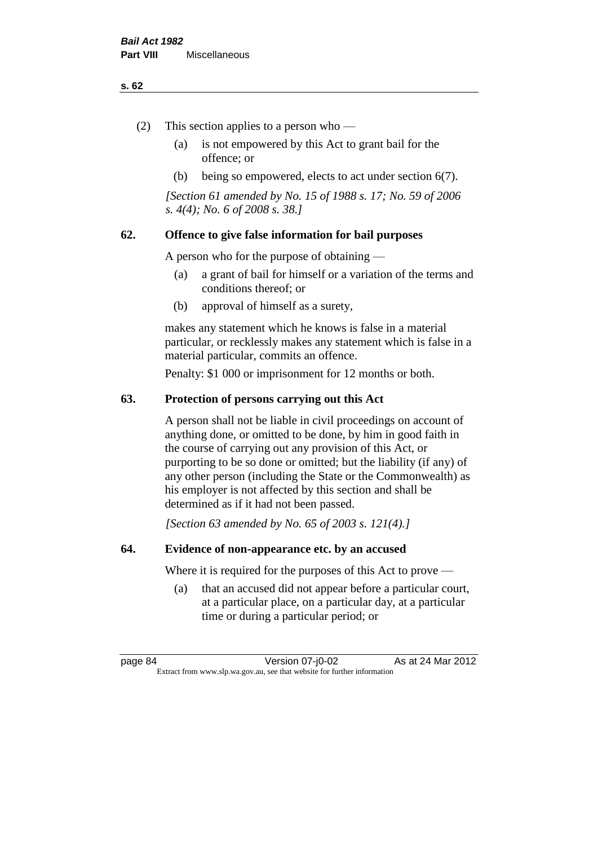#### **s. 62**

- (2) This section applies to a person who
	- (a) is not empowered by this Act to grant bail for the offence; or
	- (b) being so empowered, elects to act under section 6(7).

*[Section 61 amended by No. 15 of 1988 s. 17; No. 59 of 2006 s. 4(4); No. 6 of 2008 s. 38.]* 

# **62. Offence to give false information for bail purposes**

A person who for the purpose of obtaining —

- (a) a grant of bail for himself or a variation of the terms and conditions thereof; or
- (b) approval of himself as a surety,

makes any statement which he knows is false in a material particular, or recklessly makes any statement which is false in a material particular, commits an offence.

Penalty: \$1 000 or imprisonment for 12 months or both.

#### **63. Protection of persons carrying out this Act**

A person shall not be liable in civil proceedings on account of anything done, or omitted to be done, by him in good faith in the course of carrying out any provision of this Act, or purporting to be so done or omitted; but the liability (if any) of any other person (including the State or the Commonwealth) as his employer is not affected by this section and shall be determined as if it had not been passed.

*[Section 63 amended by No. 65 of 2003 s. 121(4).]*

#### **64. Evidence of non-appearance etc. by an accused**

Where it is required for the purposes of this Act to prove —

(a) that an accused did not appear before a particular court, at a particular place, on a particular day, at a particular time or during a particular period; or

page 84 Version 07-j0-02 As at 24 Mar 2012 Extract from www.slp.wa.gov.au, see that website for further information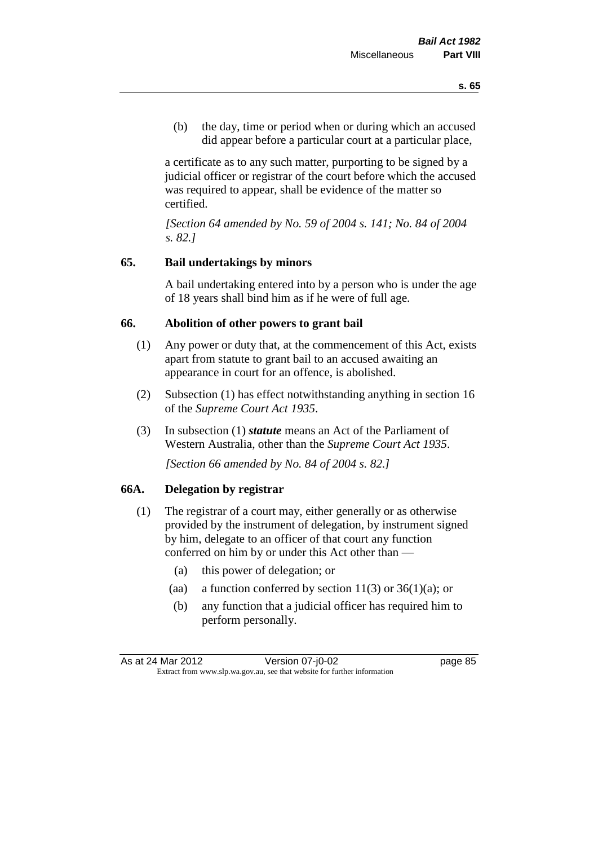(b) the day, time or period when or during which an accused did appear before a particular court at a particular place,

a certificate as to any such matter, purporting to be signed by a judicial officer or registrar of the court before which the accused was required to appear, shall be evidence of the matter so certified.

*[Section 64 amended by No. 59 of 2004 s. 141; No. 84 of 2004 s. 82.]* 

# **65. Bail undertakings by minors**

A bail undertaking entered into by a person who is under the age of 18 years shall bind him as if he were of full age.

#### **66. Abolition of other powers to grant bail**

- (1) Any power or duty that, at the commencement of this Act, exists apart from statute to grant bail to an accused awaiting an appearance in court for an offence, is abolished.
- (2) Subsection (1) has effect notwithstanding anything in section 16 of the *Supreme Court Act 1935*.
- (3) In subsection (1) *statute* means an Act of the Parliament of Western Australia, other than the *Supreme Court Act 1935*.

*[Section 66 amended by No. 84 of 2004 s. 82.]*

#### **66A. Delegation by registrar**

- (1) The registrar of a court may, either generally or as otherwise provided by the instrument of delegation, by instrument signed by him, delegate to an officer of that court any function conferred on him by or under this Act other than —
	- (a) this power of delegation; or
	- (aa) a function conferred by section  $11(3)$  or  $36(1)(a)$ ; or
	- (b) any function that a judicial officer has required him to perform personally.

As at 24 Mar 2012 Version 07-j0-02 page 85 Extract from www.slp.wa.gov.au, see that website for further information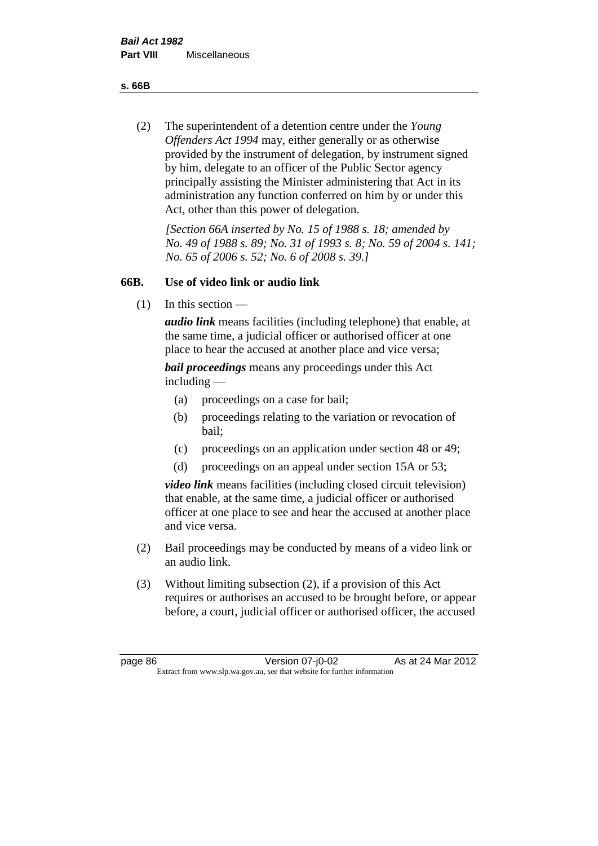**s. 66B**

(2) The superintendent of a detention centre under the *Young Offenders Act 1994* may, either generally or as otherwise provided by the instrument of delegation, by instrument signed by him, delegate to an officer of the Public Sector agency principally assisting the Minister administering that Act in its administration any function conferred on him by or under this Act, other than this power of delegation.

*[Section 66A inserted by No. 15 of 1988 s. 18; amended by No. 49 of 1988 s. 89; No. 31 of 1993 s. 8; No. 59 of 2004 s. 141; No. 65 of 2006 s. 52; No. 6 of 2008 s. 39.]* 

# **66B. Use of video link or audio link**

(1) In this section —

*audio link* means facilities (including telephone) that enable, at the same time, a judicial officer or authorised officer at one place to hear the accused at another place and vice versa;

*bail proceedings* means any proceedings under this Act including —

- (a) proceedings on a case for bail;
- (b) proceedings relating to the variation or revocation of bail;
- (c) proceedings on an application under section 48 or 49;
- (d) proceedings on an appeal under section 15A or 53;

*video link* means facilities (including closed circuit television) that enable, at the same time, a judicial officer or authorised officer at one place to see and hear the accused at another place and vice versa.

- (2) Bail proceedings may be conducted by means of a video link or an audio link.
- (3) Without limiting subsection (2), if a provision of this Act requires or authorises an accused to be brought before, or appear before, a court, judicial officer or authorised officer, the accused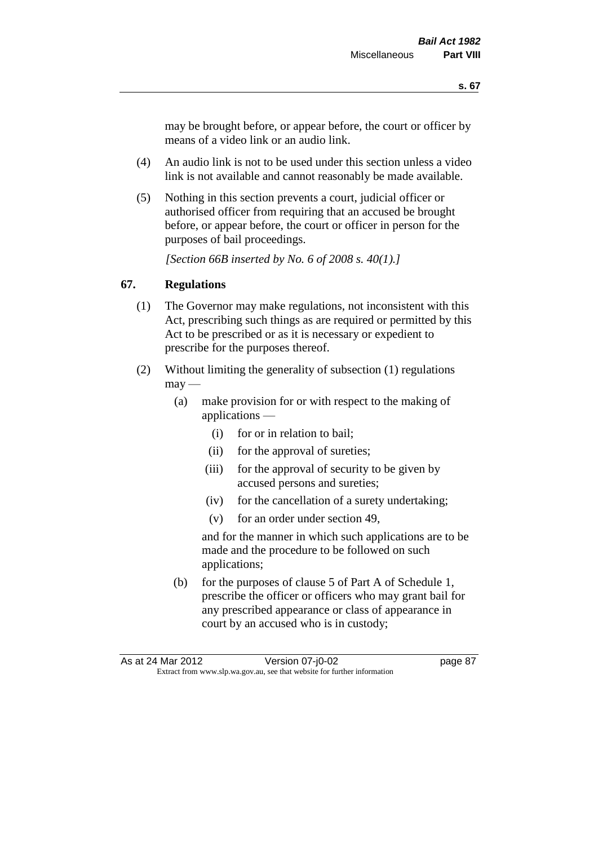may be brought before, or appear before, the court or officer by means of a video link or an audio link.

- (4) An audio link is not to be used under this section unless a video link is not available and cannot reasonably be made available.
- (5) Nothing in this section prevents a court, judicial officer or authorised officer from requiring that an accused be brought before, or appear before, the court or officer in person for the purposes of bail proceedings.

*[Section 66B inserted by No. 6 of 2008 s. 40(1).]*

# **67. Regulations**

- (1) The Governor may make regulations, not inconsistent with this Act, prescribing such things as are required or permitted by this Act to be prescribed or as it is necessary or expedient to prescribe for the purposes thereof.
- (2) Without limiting the generality of subsection (1) regulations  $\text{max}$  —
	- (a) make provision for or with respect to the making of applications —
		- (i) for or in relation to bail;
		- (ii) for the approval of sureties;
		- (iii) for the approval of security to be given by accused persons and sureties;
		- (iv) for the cancellation of a surety undertaking;
		- (v) for an order under section 49,

and for the manner in which such applications are to be made and the procedure to be followed on such applications;

(b) for the purposes of clause 5 of Part A of Schedule 1, prescribe the officer or officers who may grant bail for any prescribed appearance or class of appearance in court by an accused who is in custody;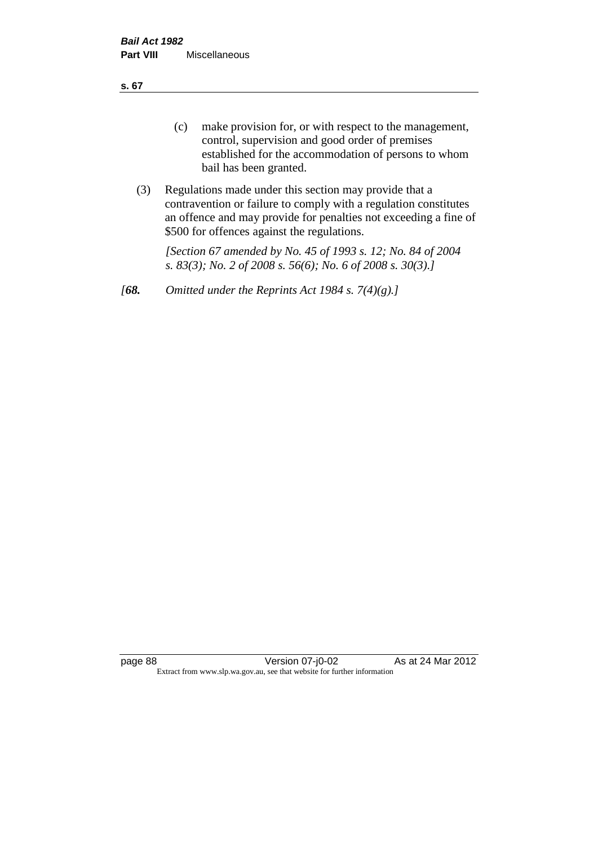**s. 67**

- (c) make provision for, or with respect to the management, control, supervision and good order of premises established for the accommodation of persons to whom bail has been granted.
- (3) Regulations made under this section may provide that a contravention or failure to comply with a regulation constitutes an offence and may provide for penalties not exceeding a fine of \$500 for offences against the regulations.

*[Section 67 amended by No. 45 of 1993 s. 12; No. 84 of 2004 s. 83(3); No. 2 of 2008 s. 56(6); No. 6 of 2008 s. 30(3).]* 

*[68. Omitted under the Reprints Act 1984 s. 7(4)(g).]*

page 88 Version 07-j0-02 As at 24 Mar 2012 Extract from www.slp.wa.gov.au, see that website for further information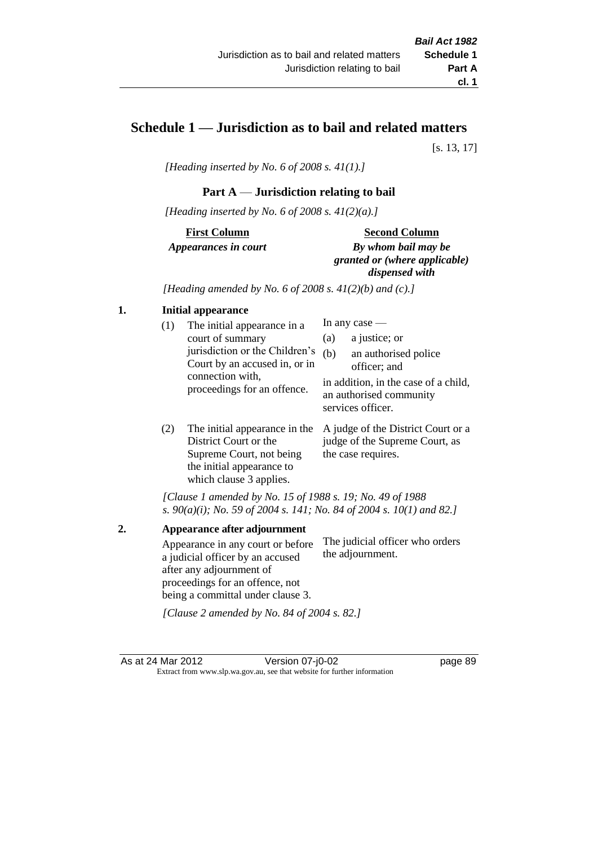# **Schedule 1 — Jurisdiction as to bail and related matters**

[s. 13, 17]

*[Heading inserted by No. 6 of 2008 s. 41(1).]*

# **Part A** — **Jurisdiction relating to bail**

*[Heading inserted by No. 6 of 2008 s. 41(2)(a).]*

**First Column** *Appearances in court* 

#### **Second Column**

*By whom bail may be granted or (where applicable) dispensed with*

*[Heading amended by No. 6 of 2008 s. 41(2)(b) and (c).]*

#### **1. Initial appearance**

| (1) | The initial appearance in a<br>court of summary<br>jurisdiction or the Children's | (a)<br>(b) | In any case $-$<br>a justice; or<br>an authorised police                                             |
|-----|-----------------------------------------------------------------------------------|------------|------------------------------------------------------------------------------------------------------|
|     | Court by an accused in, or in<br>connection with,<br>proceedings for an offence.  |            | officer; and<br>in addition, in the case of a child,<br>an authorised community<br>services officer. |
|     |                                                                                   |            |                                                                                                      |

(2) The initial appearance in the A judge of the District Court or a District Court or the Supreme Court, not being the initial appearance to which clause 3 applies. judge of the Supreme Court, as the case requires.

*[Clause 1 amended by No. 15 of 1988 s. 19; No. 49 of 1988 s. 90(a)(i); No. 59 of 2004 s. 141; No. 84 of 2004 s. 10(1) and 82.]*

**2. Appearance after adjournment** Appearance in any court or before a judicial officer by an accused after any adjournment of proceedings for an offence, not being a committal under clause 3. The judicial officer who orders the adjournment.

*[Clause 2 amended by No. 84 of 2004 s. 82.]*

As at 24 Mar 2012 Version 07-j0-02 page 89 Extract from www.slp.wa.gov.au, see that website for further information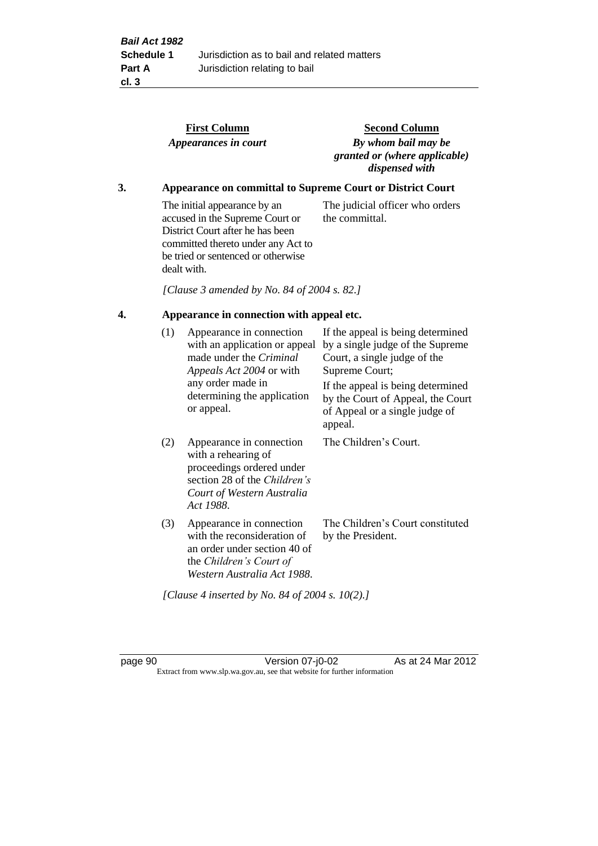|    |     | <b>First Column</b><br>Appearances in court                                                                                                                                                    | <b>Second Column</b><br>By whom bail may be<br>granted or (where applicable)<br>dispensed with                                                               |
|----|-----|------------------------------------------------------------------------------------------------------------------------------------------------------------------------------------------------|--------------------------------------------------------------------------------------------------------------------------------------------------------------|
| 3. |     |                                                                                                                                                                                                | Appearance on committal to Supreme Court or District Court                                                                                                   |
|    |     | The initial appearance by an<br>accused in the Supreme Court or<br>District Court after he has been<br>committed thereto under any Act to<br>be tried or sentenced or otherwise<br>dealt with. | The judicial officer who orders<br>the committal.                                                                                                            |
|    |     | [Clause 3 amended by No. 84 of 2004 s. 82.]                                                                                                                                                    |                                                                                                                                                              |
| 4. |     | Appearance in connection with appeal etc.                                                                                                                                                      |                                                                                                                                                              |
|    | (1) | Appearance in connection<br>with an application or appeal<br>made under the Criminal<br>Appeals Act 2004 or with<br>any order made in                                                          | If the appeal is being determined<br>by a single judge of the Supreme<br>Court, a single judge of the<br>Supreme Court;<br>If the appeal is being determined |
|    |     | determining the application<br>or appeal.                                                                                                                                                      | by the Court of Appeal, the Court<br>of Appeal or a single judge of<br>appeal.                                                                               |
|    | (2) | Appearance in connection<br>with a rehearing of<br>proceedings ordered under<br>section 28 of the Children's<br>Court of Western Australia<br>Act 1988.                                        | The Children's Court.                                                                                                                                        |
|    | (3) | Appearance in connection<br>with the reconsideration of<br>an order under section 40 of<br>the Children's Court of<br>Western Australia Act 1988.                                              | The Children's Court constituted<br>by the President.                                                                                                        |

*[Clause 4 inserted by No. 84 of 2004 s. 10(2).]*

page 90 Version 07-j0-02 As at 24 Mar 2012 Extract from www.slp.wa.gov.au, see that website for further information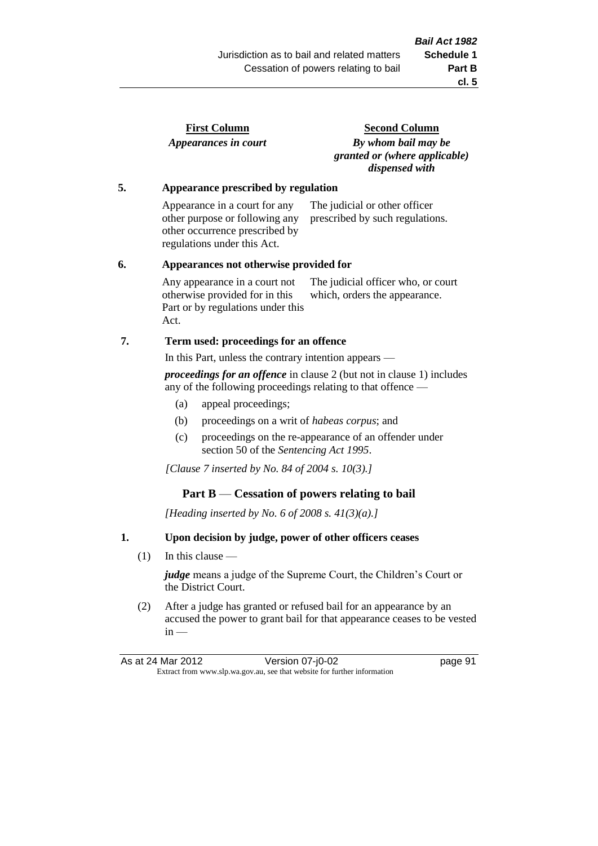| <b>First Column</b>  |  |
|----------------------|--|
| Appearances in court |  |

**Second Column** *By whom bail may be granted or (where applicable) dispensed with*

#### **5. Appearance prescribed by regulation**

Appearance in a court for any other purpose or following any other occurrence prescribed by regulations under this Act. The judicial or other officer prescribed by such regulations.

#### **6. Appearances not otherwise provided for**

Any appearance in a court not otherwise provided for in this Part or by regulations under this Act. The judicial officer who, or court which, orders the appearance.

#### **7. Term used: proceedings for an offence**

In this Part, unless the contrary intention appears —

*proceedings for an offence* in clause 2 (but not in clause 1) includes any of the following proceedings relating to that offence —

- (a) appeal proceedings;
- (b) proceedings on a writ of *habeas corpus*; and
- (c) proceedings on the re-appearance of an offender under section 50 of the *Sentencing Act 1995*.

*[Clause 7 inserted by No. 84 of 2004 s. 10(3).]*

#### **Part B** — **Cessation of powers relating to bail**

*[Heading inserted by No. 6 of 2008 s. 41(3)(a).]*

#### **1. Upon decision by judge, power of other officers ceases**

(1) In this clause —

*judge* means a judge of the Supreme Court, the Children's Court or the District Court.

(2) After a judge has granted or refused bail for an appearance by an accused the power to grant bail for that appearance ceases to be vested  $in -$ 

As at 24 Mar 2012 Version 07-j0-02 page 91 Extract from www.slp.wa.gov.au, see that website for further information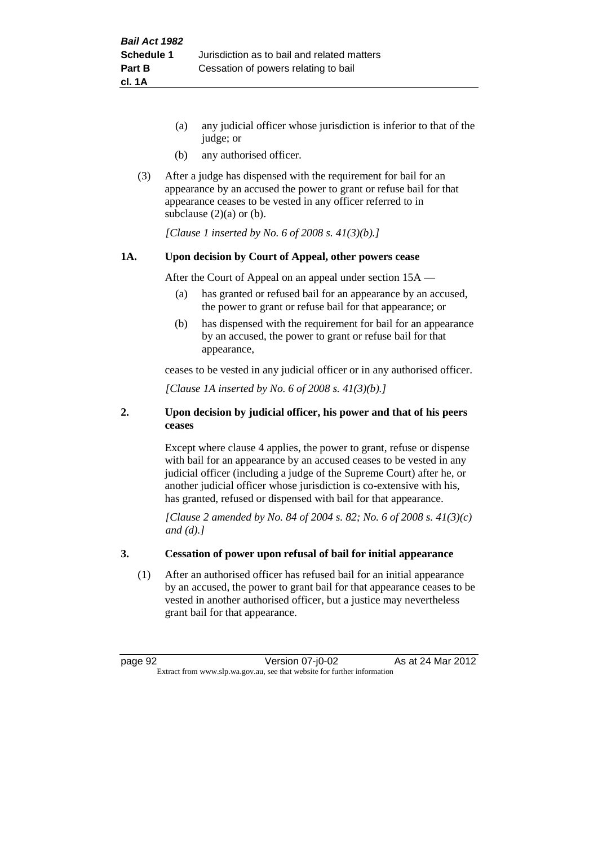- (a) any judicial officer whose jurisdiction is inferior to that of the judge; or
- (b) any authorised officer.
- (3) After a judge has dispensed with the requirement for bail for an appearance by an accused the power to grant or refuse bail for that appearance ceases to be vested in any officer referred to in subclause  $(2)(a)$  or  $(b)$ .

*[Clause 1 inserted by No. 6 of 2008 s. 41(3)(b).]*

#### **1A. Upon decision by Court of Appeal, other powers cease**

After the Court of Appeal on an appeal under section 15A —

- (a) has granted or refused bail for an appearance by an accused, the power to grant or refuse bail for that appearance; or
- (b) has dispensed with the requirement for bail for an appearance by an accused, the power to grant or refuse bail for that appearance,

ceases to be vested in any judicial officer or in any authorised officer.

*[Clause 1A inserted by No. 6 of 2008 s. 41(3)(b).]*

#### **2. Upon decision by judicial officer, his power and that of his peers ceases**

Except where clause 4 applies, the power to grant, refuse or dispense with bail for an appearance by an accused ceases to be vested in any judicial officer (including a judge of the Supreme Court) after he, or another judicial officer whose jurisdiction is co-extensive with his, has granted, refused or dispensed with bail for that appearance.

*[Clause 2 amended by No. 84 of 2004 s. 82; No. 6 of 2008 s. 41(3)(c) and (d).]*

#### **3. Cessation of power upon refusal of bail for initial appearance**

(1) After an authorised officer has refused bail for an initial appearance by an accused, the power to grant bail for that appearance ceases to be vested in another authorised officer, but a justice may nevertheless grant bail for that appearance.

page 92 Version 07-j0-02 As at 24 Mar 2012 Extract from www.slp.wa.gov.au, see that website for further information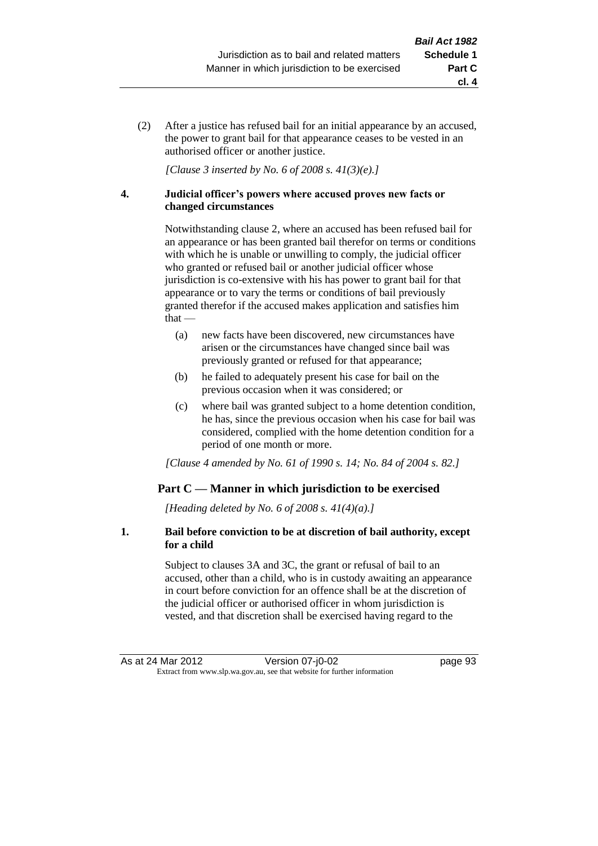(2) After a justice has refused bail for an initial appearance by an accused, the power to grant bail for that appearance ceases to be vested in an authorised officer or another justice.

*[Clause 3 inserted by No. 6 of 2008 s. 41(3)(e).]*

#### **4. Judicial officer's powers where accused proves new facts or changed circumstances**

Notwithstanding clause 2, where an accused has been refused bail for an appearance or has been granted bail therefor on terms or conditions with which he is unable or unwilling to comply, the judicial officer who granted or refused bail or another judicial officer whose jurisdiction is co-extensive with his has power to grant bail for that appearance or to vary the terms or conditions of bail previously granted therefor if the accused makes application and satisfies him that —

- (a) new facts have been discovered, new circumstances have arisen or the circumstances have changed since bail was previously granted or refused for that appearance;
- (b) he failed to adequately present his case for bail on the previous occasion when it was considered; or
- (c) where bail was granted subject to a home detention condition, he has, since the previous occasion when his case for bail was considered, complied with the home detention condition for a period of one month or more.

*[Clause 4 amended by No. 61 of 1990 s. 14; No. 84 of 2004 s. 82.]*

# **Part C — Manner in which jurisdiction to be exercised**

*[Heading deleted by No. 6 of 2008 s. 41(4)(a).]*

#### **1. Bail before conviction to be at discretion of bail authority, except for a child**

Subject to clauses 3A and 3C, the grant or refusal of bail to an accused, other than a child, who is in custody awaiting an appearance in court before conviction for an offence shall be at the discretion of the judicial officer or authorised officer in whom jurisdiction is vested, and that discretion shall be exercised having regard to the

**cl. 4**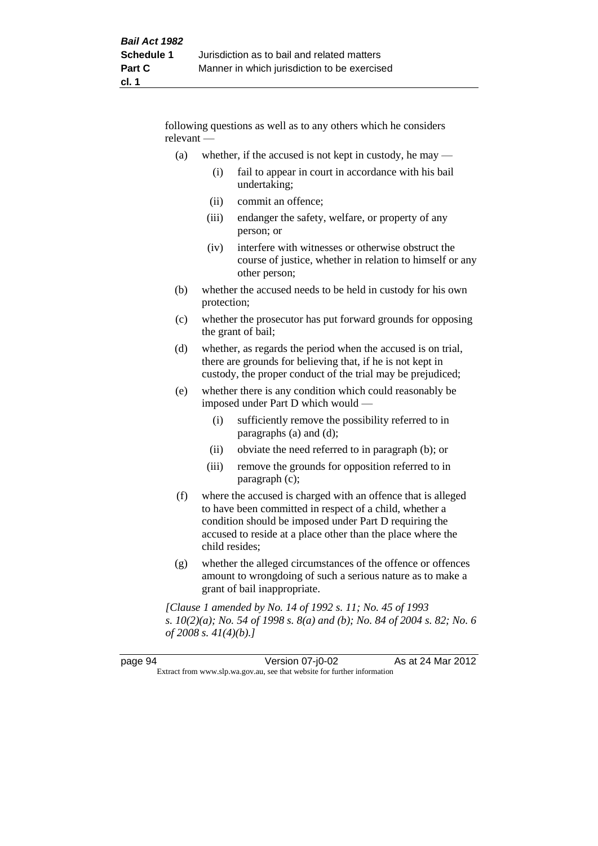following questions as well as to any others which he considers relevant —

- (a) whether, if the accused is not kept in custody, he may  $-$ 
	- (i) fail to appear in court in accordance with his bail undertaking;
	- (ii) commit an offence;
	- (iii) endanger the safety, welfare, or property of any person; or
	- (iv) interfere with witnesses or otherwise obstruct the course of justice, whether in relation to himself or any other person;
- (b) whether the accused needs to be held in custody for his own protection;
- (c) whether the prosecutor has put forward grounds for opposing the grant of bail;
- (d) whether, as regards the period when the accused is on trial, there are grounds for believing that, if he is not kept in custody, the proper conduct of the trial may be prejudiced;
- (e) whether there is any condition which could reasonably be imposed under Part D which would —
	- (i) sufficiently remove the possibility referred to in paragraphs (a) and (d);
	- (ii) obviate the need referred to in paragraph (b); or
	- (iii) remove the grounds for opposition referred to in paragraph (c);
- (f) where the accused is charged with an offence that is alleged to have been committed in respect of a child, whether a condition should be imposed under Part D requiring the accused to reside at a place other than the place where the child resides;
- (g) whether the alleged circumstances of the offence or offences amount to wrongdoing of such a serious nature as to make a grant of bail inappropriate.

*[Clause 1 amended by No. 14 of 1992 s. 11; No. 45 of 1993 s. 10(2)(a); No. 54 of 1998 s. 8(a) and (b); No. 84 of 2004 s. 82; No. 6 of 2008 s. 41(4)(b).]*

| page 94                                                                  | Version 07-j0-02 | As at 24 Mar 2012 |
|--------------------------------------------------------------------------|------------------|-------------------|
| Extract from www.slp.wa.gov.au, see that website for further information |                  |                   |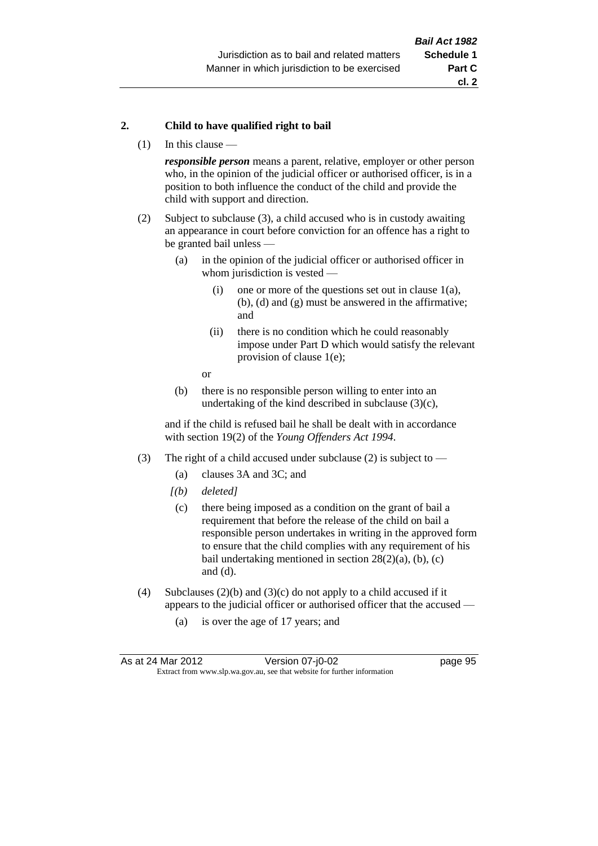#### **2. Child to have qualified right to bail**

(1) In this clause —

*responsible person* means a parent, relative, employer or other person who, in the opinion of the judicial officer or authorised officer, is in a position to both influence the conduct of the child and provide the child with support and direction.

- (2) Subject to subclause (3), a child accused who is in custody awaiting an appearance in court before conviction for an offence has a right to be granted bail unless —
	- (a) in the opinion of the judicial officer or authorised officer in whom jurisdiction is vested —
		- (i) one or more of the questions set out in clause  $1(a)$ , (b), (d) and (g) must be answered in the affirmative; and
		- (ii) there is no condition which he could reasonably impose under Part D which would satisfy the relevant provision of clause 1(e);
		- or
	- (b) there is no responsible person willing to enter into an undertaking of the kind described in subclause  $(3)(c)$ ,

and if the child is refused bail he shall be dealt with in accordance with section 19(2) of the *Young Offenders Act 1994*.

- (3) The right of a child accused under subclause (2) is subject to
	- (a) clauses 3A and 3C; and
	- *[(b) deleted]*
	- (c) there being imposed as a condition on the grant of bail a requirement that before the release of the child on bail a responsible person undertakes in writing in the approved form to ensure that the child complies with any requirement of his bail undertaking mentioned in section  $28(2)(a)$ , (b), (c) and (d).
- (4) Subclauses (2)(b) and (3)(c) do not apply to a child accused if it appears to the judicial officer or authorised officer that the accused —
	- (a) is over the age of 17 years; and

| As at 24 Mar 2012                                                        | Version 07-j0-02 | page 95 |
|--------------------------------------------------------------------------|------------------|---------|
| Extract from www.slp.wa.gov.au, see that website for further information |                  |         |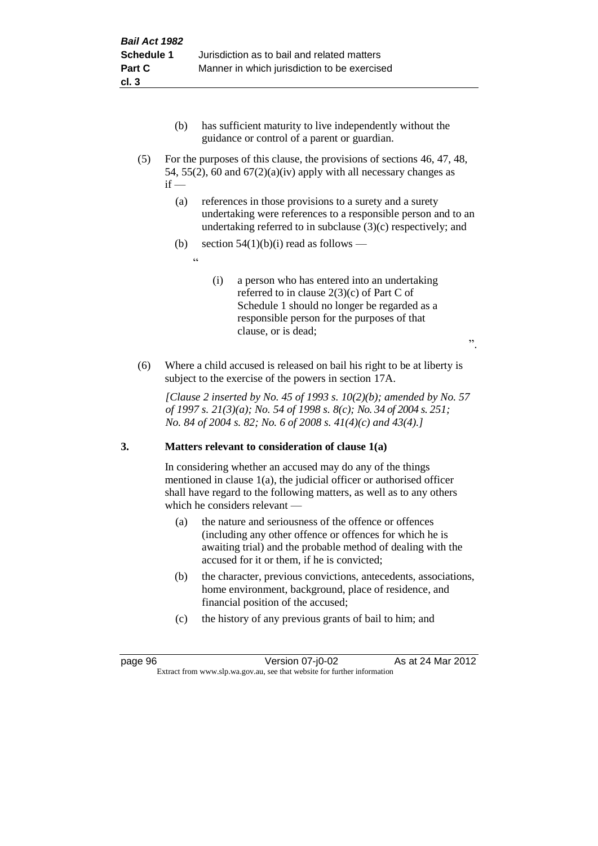- (b) has sufficient maturity to live independently without the guidance or control of a parent or guardian.
- (5) For the purposes of this clause, the provisions of sections 46, 47, 48, 54, 55(2), 60 and  $67(2)(a)(iv)$  apply with all necessary changes as  $if -$ 
	- (a) references in those provisions to a surety and a surety undertaking were references to a responsible person and to an undertaking referred to in subclause (3)(c) respectively; and
	- (b) section  $54(1)(b)(i)$  read as follows
		- .<br>د د
- (i) a person who has entered into an undertaking referred to in clause 2(3)(c) of Part C of Schedule 1 should no longer be regarded as a responsible person for the purposes of that clause, or is dead;

".

(6) Where a child accused is released on bail his right to be at liberty is subject to the exercise of the powers in section 17A.

*[Clause 2 inserted by No. 45 of 1993 s. 10(2)(b); amended by No. 57 of 1997 s. 21(3)(a); No. 54 of 1998 s. 8(c); No. 34 of 2004 s. 251; No. 84 of 2004 s. 82; No. 6 of 2008 s. 41(4)(c) and 43(4).]*

# **3. Matters relevant to consideration of clause 1(a)**

In considering whether an accused may do any of the things mentioned in clause 1(a), the judicial officer or authorised officer shall have regard to the following matters, as well as to any others which he considers relevant —

- (a) the nature and seriousness of the offence or offences (including any other offence or offences for which he is awaiting trial) and the probable method of dealing with the accused for it or them, if he is convicted;
- (b) the character, previous convictions, antecedents, associations, home environment, background, place of residence, and financial position of the accused;
- (c) the history of any previous grants of bail to him; and

page 96 Version 07-j0-02 As at 24 Mar 2012 Extract from www.slp.wa.gov.au, see that website for further information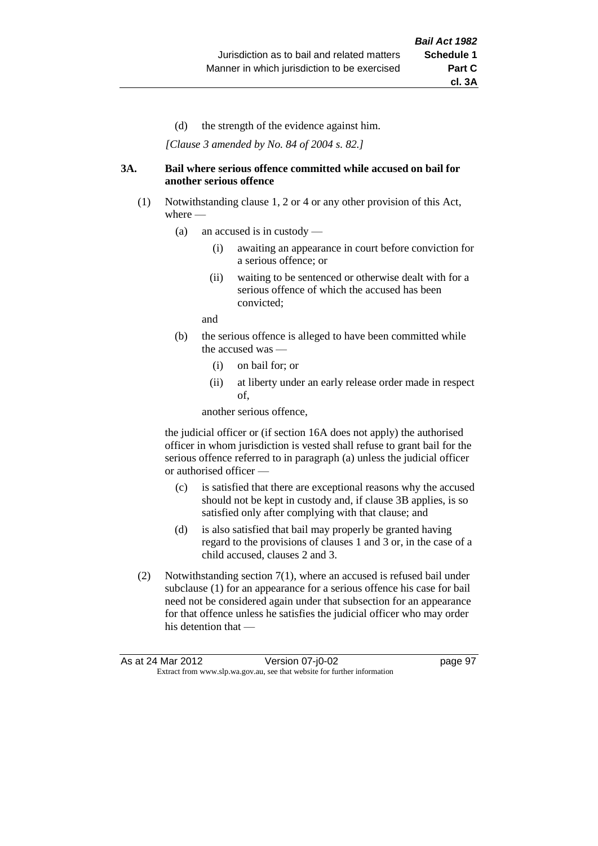(d) the strength of the evidence against him.

*[Clause 3 amended by No. 84 of 2004 s. 82.]*

#### **3A. Bail where serious offence committed while accused on bail for another serious offence**

- (1) Notwithstanding clause 1, 2 or 4 or any other provision of this Act, where —
	- (a) an accused is in custody
		- (i) awaiting an appearance in court before conviction for a serious offence; or
		- (ii) waiting to be sentenced or otherwise dealt with for a serious offence of which the accused has been convicted;

and

- (b) the serious offence is alleged to have been committed while the accused was —
	- (i) on bail for; or
	- (ii) at liberty under an early release order made in respect of,

another serious offence,

the judicial officer or (if section 16A does not apply) the authorised officer in whom jurisdiction is vested shall refuse to grant bail for the serious offence referred to in paragraph (a) unless the judicial officer or authorised officer —

- (c) is satisfied that there are exceptional reasons why the accused should not be kept in custody and, if clause 3B applies, is so satisfied only after complying with that clause; and
- (d) is also satisfied that bail may properly be granted having regard to the provisions of clauses 1 and 3 or, in the case of a child accused, clauses 2 and 3.
- (2) Notwithstanding section 7(1), where an accused is refused bail under subclause (1) for an appearance for a serious offence his case for bail need not be considered again under that subsection for an appearance for that offence unless he satisfies the judicial officer who may order his detention that —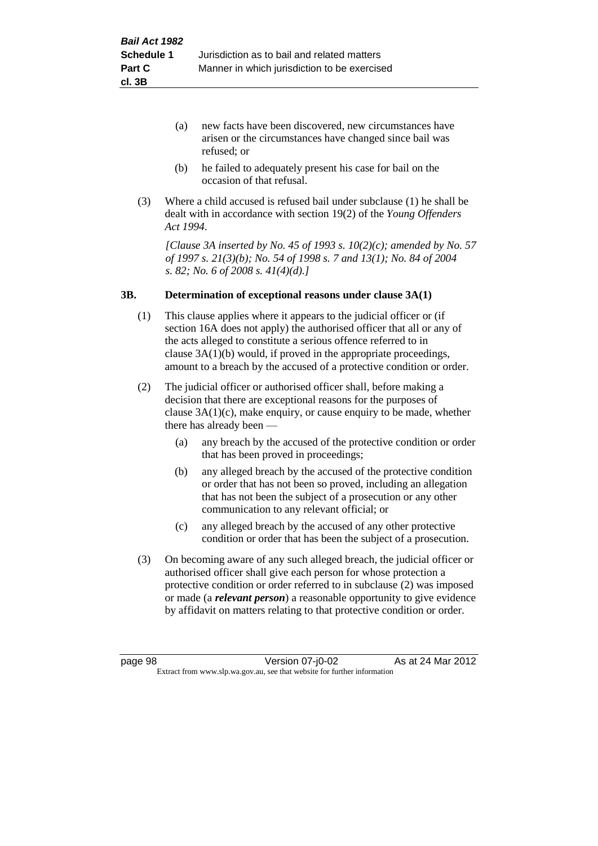- (a) new facts have been discovered, new circumstances have arisen or the circumstances have changed since bail was refused; or
- (b) he failed to adequately present his case for bail on the occasion of that refusal.
- (3) Where a child accused is refused bail under subclause (1) he shall be dealt with in accordance with section 19(2) of the *Young Offenders Act 1994*.

*[Clause 3A inserted by No. 45 of 1993 s. 10(2)(c); amended by No. 57 of 1997 s. 21(3)(b); No. 54 of 1998 s. 7 and 13(1); No. 84 of 2004 s. 82; No. 6 of 2008 s. 41(4)(d).]*

#### **3B. Determination of exceptional reasons under clause 3A(1)**

- (1) This clause applies where it appears to the judicial officer or (if section 16A does not apply) the authorised officer that all or any of the acts alleged to constitute a serious offence referred to in clause 3A(1)(b) would, if proved in the appropriate proceedings, amount to a breach by the accused of a protective condition or order.
- (2) The judicial officer or authorised officer shall, before making a decision that there are exceptional reasons for the purposes of clause  $3A(1)(c)$ , make enquiry, or cause enquiry to be made, whether there has already been —
	- (a) any breach by the accused of the protective condition or order that has been proved in proceedings;
	- (b) any alleged breach by the accused of the protective condition or order that has not been so proved, including an allegation that has not been the subject of a prosecution or any other communication to any relevant official; or
	- (c) any alleged breach by the accused of any other protective condition or order that has been the subject of a prosecution.
- (3) On becoming aware of any such alleged breach, the judicial officer or authorised officer shall give each person for whose protection a protective condition or order referred to in subclause (2) was imposed or made (a *relevant person*) a reasonable opportunity to give evidence by affidavit on matters relating to that protective condition or order.

page 98 Version 07-j0-02 As at 24 Mar 2012 Extract from www.slp.wa.gov.au, see that website for further information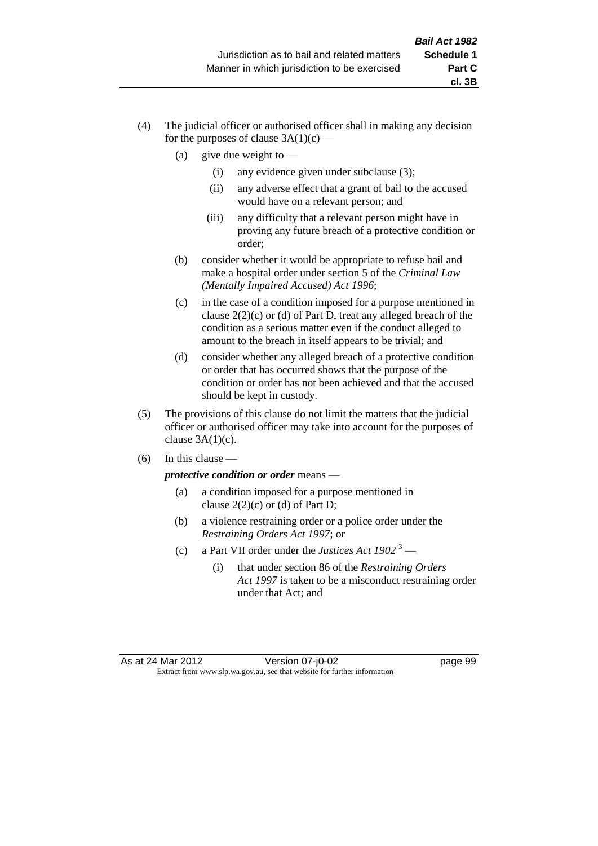- (4) The judicial officer or authorised officer shall in making any decision for the purposes of clause  $3A(1)(c)$  —
	- (a) give due weight to  $-$ 
		- (i) any evidence given under subclause (3);
		- (ii) any adverse effect that a grant of bail to the accused would have on a relevant person; and
		- (iii) any difficulty that a relevant person might have in proving any future breach of a protective condition or order;
	- (b) consider whether it would be appropriate to refuse bail and make a hospital order under section 5 of the *Criminal Law (Mentally Impaired Accused) Act 1996*;
	- (c) in the case of a condition imposed for a purpose mentioned in clause 2(2)(c) or (d) of Part D, treat any alleged breach of the condition as a serious matter even if the conduct alleged to amount to the breach in itself appears to be trivial; and
	- (d) consider whether any alleged breach of a protective condition or order that has occurred shows that the purpose of the condition or order has not been achieved and that the accused should be kept in custody.
- (5) The provisions of this clause do not limit the matters that the judicial officer or authorised officer may take into account for the purposes of clause  $3A(1)(c)$ .
- $(6)$  In this clause —

*protective condition or order* means —

- (a) a condition imposed for a purpose mentioned in clause  $2(2)(c)$  or (d) of Part D;
- (b) a violence restraining order or a police order under the *Restraining Orders Act 1997*; or
- (c) a Part VII order under the *Justices Act 1902* <sup>3</sup>
	- (i) that under section 86 of the *Restraining Orders Act 1997* is taken to be a misconduct restraining order under that Act; and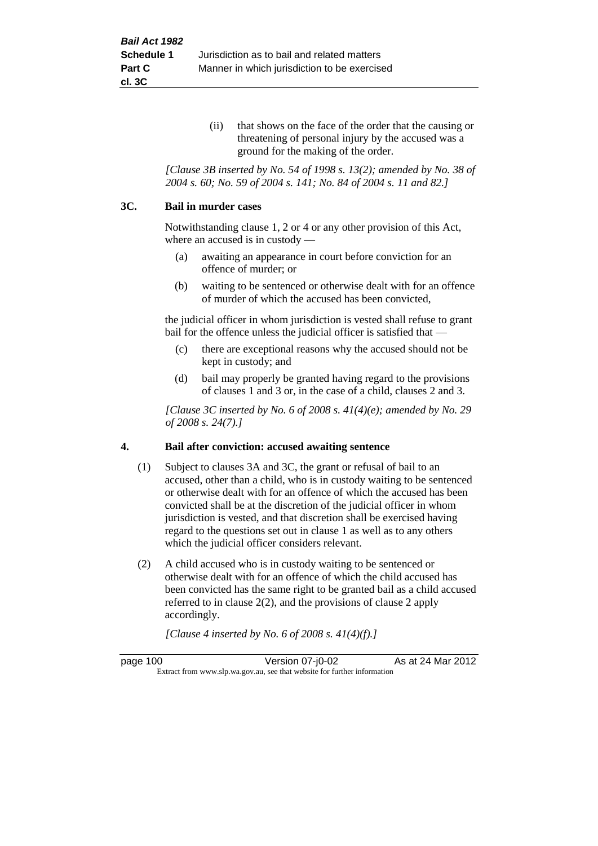(ii) that shows on the face of the order that the causing or threatening of personal injury by the accused was a ground for the making of the order.

*[Clause 3B inserted by No. 54 of 1998 s. 13(2); amended by No. 38 of 2004 s. 60; No. 59 of 2004 s. 141; No. 84 of 2004 s. 11 and 82.]*

#### **3C. Bail in murder cases**

Notwithstanding clause 1, 2 or 4 or any other provision of this Act, where an accused is in custody —

- (a) awaiting an appearance in court before conviction for an offence of murder; or
- (b) waiting to be sentenced or otherwise dealt with for an offence of murder of which the accused has been convicted,

the judicial officer in whom jurisdiction is vested shall refuse to grant bail for the offence unless the judicial officer is satisfied that —

- (c) there are exceptional reasons why the accused should not be kept in custody; and
- (d) bail may properly be granted having regard to the provisions of clauses 1 and 3 or, in the case of a child, clauses 2 and 3.

*[Clause 3C inserted by No. 6 of 2008 s. 41(4)(e); amended by No. 29 of 2008 s. 24(7).]*

#### **4. Bail after conviction: accused awaiting sentence**

- (1) Subject to clauses 3A and 3C, the grant or refusal of bail to an accused, other than a child, who is in custody waiting to be sentenced or otherwise dealt with for an offence of which the accused has been convicted shall be at the discretion of the judicial officer in whom jurisdiction is vested, and that discretion shall be exercised having regard to the questions set out in clause 1 as well as to any others which the judicial officer considers relevant.
- (2) A child accused who is in custody waiting to be sentenced or otherwise dealt with for an offence of which the child accused has been convicted has the same right to be granted bail as a child accused referred to in clause 2(2), and the provisions of clause 2 apply accordingly.

*[Clause 4 inserted by No. 6 of 2008 s. 41(4)(f).]*

page 100 Version 07-j0-02 As at 24 Mar 2012 Extract from www.slp.wa.gov.au, see that website for further information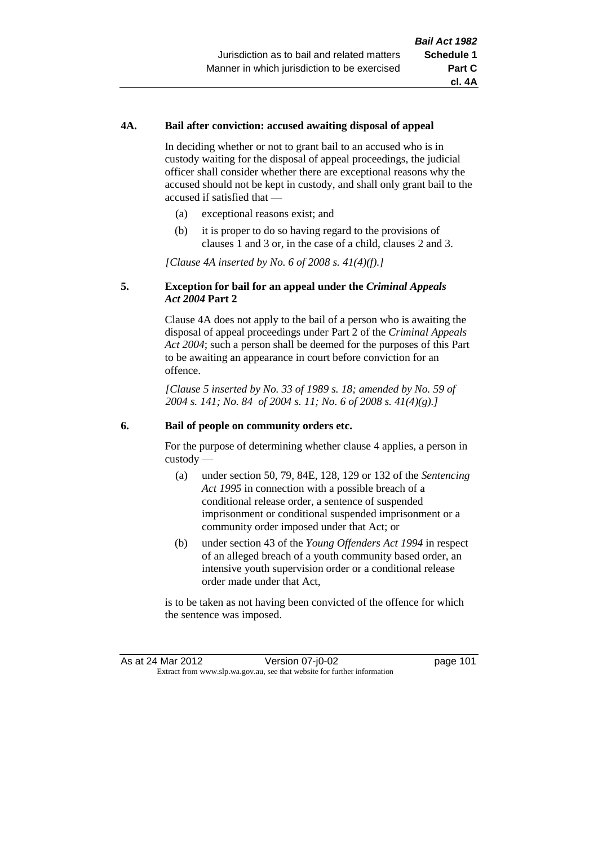## **4A. Bail after conviction: accused awaiting disposal of appeal**

In deciding whether or not to grant bail to an accused who is in custody waiting for the disposal of appeal proceedings, the judicial officer shall consider whether there are exceptional reasons why the accused should not be kept in custody, and shall only grant bail to the accused if satisfied that —

- (a) exceptional reasons exist; and
- (b) it is proper to do so having regard to the provisions of clauses 1 and 3 or, in the case of a child, clauses 2 and 3.

*[Clause 4A inserted by No. 6 of 2008 s. 41(4)(f).]*

## **5. Exception for bail for an appeal under the** *Criminal Appeals Act 2004* **Part 2**

Clause 4A does not apply to the bail of a person who is awaiting the disposal of appeal proceedings under Part 2 of the *Criminal Appeals Act 2004*; such a person shall be deemed for the purposes of this Part to be awaiting an appearance in court before conviction for an offence.

*[Clause 5 inserted by No. 33 of 1989 s. 18; amended by No. 59 of 2004 s. 141; No. 84 of 2004 s. 11; No. 6 of 2008 s. 41(4)(g).]*

#### **6. Bail of people on community orders etc.**

For the purpose of determining whether clause 4 applies, a person in custody —

- (a) under section 50, 79, 84E, 128, 129 or 132 of the *Sentencing Act 1995* in connection with a possible breach of a conditional release order, a sentence of suspended imprisonment or conditional suspended imprisonment or a community order imposed under that Act; or
- (b) under section 43 of the *Young Offenders Act 1994* in respect of an alleged breach of a youth community based order, an intensive youth supervision order or a conditional release order made under that Act,

is to be taken as not having been convicted of the offence for which the sentence was imposed.

As at 24 Mar 2012 Version 07-j0-02 page 101 Extract from www.slp.wa.gov.au, see that website for further information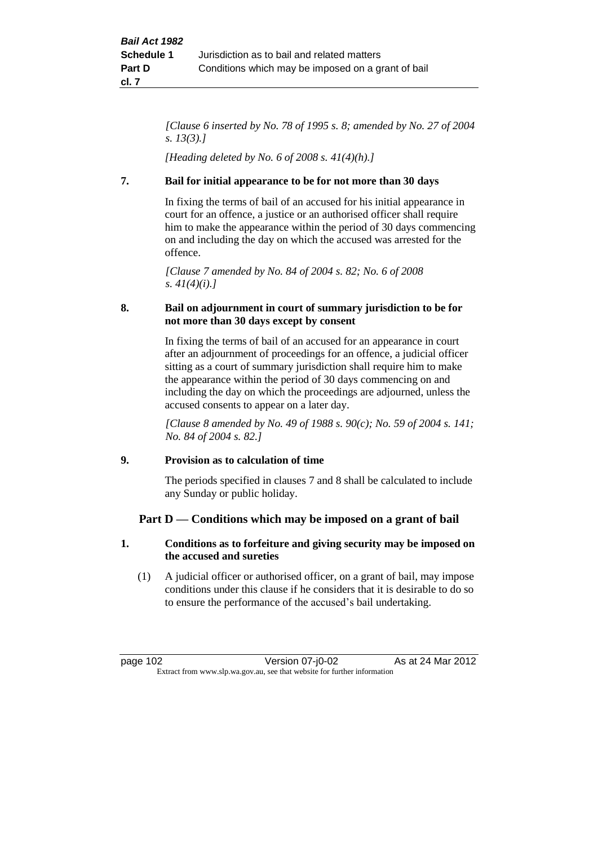*[Clause 6 inserted by No. 78 of 1995 s. 8; amended by No. 27 of 2004 s. 13(3).]*

*[Heading deleted by No. 6 of 2008 s. 41(4)(h).]*

## **7. Bail for initial appearance to be for not more than 30 days**

In fixing the terms of bail of an accused for his initial appearance in court for an offence, a justice or an authorised officer shall require him to make the appearance within the period of 30 days commencing on and including the day on which the accused was arrested for the offence.

*[Clause 7 amended by No. 84 of 2004 s. 82; No. 6 of 2008 s. 41(4)(i).]*

## **8. Bail on adjournment in court of summary jurisdiction to be for not more than 30 days except by consent**

In fixing the terms of bail of an accused for an appearance in court after an adjournment of proceedings for an offence, a judicial officer sitting as a court of summary jurisdiction shall require him to make the appearance within the period of 30 days commencing on and including the day on which the proceedings are adjourned, unless the accused consents to appear on a later day.

*[Clause 8 amended by No. 49 of 1988 s. 90(c); No. 59 of 2004 s. 141; No. 84 of 2004 s. 82.]*

## **9. Provision as to calculation of time**

The periods specified in clauses 7 and 8 shall be calculated to include any Sunday or public holiday.

## **Part D — Conditions which may be imposed on a grant of bail**

## **1. Conditions as to forfeiture and giving security may be imposed on the accused and sureties**

(1) A judicial officer or authorised officer, on a grant of bail, may impose conditions under this clause if he considers that it is desirable to do so to ensure the performance of the accused's bail undertaking.

page 102 Version 07-j0-02 As at 24 Mar 2012 Extract from www.slp.wa.gov.au, see that website for further information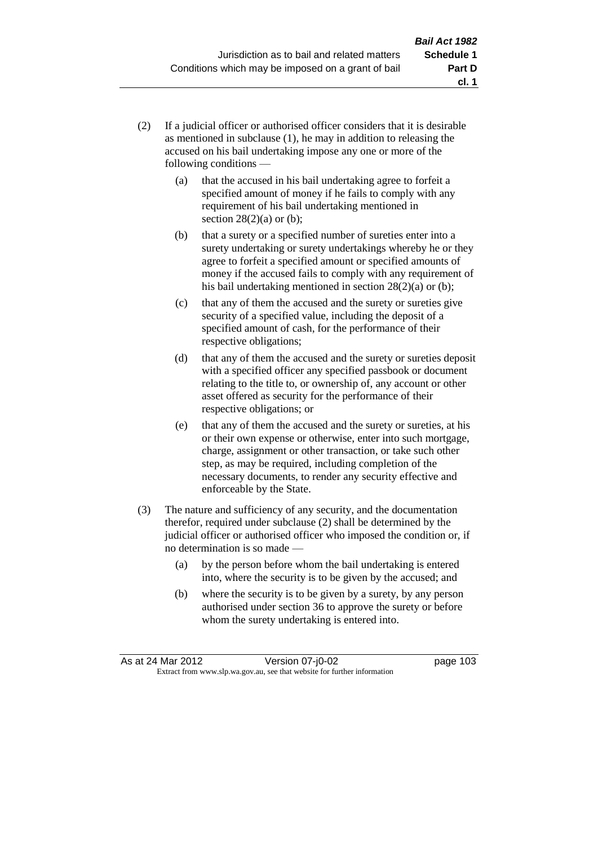- (2) If a judicial officer or authorised officer considers that it is desirable as mentioned in subclause (1), he may in addition to releasing the accused on his bail undertaking impose any one or more of the following conditions —
	- (a) that the accused in his bail undertaking agree to forfeit a specified amount of money if he fails to comply with any requirement of his bail undertaking mentioned in section  $28(2)(a)$  or (b);
	- (b) that a surety or a specified number of sureties enter into a surety undertaking or surety undertakings whereby he or they agree to forfeit a specified amount or specified amounts of money if the accused fails to comply with any requirement of his bail undertaking mentioned in section 28(2)(a) or (b);
	- (c) that any of them the accused and the surety or sureties give security of a specified value, including the deposit of a specified amount of cash, for the performance of their respective obligations;
	- (d) that any of them the accused and the surety or sureties deposit with a specified officer any specified passbook or document relating to the title to, or ownership of, any account or other asset offered as security for the performance of their respective obligations; or
	- (e) that any of them the accused and the surety or sureties, at his or their own expense or otherwise, enter into such mortgage, charge, assignment or other transaction, or take such other step, as may be required, including completion of the necessary documents, to render any security effective and enforceable by the State.
- (3) The nature and sufficiency of any security, and the documentation therefor, required under subclause (2) shall be determined by the judicial officer or authorised officer who imposed the condition or, if no determination is so made —
	- (a) by the person before whom the bail undertaking is entered into, where the security is to be given by the accused; and
	- (b) where the security is to be given by a surety, by any person authorised under section 36 to approve the surety or before whom the surety undertaking is entered into.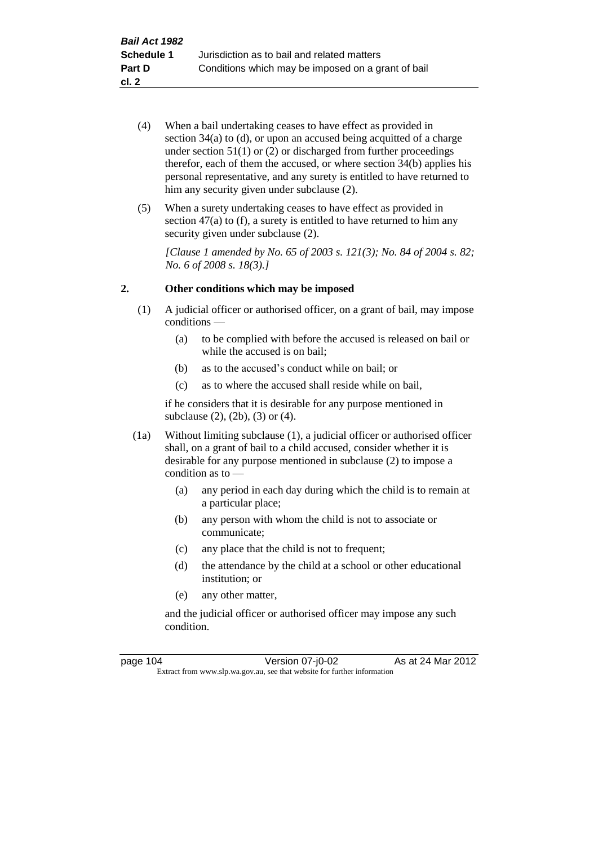- (4) When a bail undertaking ceases to have effect as provided in section 34(a) to (d), or upon an accused being acquitted of a charge under section  $51(1)$  or (2) or discharged from further proceedings therefor, each of them the accused, or where section  $34(b)$  applies his personal representative, and any surety is entitled to have returned to him any security given under subclause (2).
- (5) When a surety undertaking ceases to have effect as provided in section 47(a) to (f), a surety is entitled to have returned to him any security given under subclause  $(2)$ .

*[Clause 1 amended by No. 65 of 2003 s. 121(3); No. 84 of 2004 s. 82; No. 6 of 2008 s. 18(3).]*

## **2. Other conditions which may be imposed**

- (1) A judicial officer or authorised officer, on a grant of bail, may impose conditions —
	- (a) to be complied with before the accused is released on bail or while the accused is on bail;
	- (b) as to the accused's conduct while on bail; or
	- (c) as to where the accused shall reside while on bail,

if he considers that it is desirable for any purpose mentioned in subclause (2), (2b), (3) or (4).

- (1a) Without limiting subclause (1), a judicial officer or authorised officer shall, on a grant of bail to a child accused, consider whether it is desirable for any purpose mentioned in subclause (2) to impose a condition as to —
	- (a) any period in each day during which the child is to remain at a particular place;
	- (b) any person with whom the child is not to associate or communicate;
	- (c) any place that the child is not to frequent;
	- (d) the attendance by the child at a school or other educational institution; or
	- (e) any other matter,

and the judicial officer or authorised officer may impose any such condition.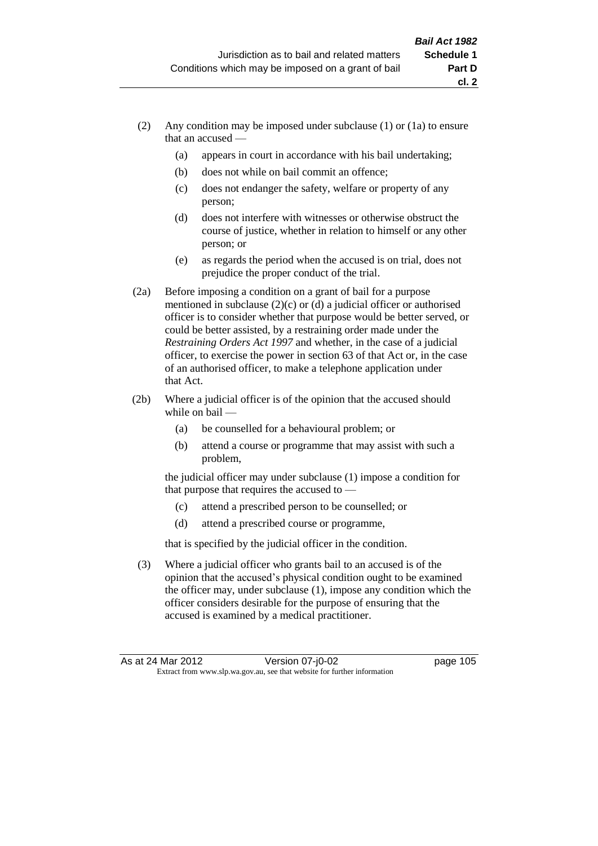- (2) Any condition may be imposed under subclause (1) or (1a) to ensure that an accused —
	- (a) appears in court in accordance with his bail undertaking;
	- (b) does not while on bail commit an offence;
	- (c) does not endanger the safety, welfare or property of any person;
	- (d) does not interfere with witnesses or otherwise obstruct the course of justice, whether in relation to himself or any other person; or
	- (e) as regards the period when the accused is on trial, does not prejudice the proper conduct of the trial.
- (2a) Before imposing a condition on a grant of bail for a purpose mentioned in subclause (2)(c) or (d) a judicial officer or authorised officer is to consider whether that purpose would be better served, or could be better assisted, by a restraining order made under the *Restraining Orders Act 1997* and whether, in the case of a judicial officer, to exercise the power in section 63 of that Act or, in the case of an authorised officer, to make a telephone application under that Act.
- (2b) Where a judicial officer is of the opinion that the accused should while on bail —
	- (a) be counselled for a behavioural problem; or
	- (b) attend a course or programme that may assist with such a problem,

the judicial officer may under subclause (1) impose a condition for that purpose that requires the accused to —

- (c) attend a prescribed person to be counselled; or
- (d) attend a prescribed course or programme,

that is specified by the judicial officer in the condition.

(3) Where a judicial officer who grants bail to an accused is of the opinion that the accused's physical condition ought to be examined the officer may, under subclause (1), impose any condition which the officer considers desirable for the purpose of ensuring that the accused is examined by a medical practitioner.

**cl. 2**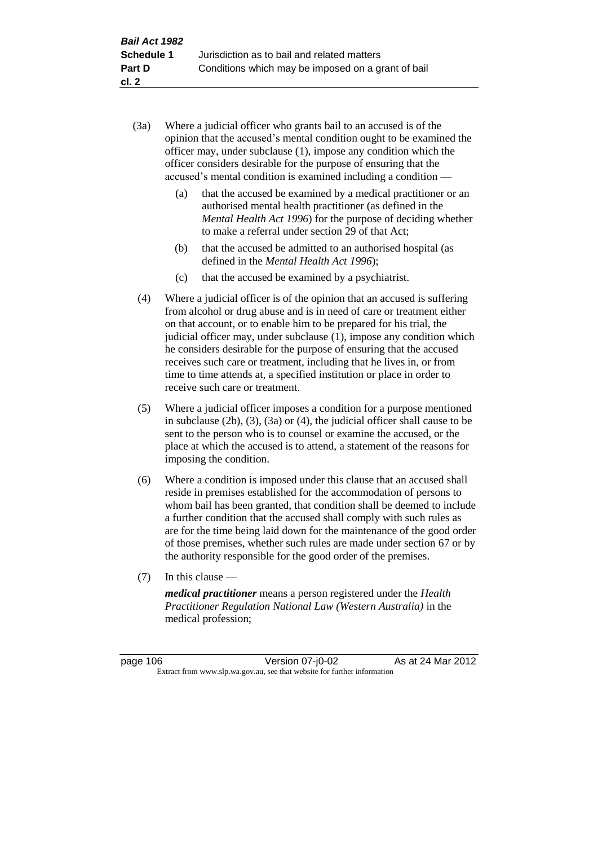- (3a) Where a judicial officer who grants bail to an accused is of the opinion that the accused's mental condition ought to be examined the officer may, under subclause (1), impose any condition which the officer considers desirable for the purpose of ensuring that the accused's mental condition is examined including a condition —
	- (a) that the accused be examined by a medical practitioner or an authorised mental health practitioner (as defined in the *Mental Health Act 1996*) for the purpose of deciding whether to make a referral under section 29 of that Act;
	- (b) that the accused be admitted to an authorised hospital (as defined in the *Mental Health Act 1996*);
	- (c) that the accused be examined by a psychiatrist.
- (4) Where a judicial officer is of the opinion that an accused is suffering from alcohol or drug abuse and is in need of care or treatment either on that account, or to enable him to be prepared for his trial, the judicial officer may, under subclause (1), impose any condition which he considers desirable for the purpose of ensuring that the accused receives such care or treatment, including that he lives in, or from time to time attends at, a specified institution or place in order to receive such care or treatment.
- (5) Where a judicial officer imposes a condition for a purpose mentioned in subclause (2b), (3), (3a) or (4), the judicial officer shall cause to be sent to the person who is to counsel or examine the accused, or the place at which the accused is to attend, a statement of the reasons for imposing the condition.
- (6) Where a condition is imposed under this clause that an accused shall reside in premises established for the accommodation of persons to whom bail has been granted, that condition shall be deemed to include a further condition that the accused shall comply with such rules as are for the time being laid down for the maintenance of the good order of those premises, whether such rules are made under section 67 or by the authority responsible for the good order of the premises.
- (7) In this clause —

*medical practitioner* means a person registered under the *Health Practitioner Regulation National Law (Western Australia)* in the medical profession;

page 106 Version 07-j0-02 As at 24 Mar 2012 Extract from www.slp.wa.gov.au, see that website for further information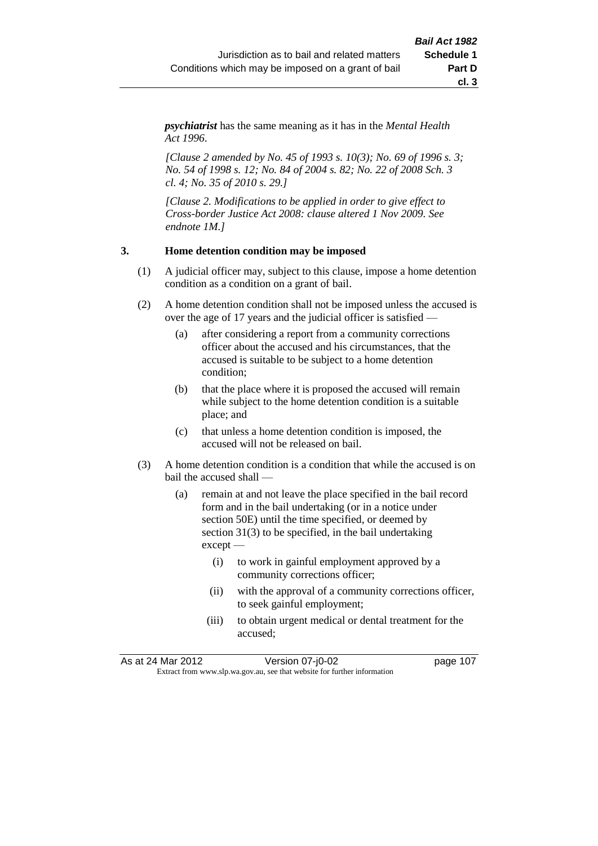*psychiatrist* has the same meaning as it has in the *Mental Health Act 1996*.

*[Clause 2 amended by No. 45 of 1993 s. 10(3); No. 69 of 1996 s. 3; No. 54 of 1998 s. 12; No. 84 of 2004 s. 82; No. 22 of 2008 Sch. 3 cl. 4; No. 35 of 2010 s. 29.]*

*[Clause 2. Modifications to be applied in order to give effect to Cross-border Justice Act 2008: clause altered 1 Nov 2009. See endnote 1M.]*

#### **3. Home detention condition may be imposed**

- (1) A judicial officer may, subject to this clause, impose a home detention condition as a condition on a grant of bail.
- (2) A home detention condition shall not be imposed unless the accused is over the age of 17 years and the judicial officer is satisfied —
	- (a) after considering a report from a community corrections officer about the accused and his circumstances, that the accused is suitable to be subject to a home detention condition;
	- (b) that the place where it is proposed the accused will remain while subject to the home detention condition is a suitable place; and
	- (c) that unless a home detention condition is imposed, the accused will not be released on bail.
- (3) A home detention condition is a condition that while the accused is on bail the accused shall —
	- (a) remain at and not leave the place specified in the bail record form and in the bail undertaking (or in a notice under section 50E) until the time specified, or deemed by section 31(3) to be specified, in the bail undertaking except —
		- (i) to work in gainful employment approved by a community corrections officer;
		- (ii) with the approval of a community corrections officer, to seek gainful employment;
		- (iii) to obtain urgent medical or dental treatment for the accused;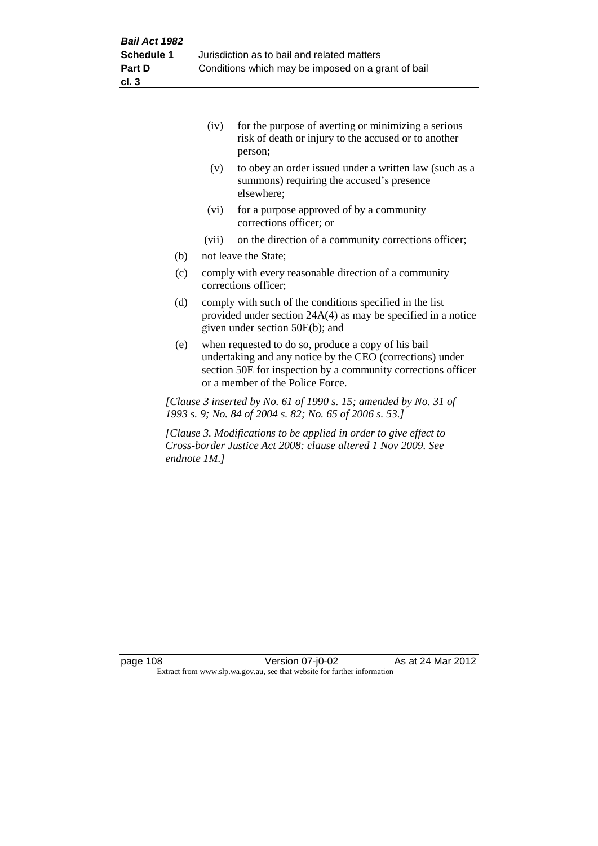|     | (iv)  | for the purpose of averting or minimizing a serious<br>risk of death or injury to the accused or to another<br>person; |
|-----|-------|------------------------------------------------------------------------------------------------------------------------|
|     | (v)   | to obey an order issued under a written law (such as a<br>summons) requiring the accused's presence<br>elsewhere;      |
|     | (vi)  | for a purpose approved of by a community<br>corrections officer; or                                                    |
|     | (vii) | on the direction of a community corrections officer;                                                                   |
| (b) |       | not leave the State;                                                                                                   |

- (c) comply with every reasonable direction of a community corrections officer;
- (d) comply with such of the conditions specified in the list provided under section 24A(4) as may be specified in a notice given under section 50E(b); and
- (e) when requested to do so, produce a copy of his bail undertaking and any notice by the CEO (corrections) under section 50E for inspection by a community corrections officer or a member of the Police Force.

*[Clause 3 inserted by No. 61 of 1990 s. 15; amended by No. 31 of 1993 s. 9; No. 84 of 2004 s. 82; No. 65 of 2006 s. 53.]*

*[Clause 3. Modifications to be applied in order to give effect to Cross-border Justice Act 2008: clause altered 1 Nov 2009. See endnote 1M.]*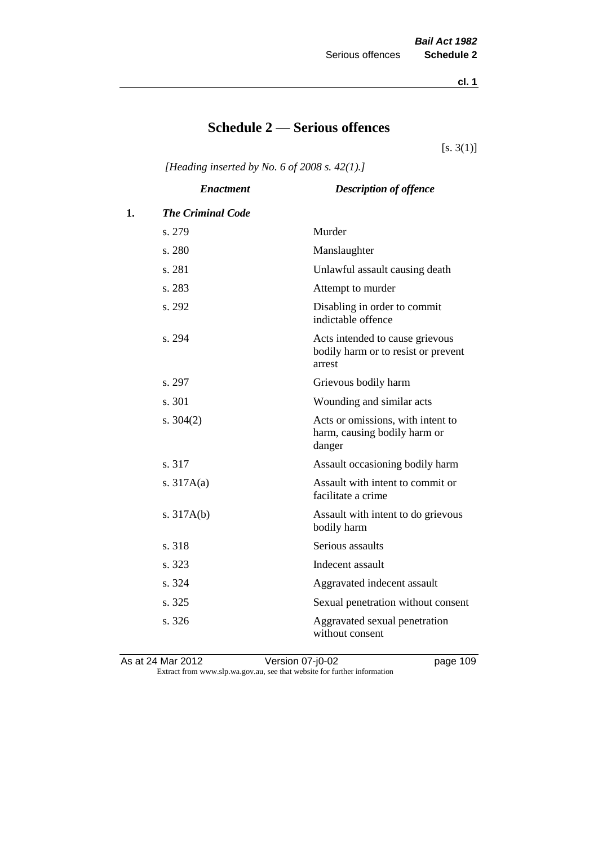**cl. 1**

## **Schedule 2 — Serious offences**

 $[s. 3(1)]$ 

*[Heading inserted by No. 6 of 2008 s. 42(1).]*

|    | <b>Enactment</b>         | <b>Description of offence</b>                                                    |
|----|--------------------------|----------------------------------------------------------------------------------|
| 1. | <b>The Criminal Code</b> |                                                                                  |
|    | s. 279                   | Murder                                                                           |
|    | s. 280                   | Manslaughter                                                                     |
|    | s. 281                   | Unlawful assault causing death                                                   |
|    | s. 283                   | Attempt to murder                                                                |
|    | s. 292                   | Disabling in order to commit<br>indictable offence                               |
|    | s. 294                   | Acts intended to cause grievous<br>bodily harm or to resist or prevent<br>arrest |
|    | s. 297                   | Grievous bodily harm                                                             |
|    | s. 301                   | Wounding and similar acts                                                        |
|    | s. $304(2)$              | Acts or omissions, with intent to<br>harm, causing bodily harm or<br>danger      |
|    | s. 317                   | Assault occasioning bodily harm                                                  |
|    | s. $317A(a)$             | Assault with intent to commit or<br>facilitate a crime                           |
|    | s. $317A(b)$             | Assault with intent to do grievous<br>bodily harm                                |
|    | s. 318                   | Serious assaults                                                                 |
|    | s. 323                   | Indecent assault                                                                 |
|    | s. 324                   | Aggravated indecent assault                                                      |
|    | s. 325                   | Sexual penetration without consent                                               |
|    | s. 326                   | Aggravated sexual penetration<br>without consent                                 |
|    |                          |                                                                                  |

As at 24 Mar 2012 **Disk Contract Contract Contract Proport** Page 109 Extract from www.slp.wa.gov.au, see that website for further information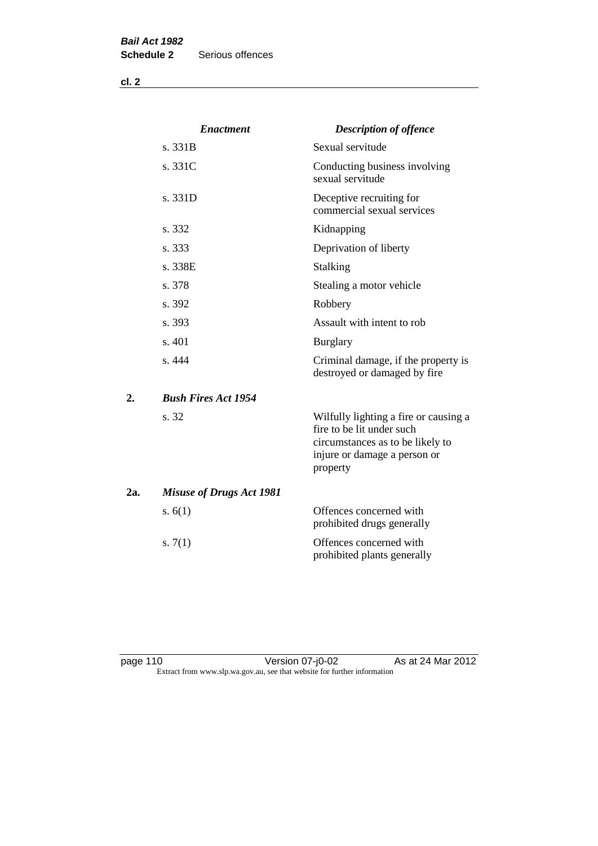|     | <b>Enactment</b>                | <b>Description of offence</b>                                                                                                                      |
|-----|---------------------------------|----------------------------------------------------------------------------------------------------------------------------------------------------|
|     | s. 331B                         | Sexual servitude                                                                                                                                   |
|     | s. 331C                         | Conducting business involving<br>sexual servitude                                                                                                  |
|     | s. 331D                         | Deceptive recruiting for<br>commercial sexual services                                                                                             |
|     | s. 332                          | Kidnapping                                                                                                                                         |
|     | s. 333                          | Deprivation of liberty                                                                                                                             |
|     | s. 338E                         | Stalking                                                                                                                                           |
|     | s. 378                          | Stealing a motor vehicle                                                                                                                           |
|     | s. 392                          | Robbery                                                                                                                                            |
|     | s. 393                          | Assault with intent to rob                                                                                                                         |
|     | s. 401                          | <b>Burglary</b>                                                                                                                                    |
|     | s. 444                          | Criminal damage, if the property is<br>destroyed or damaged by fire                                                                                |
| 2.  | <b>Bush Fires Act 1954</b>      |                                                                                                                                                    |
|     | s. 32                           | Wilfully lighting a fire or causing a<br>fire to be lit under such<br>circumstances as to be likely to<br>injure or damage a person or<br>property |
| 2a. | <b>Misuse of Drugs Act 1981</b> |                                                                                                                                                    |
|     | s. $6(1)$                       | Offences concerned with<br>prohibited drugs generally                                                                                              |
|     | s. $7(1)$                       | Offences concerned with<br>prohibited plants generally                                                                                             |

page 110 Version 07-j0-02 As at 24 Mar 2012 Extract from www.slp.wa.gov.au, see that website for further information

**cl. 2**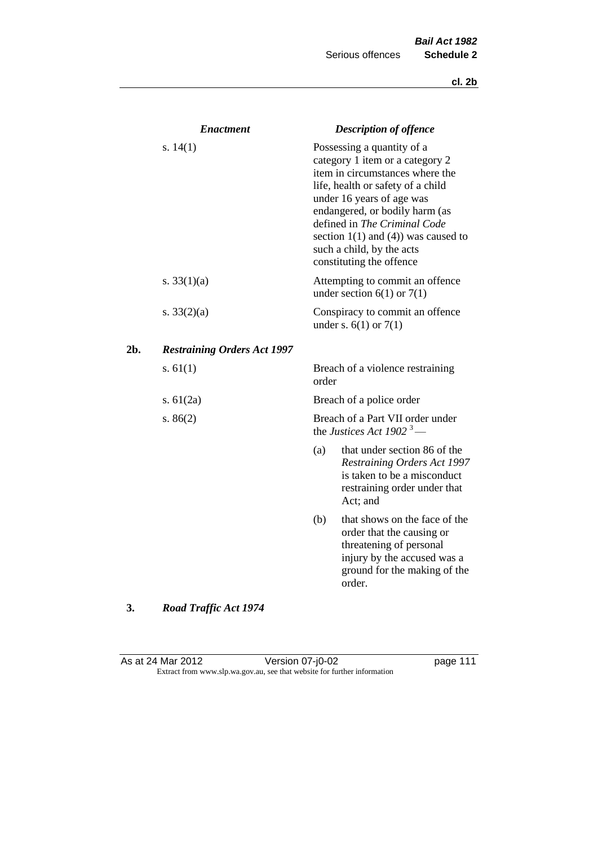|               | <b>Enactment</b>                   |                                                                                                                                                                                                                                                                                                                                           | <b>Description of offence</b>                                                                                                                                  |
|---------------|------------------------------------|-------------------------------------------------------------------------------------------------------------------------------------------------------------------------------------------------------------------------------------------------------------------------------------------------------------------------------------------|----------------------------------------------------------------------------------------------------------------------------------------------------------------|
| s. $14(1)$    |                                    | Possessing a quantity of a<br>category 1 item or a category 2<br>item in circumstances where the<br>life, health or safety of a child<br>under 16 years of age was<br>endangered, or bodily harm (as<br>defined in The Criminal Code<br>section $1(1)$ and $(4)$ ) was caused to<br>such a child, by the acts<br>constituting the offence |                                                                                                                                                                |
| s. $33(1)(a)$ |                                    |                                                                                                                                                                                                                                                                                                                                           | Attempting to commit an offence<br>under section $6(1)$ or $7(1)$                                                                                              |
| s. $33(2)(a)$ |                                    |                                                                                                                                                                                                                                                                                                                                           | Conspiracy to commit an offence<br>under s. $6(1)$ or $7(1)$                                                                                                   |
| 2b.           | <b>Restraining Orders Act 1997</b> |                                                                                                                                                                                                                                                                                                                                           |                                                                                                                                                                |
| s. $61(1)$    |                                    | order                                                                                                                                                                                                                                                                                                                                     | Breach of a violence restraining                                                                                                                               |
| s. $61(2a)$   |                                    |                                                                                                                                                                                                                                                                                                                                           | Breach of a police order                                                                                                                                       |
| s. $86(2)$    |                                    |                                                                                                                                                                                                                                                                                                                                           | Breach of a Part VII order under<br>the Justices Act 1902 <sup>3</sup> —                                                                                       |
|               |                                    | (a)                                                                                                                                                                                                                                                                                                                                       | that under section 86 of the<br>Restraining Orders Act 1997<br>is taken to be a misconduct<br>restraining order under that<br>Act; and                         |
|               |                                    | (b)                                                                                                                                                                                                                                                                                                                                       | that shows on the face of the<br>order that the causing or<br>threatening of personal<br>injury by the accused was a<br>ground for the making of the<br>order. |

# **3.** *Road Traffic Act 1974*

As at 24 Mar 2012 **Detail Contrary Control** Version 07-j0-02 **page 111** Extract from www.slp.wa.gov.au, see that website for further information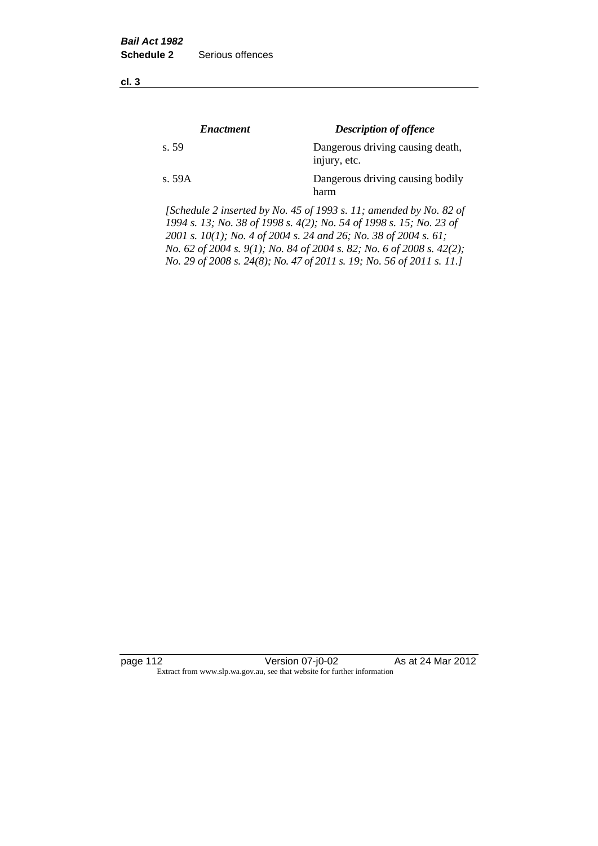**cl. 3**

| <i><b>Enactment</b></i> | <b>Description of offence</b>                    |
|-------------------------|--------------------------------------------------|
| s. 59                   | Dangerous driving causing death,<br>injury, etc. |
| s. 59A                  | Dangerous driving causing bodily<br>harm         |

*[Schedule 2 inserted by No. 45 of 1993 s. 11; amended by No. 82 of 1994 s. 13; No. 38 of 1998 s. 4(2); No. 54 of 1998 s. 15; No. 23 of 2001 s. 10(1); No. 4 of 2004 s. 24 and 26; No. 38 of 2004 s. 61; No. 62 of 2004 s. 9(1); No. 84 of 2004 s. 82; No. 6 of 2008 s. 42(2); No. 29 of 2008 s. 24(8); No. 47 of 2011 s. 19; No. 56 of 2011 s. 11.]* 

page 112 **Version 07-j0-02** As at 24 Mar 2012 Extract from www.slp.wa.gov.au, see that website for further information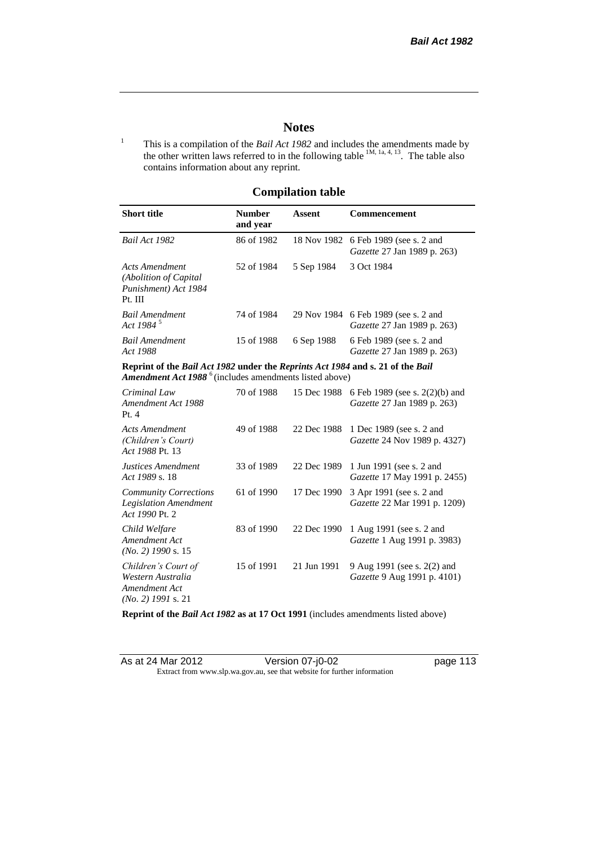## **Notes**

<sup>1</sup> This is a compilation of the *Bail Act 1982* and includes the amendments made by the other written laws referred to in the following table  $1M$ ,  $1a$ ,  $4$ ,  $13$ . The table also contains information about any reprint.

## **Compilation table**

| <b>Short title</b>                                                                                                                                   | <b>Number</b><br>and year | Assent     | Commencement                                                                     |
|------------------------------------------------------------------------------------------------------------------------------------------------------|---------------------------|------------|----------------------------------------------------------------------------------|
| Bail Act 1982                                                                                                                                        | 86 of 1982                |            | 18 Nov 1982 6 Feb 1989 (see s. 2 and<br>Gazette 27 Jan 1989 p. 263)              |
| Acts Amendment<br>(Abolition of Capital)<br>Punishment) Act 1984<br>Pt. III                                                                          | 52 of 1984                | 5 Sep 1984 | 3 Oct 1984                                                                       |
| <b>Bail Amendment</b><br>Act 1984 $^5$                                                                                                               | 74 of 1984                |            | 29 Nov 1984 6 Feb 1989 (see s. 2 and<br><i>Gazette</i> 27 Jan 1989 p. 263)       |
| <b>Bail Amendment</b><br>Act 1988                                                                                                                    | 15 of 1988                | 6 Sep 1988 | 6 Feb 1989 (see s. 2 and<br><i>Gazette</i> 27 Jan 1989 p. 263)                   |
| Reprint of the Bail Act 1982 under the Reprints Act 1984 and s. 21 of the Bail<br>Amendment Act 1988 <sup>6</sup> (includes amendments listed above) |                           |            |                                                                                  |
| Criminal Law<br>Amendment Act 1988                                                                                                                   | 70 of 1988                |            | 15 Dec 1988 6 Feb 1989 (see s. 2(2)(b) and<br><i>Gazette</i> 27 Jan 1989 p. 263) |

| Amendment Act 1988<br>Pt.4                                                        |            |             | Gazette 27 Jan 1989 p. 263)                                     |
|-----------------------------------------------------------------------------------|------------|-------------|-----------------------------------------------------------------|
| Acts Amendment<br>(Children's Court)<br>Act 1988 Pt. 13                           | 49 of 1988 | 22 Dec 1988 | 1 Dec 1989 (see s. 2 and<br>Gazette 24 Nov 1989 p. 4327)        |
| Justices Amendment<br>Act 1989 s. 18                                              | 33 of 1989 | 22 Dec 1989 | 1 Jun 1991 (see s. 2 and<br><i>Gazette</i> 17 May 1991 p. 2455) |
| <b>Community Corrections</b><br><b>Legislation Amendment</b><br>Act 1990 Pt. 2    | 61 of 1990 | 17 Dec 1990 | 3 Apr 1991 (see s. 2 and<br><i>Gazette</i> 22 Mar 1991 p. 1209) |
| Child Welfare<br>Amendment Act<br>$(No. 2)$ 1990 s. 15                            | 83 of 1990 | 22 Dec 1990 | 1 Aug 1991 (see s. 2 and<br>Gazette 1 Aug 1991 p. 3983)         |
| Children's Court of<br>Western Australia<br>Amendment Act<br>$(No. 2)$ 1991 s. 21 | 15 of 1991 | 21 Jun 1991 | 9 Aug 1991 (see s. 2(2) and<br>Gazette 9 Aug 1991 p. 4101)      |

**Reprint of the** *Bail Act 1982* **as at 17 Oct 1991** (includes amendments listed above)

| As at 24 Mar 2012 | Version 07-j0-02                                                         |
|-------------------|--------------------------------------------------------------------------|
|                   | Extract from www.slp.wa.gov.au, see that website for further information |

page 113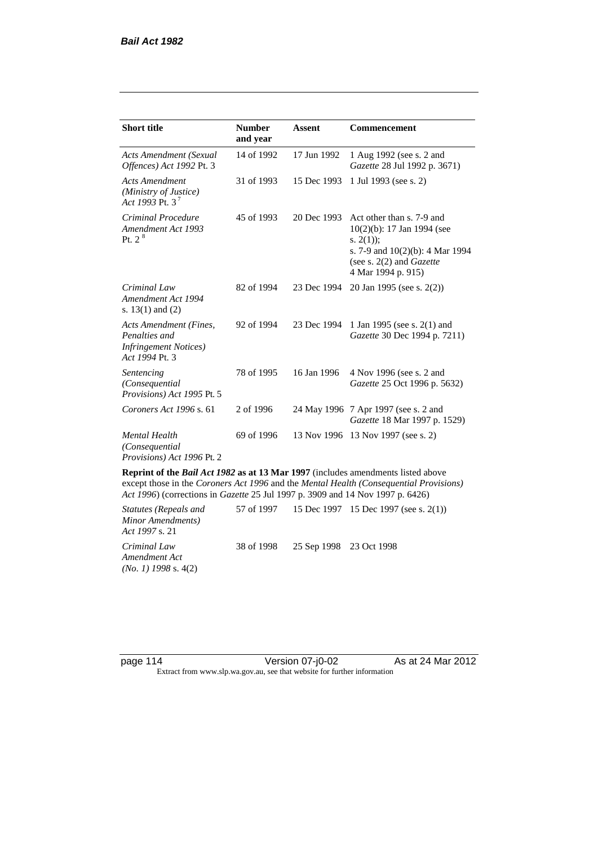| <b>Short title</b>                                                                         | <b>Number</b><br>and year | <b>Assent</b> | <b>Commencement</b>                                                                                                                                                        |
|--------------------------------------------------------------------------------------------|---------------------------|---------------|----------------------------------------------------------------------------------------------------------------------------------------------------------------------------|
| <b>Acts Amendment (Sexual</b><br>Offences) Act 1992 Pt. 3                                  | 14 of 1992                | 17 Jun 1992   | 1 Aug 1992 (see s. 2 and<br>Gazette 28 Jul 1992 p. 3671)                                                                                                                   |
| <b>Acts Amendment</b><br>(Ministry of Justice)<br>Act 1993 Pt. 3 <sup>7</sup>              | 31 of 1993                | 15 Dec 1993   | 1 Jul 1993 (see s. 2)                                                                                                                                                      |
| Criminal Procedure<br>Amendment Act 1993<br>Pt. 2 <sup>8</sup>                             | 45 of 1993                | 20 Dec 1993   | Act other than s. 7-9 and<br>$10(2)(b)$ : 17 Jan 1994 (see<br>s. $2(1)$ ;<br>s. 7-9 and $10(2)(b)$ : 4 Mar 1994<br>(see s. $2(2)$ and <i>Gazette</i><br>4 Mar 1994 p. 915) |
| Criminal Law<br>Amendment Act 1994<br>s. $13(1)$ and $(2)$                                 | 82 of 1994                | 23 Dec 1994   | 20 Jan 1995 (see s. 2(2))                                                                                                                                                  |
| Acts Amendment (Fines,<br>Penalties and<br><b>Infringement Notices</b> )<br>Act 1994 Pt. 3 | 92 of 1994                | 23 Dec 1994   | 1 Jan 1995 (see s. 2(1) and<br>Gazette 30 Dec 1994 p. 7211)                                                                                                                |
| Sentencing<br>(Consequential<br>Provisions) Act 1995 Pt. 5                                 | 78 of 1995                | 16 Jan 1996   | 4 Nov 1996 (see s. 2 and<br><i>Gazette</i> 25 Oct 1996 p. 5632)                                                                                                            |
| Coroners Act 1996 s. 61                                                                    | 2 of 1996                 |               | 24 May 1996 7 Apr 1997 (see s. 2 and<br>Gazette 18 Mar 1997 p. 1529)                                                                                                       |
| <b>Mental Health</b><br>(Consequential<br>Provisions) Act 1996 Pt. 2                       | 69 of 1996                | 13 Nov 1996   | 13 Nov 1997 (see s. 2)                                                                                                                                                     |

**Reprint of the** *Bail Act 1982* **as at 13 Mar 1997** (includes amendments listed above except those in the *Coroners Act 1996* and the *Mental Health (Consequential Provisions) Act 1996*) (corrections in *Gazette* 25 Jul 1997 p. 3909 and 14 Nov 1997 p. 6426)

*Statutes (Repeals and Minor Amendments) Act 1997* s. 21 57 of 1997 15 Dec 1997 15 Dec 1997 (see s. 2(1)) *Criminal Law Amendment Act (No. 1) 1998* s. 4(2) 38 of 1998 25 Sep 1998 23 Oct 1998

page 114 Version 07-j0-02 As at 24 Mar 2012 Extract from www.slp.wa.gov.au, see that website for further information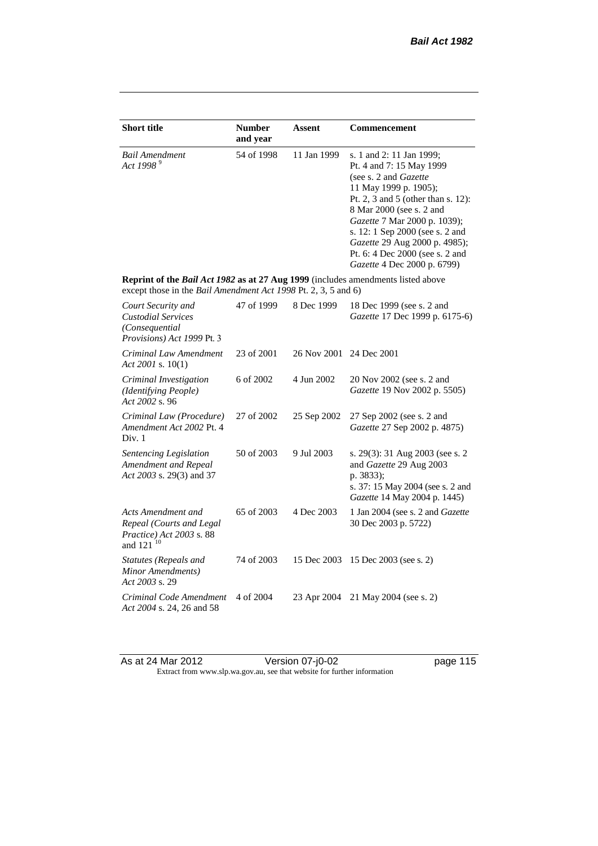| <b>Short title</b>                                                                                                                                 | <b>Number</b><br>and year | <b>Assent</b> | Commencement                                                                                                                                                                                                                                                                                                                                   |
|----------------------------------------------------------------------------------------------------------------------------------------------------|---------------------------|---------------|------------------------------------------------------------------------------------------------------------------------------------------------------------------------------------------------------------------------------------------------------------------------------------------------------------------------------------------------|
| <b>Bail Amendment</b><br>Act 1998 <sup>9</sup>                                                                                                     | 54 of 1998                | 11 Jan 1999   | s. 1 and 2: 11 Jan 1999;<br>Pt. 4 and 7: 15 May 1999<br>(see s. 2 and Gazette<br>11 May 1999 p. 1905);<br>Pt. 2, 3 and 5 (other than s. 12):<br>8 Mar 2000 (see s. 2 and<br>Gazette 7 Mar 2000 p. 1039);<br>s. 12: 1 Sep 2000 (see s. 2 and<br>Gazette 29 Aug 2000 p. 4985);<br>Pt. 6: 4 Dec 2000 (see s. 2 and<br>Gazette 4 Dec 2000 p. 6799) |
| Reprint of the Bail Act 1982 as at 27 Aug 1999 (includes amendments listed above<br>except those in the Bail Amendment Act 1998 Pt. 2, 3, 5 and 6) |                           |               |                                                                                                                                                                                                                                                                                                                                                |
| Court Security and<br><b>Custodial Services</b><br>(Consequential<br>Provisions) Act 1999 Pt. 3                                                    | 47 of 1999                | 8 Dec 1999    | 18 Dec 1999 (see s. 2 and<br>Gazette 17 Dec 1999 p. 6175-6)                                                                                                                                                                                                                                                                                    |
| Criminal Law Amendment<br>Act 2001 s. $10(1)$                                                                                                      | 23 of 2001                | 26 Nov 2001   | 24 Dec 2001                                                                                                                                                                                                                                                                                                                                    |
| Criminal Investigation<br>(Identifying People)<br>Act 2002 s. 96                                                                                   | 6 of 2002                 | 4 Jun 2002    | 20 Nov 2002 (see s. 2 and<br>Gazette 19 Nov 2002 p. 5505)                                                                                                                                                                                                                                                                                      |
| Criminal Law (Procedure)<br>Amendment Act 2002 Pt. 4<br>Div. 1                                                                                     | 27 of 2002                | 25 Sep 2002   | 27 Sep 2002 (see s. 2 and<br>Gazette 27 Sep 2002 p. 4875)                                                                                                                                                                                                                                                                                      |
| Sentencing Legislation<br>Amendment and Repeal<br>Act 2003 s. 29(3) and 37                                                                         | 50 of 2003                | 9 Jul 2003    | s. 29(3): 31 Aug 2003 (see s. 2)<br>and Gazette 29 Aug 2003<br>p. 3833);<br>s. 37: 15 May 2004 (see s. 2 and<br>Gazette 14 May 2004 p. 1445)                                                                                                                                                                                                   |
| Acts Amendment and<br>Repeal (Courts and Legal<br>Practice) Act 2003 s. 88<br>and 121 <sup>10</sup>                                                | 65 of 2003                | 4 Dec 2003    | 1 Jan 2004 (see s. 2 and Gazette<br>30 Dec 2003 p. 5722)                                                                                                                                                                                                                                                                                       |
| Statutes (Repeals and<br>Minor Amendments)<br>Act 2003 s. 29                                                                                       | 74 of 2003                | 15 Dec 2003   | 15 Dec 2003 (see s. 2)                                                                                                                                                                                                                                                                                                                         |
| Criminal Code Amendment<br>Act 2004 s. 24, 26 and 58                                                                                               | 4 of 2004                 | 23 Apr 2004   | 21 May 2004 (see s. 2)                                                                                                                                                                                                                                                                                                                         |

As at 24 Mar 2012 **Detail Contrary Contrary Price 2** As at 24 Mar 2012 Extract from www.slp.wa.gov.au, see that website for further information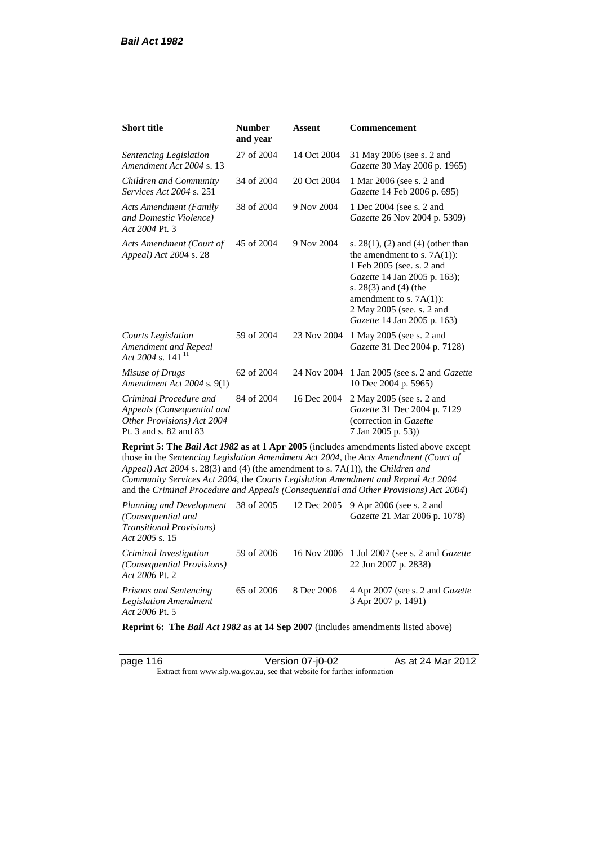| <b>Short title</b>                                                                                                                                                                                                                                                                                                                                                                                                                              | <b>Number</b><br>and year | Assent      | <b>Commencement</b>                                                                                                                                                                                                                                  |  |  |
|-------------------------------------------------------------------------------------------------------------------------------------------------------------------------------------------------------------------------------------------------------------------------------------------------------------------------------------------------------------------------------------------------------------------------------------------------|---------------------------|-------------|------------------------------------------------------------------------------------------------------------------------------------------------------------------------------------------------------------------------------------------------------|--|--|
| Sentencing Legislation<br>Amendment Act 2004 s. 13                                                                                                                                                                                                                                                                                                                                                                                              | 27 of 2004                | 14 Oct 2004 | 31 May 2006 (see s. 2 and<br>Gazette 30 May 2006 p. 1965)                                                                                                                                                                                            |  |  |
| Children and Community<br><i>Services Act 2004 s. 251</i>                                                                                                                                                                                                                                                                                                                                                                                       | 34 of 2004                | 20 Oct 2004 | 1 Mar 2006 (see s. 2 and<br>Gazette 14 Feb 2006 p. 695)                                                                                                                                                                                              |  |  |
| <b>Acts Amendment (Family</b><br>and Domestic Violence)<br>Act 2004 Pt. 3                                                                                                                                                                                                                                                                                                                                                                       | 38 of 2004                | 9 Nov 2004  | 1 Dec 2004 (see s. 2 and<br>Gazette 26 Nov 2004 p. 5309)                                                                                                                                                                                             |  |  |
| Acts Amendment (Court of<br>Appeal) Act 2004 s. 28                                                                                                                                                                                                                                                                                                                                                                                              | 45 of 2004                | 9 Nov 2004  | s. $28(1)$ , (2) and (4) (other than<br>the amendment to s. $7A(1)$ :<br>1 Feb 2005 (see. s. 2 and<br>Gazette 14 Jan 2005 p. 163);<br>s. 28(3) and (4) (the<br>amendment to s. $7A(1)$ :<br>2 May 2005 (see. s. 2 and<br>Gazette 14 Jan 2005 p. 163) |  |  |
| <b>Courts Legislation</b><br>Amendment and Repeal<br>Act 2004 s. 141 <sup>11</sup>                                                                                                                                                                                                                                                                                                                                                              | 59 of 2004                | 23 Nov 2004 | 1 May 2005 (see s. 2 and<br>Gazette 31 Dec 2004 p. 7128)                                                                                                                                                                                             |  |  |
| Misuse of Drugs<br>Amendment Act 2004 s. 9(1)                                                                                                                                                                                                                                                                                                                                                                                                   | 62 of 2004                | 24 Nov 2004 | 1 Jan 2005 (see s. 2 and <i>Gazette</i><br>10 Dec 2004 p. 5965)                                                                                                                                                                                      |  |  |
| Criminal Procedure and<br>Appeals (Consequential and<br>Other Provisions) Act 2004<br>Pt. 3 and s. 82 and 83                                                                                                                                                                                                                                                                                                                                    | 84 of 2004                | 16 Dec 2004 | 2 May 2005 (see s. 2 and<br>Gazette 31 Dec 2004 p. 7129<br>(correction in Gazette<br>7 Jan 2005 p. 53))                                                                                                                                              |  |  |
| Reprint 5: The Bail Act 1982 as at 1 Apr 2005 (includes amendments listed above except<br>those in the Sentencing Legislation Amendment Act 2004, the Acts Amendment (Court of<br>Appeal) Act 2004 s. 28(3) and (4) (the amendment to s. 7A(1)), the Children and<br>Community Services Act 2004, the Courts Legislation Amendment and Repeal Act 2004<br>and the Criminal Procedure and Appeals (Consequential and Other Provisions) Act 2004) |                           |             |                                                                                                                                                                                                                                                      |  |  |
| Planning and Development<br>(Consequential and<br><b>Transitional Provisions)</b><br>Act 2005 s. 15                                                                                                                                                                                                                                                                                                                                             | 38 of 2005                | 12 Dec 2005 | 9 Apr 2006 (see s. 2 and<br>Gazette 21 Mar 2006 p. 1078)                                                                                                                                                                                             |  |  |
| Criminal Investigation                                                                                                                                                                                                                                                                                                                                                                                                                          | 59 of 2006                |             | 16 Nov 2006 1 Jul 2007 (see s. 2 and <i>Gazette</i>                                                                                                                                                                                                  |  |  |

*Act 2006* Pt. 2 *Prisons and Sentencing Legislation Amendment Act 2006* Pt. 5 65 of 2006 8 Dec 2006 4 Apr 2007 (see s. 2 and *Gazette* 3 Apr 2007 p. 1491)

22 Jun 2007 p. 2838)

**Reprint 6: The** *Bail Act 1982* **as at 14 Sep 2007** (includes amendments listed above)

*(Consequential Provisions)* 

page 116 Version 07-j0-02 As at 24 Mar 2012 Extract from www.slp.wa.gov.au, see that website for further information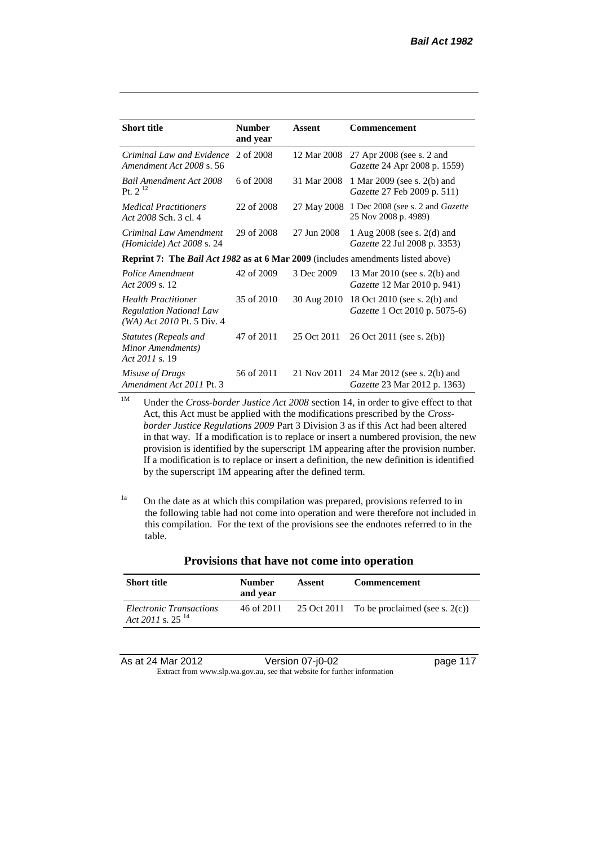| <b>Short title</b>                                                                             | <b>Number</b><br>and year | Assent      | Commencement                                                         |
|------------------------------------------------------------------------------------------------|---------------------------|-------------|----------------------------------------------------------------------|
| Criminal Law and Evidence<br>Amendment Act 2008 s. 56                                          | 2 of 2008                 | 12 Mar 2008 | 27 Apr 2008 (see s. 2 and<br>Gazette 24 Apr 2008 p. 1559)            |
| Bail Amendment Act 2008<br>Pt. $2^{12}$                                                        | 6 of 2008                 | 31 Mar 2008 | 1 Mar 2009 (see s. 2(b) and<br>Gazette 27 Feb 2009 p. 511)           |
| <b>Medical Practitioners</b><br>Act 2008 Sch. 3 cl. 4                                          | 22 of 2008                | 27 May 2008 | 1 Dec 2008 (see s. 2 and Gazette<br>25 Nov 2008 p. 4989)             |
| Criminal Law Amendment<br>$(Homicide)$ Act 2008 s. 24                                          | 29 of 2008                | 27 Jun 2008 | 1 Aug 2008 (see s. 2(d) and<br>Gazette 22 Jul 2008 p. 3353)          |
| <b>Reprint 7:</b> The <i>Bail Act 1982</i> as at 6 Mar 2009 (includes amendments listed above) |                           |             |                                                                      |
| Police Amendment<br>Act 2009 s. 12                                                             | 42 of 2009                | 3 Dec 2009  | 13 Mar 2010 (see s. 2(b) and<br>Gazette 12 Mar 2010 p. 941)          |
| <b>Health Practitioner</b><br><b>Regulation National Law</b><br>$(WA)$ Act 2010 Pt. 5 Div. 4   | 35 of 2010                | 30 Aug 2010 | 18 Oct 2010 (see s. 2(b) and<br><i>Gazette</i> 1 Oct 2010 p. 5075-6) |
| Statutes (Repeals and<br>Minor Amendments)<br>Act 2011 s. 19                                   | 47 of 2011                | 25 Oct 2011 | 26 Oct 2011 (see s. 2(b))                                            |
| Misuse of Drugs<br>Amendment Act 2011 Pt. 3                                                    | 56 of 2011                | 21 Nov 2011 | 24 Mar 2012 (see s. 2(b) and<br><i>Gazette</i> 23 Mar 2012 p. 1363)  |

<sup>1M</sup> Under the *Cross-border Justice Act 2008* section 14, in order to give effect to that Act, this Act must be applied with the modifications prescribed by the *Crossborder Justice Regulations 2009* Part 3 Division 3 as if this Act had been altered in that way. If a modification is to replace or insert a numbered provision, the new provision is identified by the superscript 1M appearing after the provision number. If a modification is to replace or insert a definition, the new definition is identified by the superscript 1M appearing after the defined term.

 $1a$  On the date as at which this compilation was prepared, provisions referred to in the following table had not come into operation and were therefore not included in this compilation. For the text of the provisions see the endnotes referred to in the table.

| <b>Short title</b>                                      | <b>Number</b><br>and year | Assent | <b>Commencement</b>                           |
|---------------------------------------------------------|---------------------------|--------|-----------------------------------------------|
| Electronic Transactions<br>Act 2011 s. 25 <sup>14</sup> | 46 of 2011                |        | 25 Oct 2011 To be proclaimed (see s. $2(c)$ ) |

#### **Provisions that have not come into operation**

As at 24 Mar 2012 Version 07-j0-02 page 117 Extract from www.slp.wa.gov.au, see that website for further information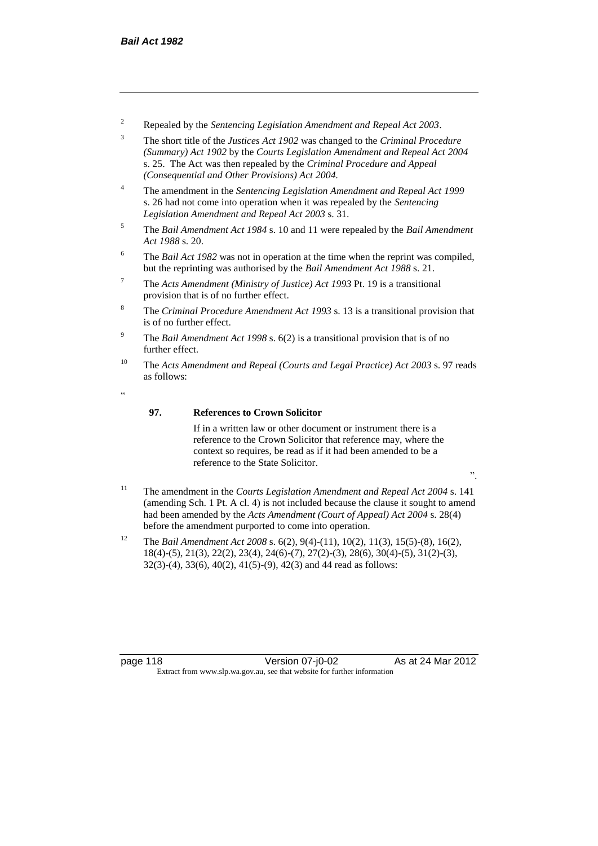- <sup>2</sup> Repealed by the *Sentencing Legislation Amendment and Repeal Act 2003*.
- <sup>3</sup> The short title of the *Justices Act 1902* was changed to the *Criminal Procedure (Summary) Act 1902* by the *Courts Legislation Amendment and Repeal Act 2004*  s. 25. The Act was then repealed by the *Criminal Procedure and Appeal (Consequential and Other Provisions) Act 2004.*
- <sup>4</sup> The amendment in the *Sentencing Legislation Amendment and Repeal Act 1999* s. 26 had not come into operation when it was repealed by the *Sentencing Legislation Amendment and Repeal Act 2003* s. 31.
- <sup>5</sup> The *Bail Amendment Act 1984* s. 10 and 11 were repealed by the *Bail Amendment Act 1988* s. 20.
- <sup>6</sup> The *Bail Act 1982* was not in operation at the time when the reprint was compiled, but the reprinting was authorised by the *Bail Amendment Act 1988* s. 21.
- <sup>7</sup> The *Acts Amendment (Ministry of Justice) Act 1993* Pt. 19 is a transitional provision that is of no further effect.
- <sup>8</sup> The *Criminal Procedure Amendment Act 1993* s. 13 is a transitional provision that is of no further effect.
- <sup>9</sup> The *Bail Amendment Act 1998* s. 6(2) is a transitional provision that is of no further effect.
- <sup>10</sup> The *Acts Amendment and Repeal (Courts and Legal Practice) Act 2003* s. 97 reads as follows:
- <u>،</u>

### **97. References to Crown Solicitor**

If in a written law or other document or instrument there is a reference to the Crown Solicitor that reference may, where the context so requires, be read as if it had been amended to be a reference to the State Solicitor.

- ".
- <sup>11</sup> The amendment in the *Courts Legislation Amendment and Repeal Act 2004* s. 141 (amending Sch. 1 Pt. A cl. 4) is not included because the clause it sought to amend had been amended by the *Acts Amendment (Court of Appeal) Act 2004* s. 28(4) before the amendment purported to come into operation.
- <sup>12</sup> The *Bail Amendment Act 2008* s. 6(2), 9(4)-(11), 10(2), 11(3), 15(5)-(8), 16(2), 18(4)-(5), 21(3), 22(2), 23(4), 24(6)-(7), 27(2)-(3), 28(6), 30(4)-(5), 31(2)-(3), 32(3)-(4), 33(6), 40(2), 41(5)-(9), 42(3) and 44 read as follows:

page 118 Version 07-j0-02 As at 24 Mar 2012 Extract from www.slp.wa.gov.au, see that website for further information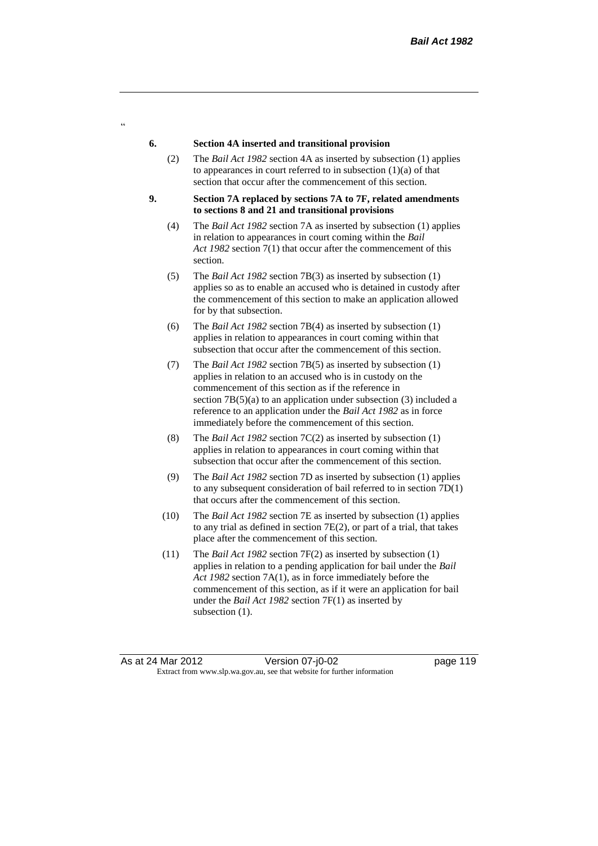#### **6. Section 4A inserted and transitional provision**

 $\alpha$ 

- (2) The *Bail Act 1982* section 4A as inserted by subsection (1) applies to appearances in court referred to in subsection  $(1)(a)$  of that section that occur after the commencement of this section.
- **9. Section 7A replaced by sections 7A to 7F, related amendments to sections 8 and 21 and transitional provisions**
	- (4) The *Bail Act 1982* section 7A as inserted by subsection (1) applies in relation to appearances in court coming within the *Bail Act 1982* section 7(1) that occur after the commencement of this section.
	- (5) The *Bail Act 1982* section 7B(3) as inserted by subsection (1) applies so as to enable an accused who is detained in custody after the commencement of this section to make an application allowed for by that subsection.
	- (6) The *Bail Act 1982* section 7B(4) as inserted by subsection (1) applies in relation to appearances in court coming within that subsection that occur after the commencement of this section.
	- (7) The *Bail Act 1982* section 7B(5) as inserted by subsection (1) applies in relation to an accused who is in custody on the commencement of this section as if the reference in section 7B(5)(a) to an application under subsection (3) included a reference to an application under the *Bail Act 1982* as in force immediately before the commencement of this section.
	- (8) The *Bail Act 1982* section 7C(2) as inserted by subsection (1) applies in relation to appearances in court coming within that subsection that occur after the commencement of this section.
	- (9) The *Bail Act 1982* section 7D as inserted by subsection (1) applies to any subsequent consideration of bail referred to in section 7D(1) that occurs after the commencement of this section.
	- (10) The *Bail Act 1982* section 7E as inserted by subsection (1) applies to any trial as defined in section 7E(2), or part of a trial, that takes place after the commencement of this section.
	- (11) The *Bail Act 1982* section 7F(2) as inserted by subsection (1) applies in relation to a pending application for bail under the *Bail Act 1982* section 7A(1), as in force immediately before the commencement of this section, as if it were an application for bail under the *Bail Act 1982* section 7F(1) as inserted by subsection  $(1)$ .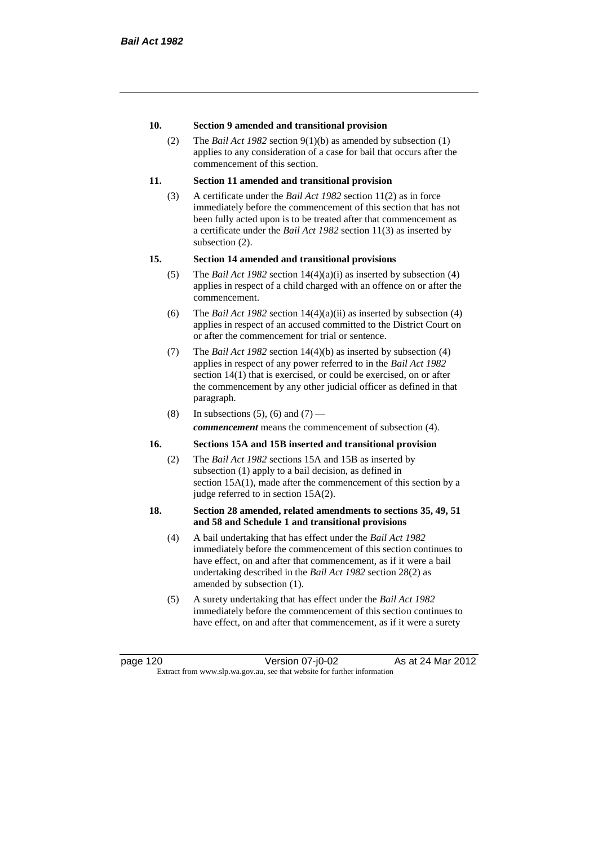#### **10. Section 9 amended and transitional provision**

(2) The *Bail Act 1982* section 9(1)(b) as amended by subsection (1) applies to any consideration of a case for bail that occurs after the commencement of this section.

#### **11. Section 11 amended and transitional provision**

(3) A certificate under the *Bail Act 1982* section 11(2) as in force immediately before the commencement of this section that has not been fully acted upon is to be treated after that commencement as a certificate under the *Bail Act 1982* section 11(3) as inserted by subsection (2).

#### **15. Section 14 amended and transitional provisions**

- (5) The *Bail Act 1982* section 14(4)(a)(i) as inserted by subsection (4) applies in respect of a child charged with an offence on or after the commencement.
- (6) The *Bail Act 1982* section 14(4)(a)(ii) as inserted by subsection (4) applies in respect of an accused committed to the District Court on or after the commencement for trial or sentence.
- (7) The *Bail Act 1982* section 14(4)(b) as inserted by subsection (4) applies in respect of any power referred to in the *Bail Act 1982* section 14(1) that is exercised, or could be exercised, on or after the commencement by any other judicial officer as defined in that paragraph.
- (8) In subsections (5), (6) and (7) *commencement* means the commencement of subsection (4).

#### **16. Sections 15A and 15B inserted and transitional provision**

(2) The *Bail Act 1982* sections 15A and 15B as inserted by subsection (1) apply to a bail decision, as defined in section 15A(1), made after the commencement of this section by a judge referred to in section 15A(2).

#### **18. Section 28 amended, related amendments to sections 35, 49, 51 and 58 and Schedule 1 and transitional provisions**

- (4) A bail undertaking that has effect under the *Bail Act 1982* immediately before the commencement of this section continues to have effect, on and after that commencement, as if it were a bail undertaking described in the *Bail Act 1982* section 28(2) as amended by subsection (1).
- (5) A surety undertaking that has effect under the *Bail Act 1982* immediately before the commencement of this section continues to have effect, on and after that commencement, as if it were a surety

page 120 Version 07-j0-02 As at 24 Mar 2012 Extract from www.slp.wa.gov.au, see that website for further information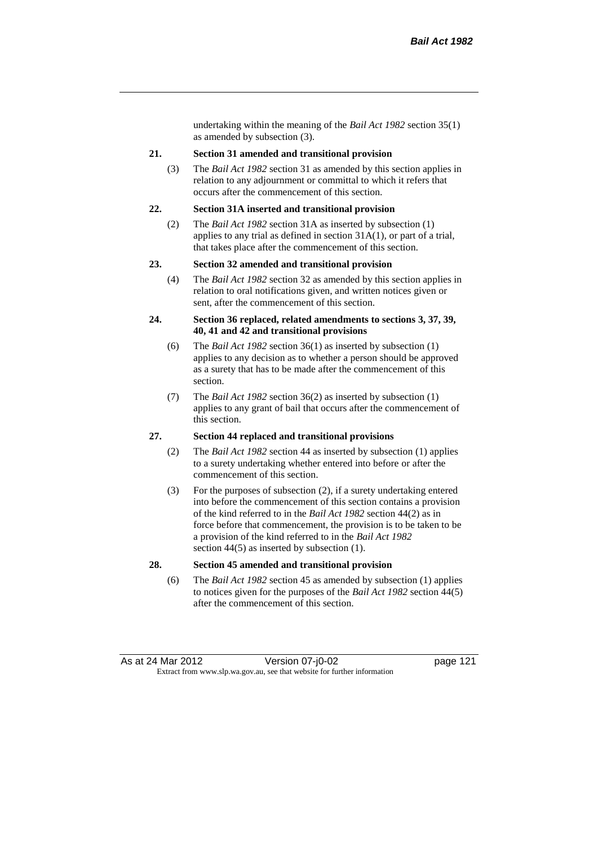undertaking within the meaning of the *Bail Act 1982* section 35(1) as amended by subsection (3).

#### **21. Section 31 amended and transitional provision**

(3) The *Bail Act 1982* section 31 as amended by this section applies in relation to any adjournment or committal to which it refers that occurs after the commencement of this section.

#### **22. Section 31A inserted and transitional provision**

(2) The *Bail Act 1982* section 31A as inserted by subsection (1) applies to any trial as defined in section 31A(1), or part of a trial, that takes place after the commencement of this section.

#### **23. Section 32 amended and transitional provision**

(4) The *Bail Act 1982* section 32 as amended by this section applies in relation to oral notifications given, and written notices given or sent, after the commencement of this section.

#### **24. Section 36 replaced, related amendments to sections 3, 37, 39, 40, 41 and 42 and transitional provisions**

- (6) The *Bail Act 1982* section 36(1) as inserted by subsection (1) applies to any decision as to whether a person should be approved as a surety that has to be made after the commencement of this section.
- (7) The *Bail Act 1982* section 36(2) as inserted by subsection (1) applies to any grant of bail that occurs after the commencement of this section.

#### **27. Section 44 replaced and transitional provisions**

- (2) The *Bail Act 1982* section 44 as inserted by subsection (1) applies to a surety undertaking whether entered into before or after the commencement of this section.
- (3) For the purposes of subsection (2), if a surety undertaking entered into before the commencement of this section contains a provision of the kind referred to in the *Bail Act 1982* section 44(2) as in force before that commencement, the provision is to be taken to be a provision of the kind referred to in the *Bail Act 1982*  section 44(5) as inserted by subsection (1).

#### **28. Section 45 amended and transitional provision**

(6) The *Bail Act 1982* section 45 as amended by subsection (1) applies to notices given for the purposes of the *Bail Act 1982* section 44(5) after the commencement of this section.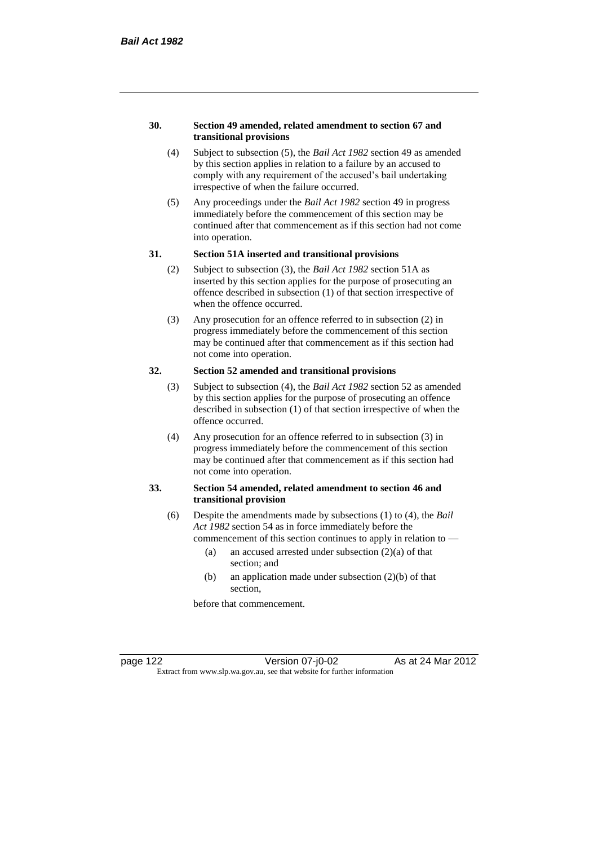#### **30. Section 49 amended, related amendment to section 67 and transitional provisions**

- (4) Subject to subsection (5), the *Bail Act 1982* section 49 as amended by this section applies in relation to a failure by an accused to comply with any requirement of the accused's bail undertaking irrespective of when the failure occurred.
- (5) Any proceedings under the *Bail Act 1982* section 49 in progress immediately before the commencement of this section may be continued after that commencement as if this section had not come into operation.

#### **31. Section 51A inserted and transitional provisions**

- (2) Subject to subsection (3), the *Bail Act 1982* section 51A as inserted by this section applies for the purpose of prosecuting an offence described in subsection (1) of that section irrespective of when the offence occurred.
- (3) Any prosecution for an offence referred to in subsection (2) in progress immediately before the commencement of this section may be continued after that commencement as if this section had not come into operation.

## **32. Section 52 amended and transitional provisions**

- (3) Subject to subsection (4), the *Bail Act 1982* section 52 as amended by this section applies for the purpose of prosecuting an offence described in subsection (1) of that section irrespective of when the offence occurred.
- (4) Any prosecution for an offence referred to in subsection (3) in progress immediately before the commencement of this section may be continued after that commencement as if this section had not come into operation.

#### **33. Section 54 amended, related amendment to section 46 and transitional provision**

- (6) Despite the amendments made by subsections (1) to (4), the *Bail Act 1982* section 54 as in force immediately before the
	- commencement of this section continues to apply in relation to
		- (a) an accused arrested under subsection  $(2)(a)$  of that section; and
		- (b) an application made under subsection (2)(b) of that section,

before that commencement.

page 122 Version 07-j0-02 As at 24 Mar 2012 Extract from www.slp.wa.gov.au, see that website for further information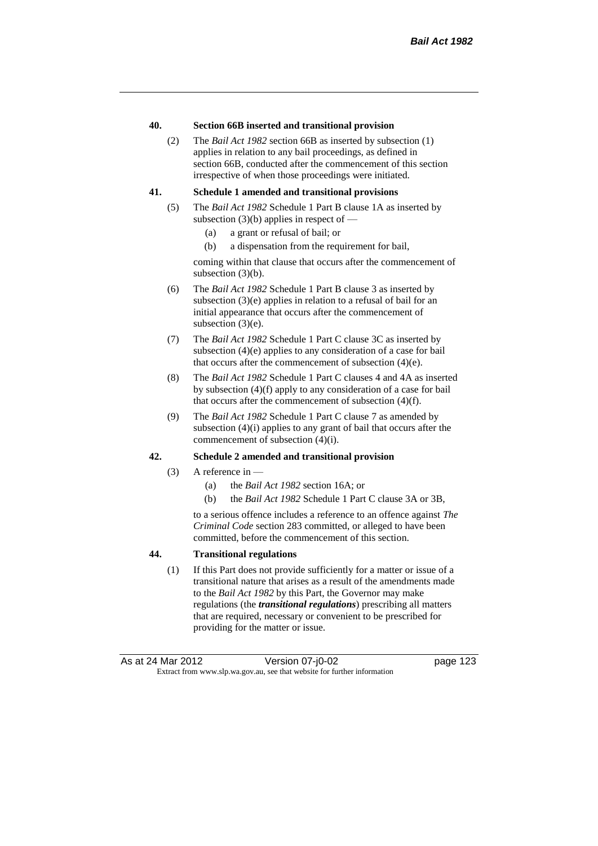#### **40. Section 66B inserted and transitional provision**

(2) The *Bail Act 1982* section 66B as inserted by subsection (1) applies in relation to any bail proceedings, as defined in section 66B, conducted after the commencement of this section irrespective of when those proceedings were initiated.

#### **41. Schedule 1 amended and transitional provisions**

- (5) The *Bail Act 1982* Schedule 1 Part B clause 1A as inserted by subsection  $(3)(b)$  applies in respect of —
	- (a) a grant or refusal of bail; or
	- (b) a dispensation from the requirement for bail,

coming within that clause that occurs after the commencement of subsection (3)(b).

- (6) The *Bail Act 1982* Schedule 1 Part B clause 3 as inserted by subsection (3)(e) applies in relation to a refusal of bail for an initial appearance that occurs after the commencement of subsection (3)(e).
- (7) The *Bail Act 1982* Schedule 1 Part C clause 3C as inserted by subsection (4)(e) applies to any consideration of a case for bail that occurs after the commencement of subsection (4)(e).
- (8) The *Bail Act 1982* Schedule 1 Part C clauses 4 and 4A as inserted by subsection (4)(f) apply to any consideration of a case for bail that occurs after the commencement of subsection (4)(f).
- (9) The *Bail Act 1982* Schedule 1 Part C clause 7 as amended by subsection (4)(i) applies to any grant of bail that occurs after the commencement of subsection (4)(i).

#### **42. Schedule 2 amended and transitional provision**

- $(3)$  A reference in
	- (a) the *Bail Act 1982* section 16A; or
	- (b) the *Bail Act 1982* Schedule 1 Part C clause 3A or 3B,

to a serious offence includes a reference to an offence against *The Criminal Code* section 283 committed, or alleged to have been committed, before the commencement of this section.

#### **44. Transitional regulations**

(1) If this Part does not provide sufficiently for a matter or issue of a transitional nature that arises as a result of the amendments made to the *Bail Act 1982* by this Part, the Governor may make regulations (the *transitional regulations*) prescribing all matters that are required, necessary or convenient to be prescribed for providing for the matter or issue.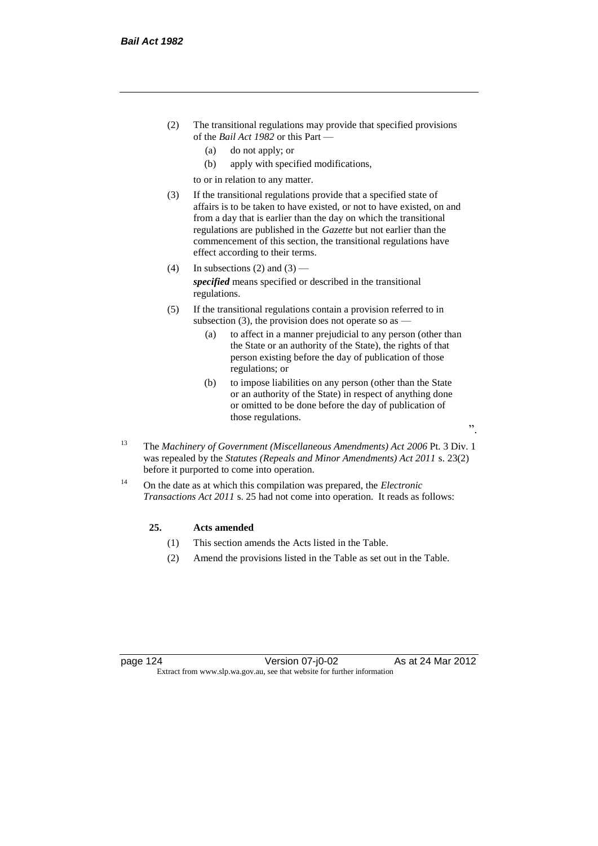- (2) The transitional regulations may provide that specified provisions of the *Bail Act 1982* or this Part —
	- (a) do not apply; or
	- (b) apply with specified modifications,

to or in relation to any matter.

- (3) If the transitional regulations provide that a specified state of affairs is to be taken to have existed, or not to have existed, on and from a day that is earlier than the day on which the transitional regulations are published in the *Gazette* but not earlier than the commencement of this section, the transitional regulations have effect according to their terms.
- (4) In subsections (2) and (3) *specified* means specified or described in the transitional regulations.
- (5) If the transitional regulations contain a provision referred to in subsection (3), the provision does not operate so as  $-$ 
	- (a) to affect in a manner prejudicial to any person (other than the State or an authority of the State), the rights of that person existing before the day of publication of those regulations; or
	- (b) to impose liabilities on any person (other than the State or an authority of the State) in respect of anything done or omitted to be done before the day of publication of those regulations.
- <sup>13</sup> The *Machinery of Government (Miscellaneous Amendments) Act 2006* Pt. 3 Div. 1 was repealed by the *Statutes (Repeals and Minor Amendments) Act 2011* s. 23(2) before it purported to come into operation.
- <sup>14</sup> On the date as at which this compilation was prepared, the *Electronic Transactions Act 2011* s. 25 had not come into operation. It reads as follows:

#### **25. Acts amended**

- (1) This section amends the Acts listed in the Table.
- (2) Amend the provisions listed in the Table as set out in the Table.

page 124 Version 07-j0-02 As at 24 Mar 2012 Extract from www.slp.wa.gov.au, see that website for further information

".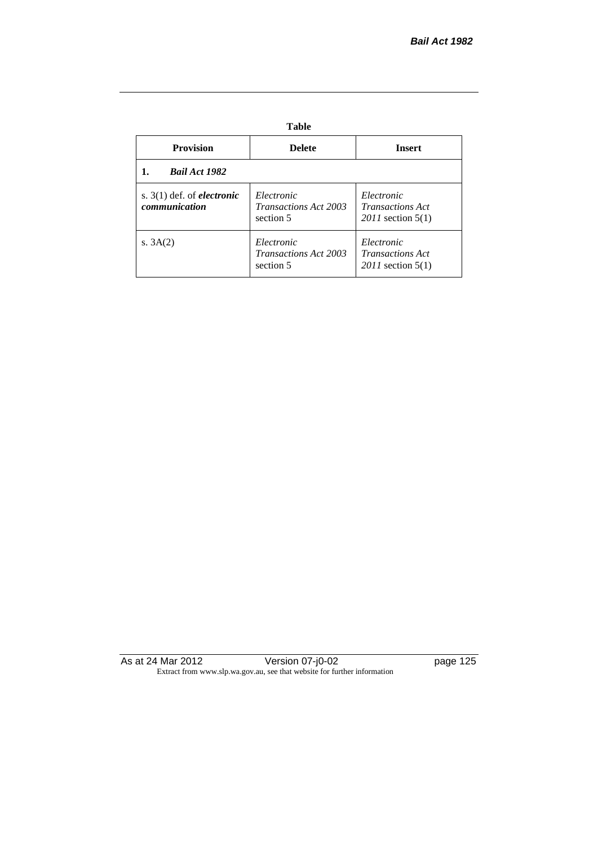## **Table**

| <b>Provision</b>                                     | <b>Delete</b>                                           | <b>Insert</b>                                                  |
|------------------------------------------------------|---------------------------------------------------------|----------------------------------------------------------------|
| <b>Bail Act 1982</b>                                 |                                                         |                                                                |
| s. $3(1)$ def. of <i>electronic</i><br>communication | Electronic<br><i>Transactions Act 2003</i><br>section 5 | Electronic<br><b>Transactions Act</b><br>$2011$ section $5(1)$ |
| s. $3A(2)$                                           | Electronic<br><b>Transactions Act 2003</b><br>section 5 | Electronic<br><i>Transactions Act</i><br>$2011$ section $5(1)$ |

As at 24 Mar 2012 **Discript Contract Contract Version 07-j0-02 page 125** Extract from www.slp.wa.gov.au, see that website for further information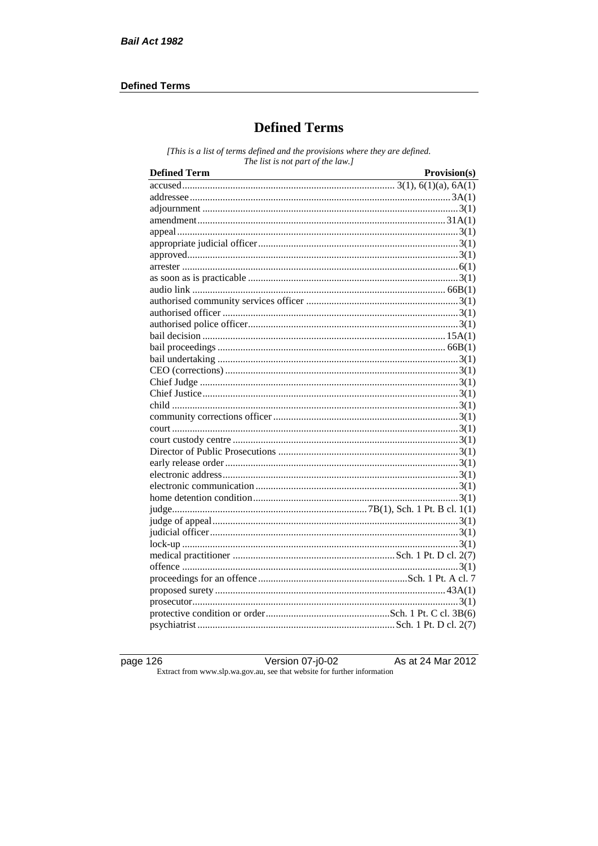### **Defined Terms**

## **Defined Terms**

[This is a list of terms defined and the provisions where they are defined. The list is not part of the law.]

| <b>Defined Term</b><br><u> 1989 - Johann Stoff, deutscher Stoffen und der Stoffen und der Stoffen und der Stoffen und der Stoffen und der</u> | Provision(s) |
|-----------------------------------------------------------------------------------------------------------------------------------------------|--------------|
|                                                                                                                                               |              |
|                                                                                                                                               |              |
|                                                                                                                                               |              |
|                                                                                                                                               |              |
|                                                                                                                                               |              |
|                                                                                                                                               |              |
|                                                                                                                                               |              |
|                                                                                                                                               |              |
|                                                                                                                                               |              |
|                                                                                                                                               |              |
|                                                                                                                                               |              |
|                                                                                                                                               |              |
|                                                                                                                                               |              |
|                                                                                                                                               |              |
|                                                                                                                                               |              |
|                                                                                                                                               |              |
|                                                                                                                                               |              |
|                                                                                                                                               |              |
|                                                                                                                                               |              |
|                                                                                                                                               |              |
|                                                                                                                                               |              |
|                                                                                                                                               |              |
|                                                                                                                                               |              |
|                                                                                                                                               |              |
|                                                                                                                                               |              |
|                                                                                                                                               |              |
|                                                                                                                                               |              |
|                                                                                                                                               |              |
|                                                                                                                                               |              |
|                                                                                                                                               |              |
|                                                                                                                                               |              |
|                                                                                                                                               |              |
|                                                                                                                                               |              |
|                                                                                                                                               |              |
|                                                                                                                                               |              |
|                                                                                                                                               |              |
|                                                                                                                                               |              |
|                                                                                                                                               |              |
|                                                                                                                                               |              |

page  $126$ 

Version 07-j0-02 Extract from www.slp.wa.gov.au, see that website for further information

As at 24 Mar 2012